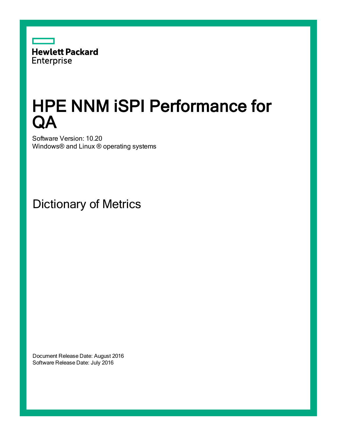

# HPE NNM iSPI Performance for QA

Software Version: 10.20 Windows® and Linux ® operating systems

Dictionary of Metrics

Document Release Date: August 2016 Software Release Date: July 2016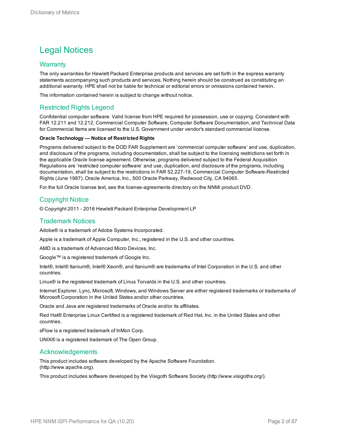### Legal Notices

#### **Warranty**

The only warranties for Hewlett Packard Enterprise products and services are set forth in the express warranty statements accompanying such products and services. Nothing herein should be construed as constituting an additional warranty. HPE shall not be liable for technical or editorial errors or omissions contained herein.

The information contained herein is subject to change without notice.

#### Restricted Rights Legend

Confidential computer software. Valid license from HPE required for possession, use or copying. Consistent with FAR 12.211 and 12.212, Commercial Computer Software, Computer Software Documentation, and Technical Data for Commercial Items are licensed to the U.S. Government under vendor's standard commercial license.

#### **Oracle Technology — Notice of Restricted Rights**

Programs delivered subject to the DOD FAR Supplement are 'commercial computer software' and use, duplication, and disclosure of the programs, including documentation, shall be subject to the licensing restrictions set forth in the applicable Oracle license agreement. Otherwise, programs delivered subject to the Federal Acquisition Regulations are 'restricted computer software' and use, duplication, and disclosure of the programs, including documentation, shall be subject to the restrictions in FAR 52.227-19, Commercial Computer Software-Restricted Rights (June 1987). Oracle America, Inc., 500 Oracle Parkway, Redwood City, CA 94065.

For the full Oracle license text, see the license-agreements directory on the NNMi product DVD.

#### Copyright Notice

© Copyright 2011 - 2016 Hewlett Packard Enterprise Development LP

#### Trademark Notices

Adobe® is a trademark of Adobe Systems Incorporated.

Apple is a trademark of Apple Computer, Inc., registered in the U.S. and other countries.

AMD is a trademark of Advanced Micro Devices, Inc.

Google™ is a registered trademark of Google Inc.

Intel®, Intel® Itanium®, Intel® Xeon®, and Itanium® are trademarks of Intel Corporation in the U.S. and other countries.

Linux® is the registered trademark of Linus Torvalds in the U.S. and other countries.

Internet Explorer, Lync, Microsoft, Windows, and Windows Server are either registered trademarks or trademarks of Microsoft Corporation in the United States and/or other countries.

Oracle and Java are registered trademarks of Oracle and/or its affiliates.

Red Hat® Enterprise Linux Certified is a registered trademark of Red Hat, Inc. in the United States and other countries.

sFlow is a registered trademark of InMon Corp.

UNIX® is a registered trademark of The Open Group.

#### Acknowledgements

This product includes software developed by the Apache Software Foundation. (http://www.apache.org).

This product includes software developed by the Visigoth Software Society (http://www.visigoths.org/).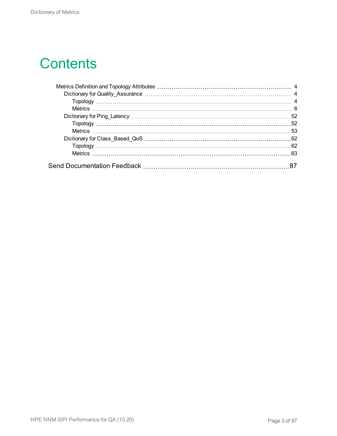## **Contents**

| 87 |
|----|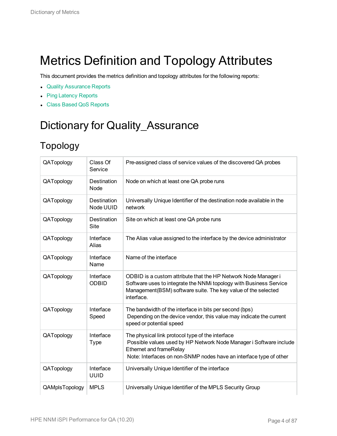## <span id="page-3-0"></span>Metrics Definition and Topology Attributes

This document provides the metrics definition and topology attributes for the following reports:

- Quality [Assurance](#page-3-1) Reports
- Ping [Latency](#page-51-0) Reports
- <span id="page-3-1"></span>• Class Based QoS [Reports](#page-61-0)

## <span id="page-3-2"></span>Dictionary for Quality\_Assurance

### Topology

| QATopology     | Class Of<br>Service       | Pre-assigned class of service values of the discovered QA probes                                                                                                                                                               |
|----------------|---------------------------|--------------------------------------------------------------------------------------------------------------------------------------------------------------------------------------------------------------------------------|
| QATopology     | Destination<br>Node       | Node on which at least one QA probe runs                                                                                                                                                                                       |
| QATopology     | Destination<br>Node UUID  | Universally Unique Identifier of the destination node available in the<br>network                                                                                                                                              |
| QATopology     | Destination<br>Site       | Site on which at least one QA probe runs                                                                                                                                                                                       |
| QATopology     | Interface<br>Alias        | The Alias value assigned to the interface by the device administrator                                                                                                                                                          |
| QATopology     | Interface<br>Name         | Name of the interface                                                                                                                                                                                                          |
| QATopology     | Interface<br><b>ODBID</b> | ODBID is a custom attribute that the HP Network Node Manager i<br>Software uses to integrate the NNMi topology with Business Service<br>Management(BSM) software suite. The key value of the selected<br>interface.            |
| QATopology     | Interface<br>Speed        | The bandwidth of the interface in bits per second (bps)<br>Depending on the device vendor, this value may indicate the current<br>speed or potential speed                                                                     |
| QATopology     | Interface<br><b>Type</b>  | The physical link protocol type of the interface<br>Possible values used by HP Network Node Manager i Software include<br><b>Ethernet and frameRelay</b><br>Note: Interfaces on non-SNMP nodes have an interface type of other |
| QATopology     | Interface<br><b>UUID</b>  | Universally Unique Identifier of the interface                                                                                                                                                                                 |
| QAMplsTopology | <b>MPLS</b>               | Universally Unique Identifier of the MPLS Security Group                                                                                                                                                                       |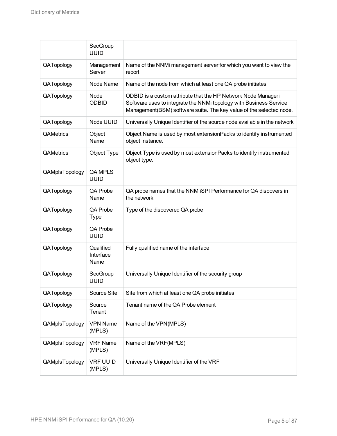|                | SecGroup<br><b>UUID</b>        |                                                                                                                                                                                                             |
|----------------|--------------------------------|-------------------------------------------------------------------------------------------------------------------------------------------------------------------------------------------------------------|
| QATopology     | Management<br>Server           | Name of the NNMi management server for which you want to view the<br>report                                                                                                                                 |
| QATopology     | Node Name                      | Name of the node from which at least one QA probe initiates                                                                                                                                                 |
| QATopology     | Node<br><b>ODBID</b>           | ODBID is a custom attribute that the HP Network Node Manager i<br>Software uses to integrate the NNMi topology with Business Service<br>Management(BSM) software suite. The key value of the selected node. |
| QATopology     | Node UUID                      | Universally Unique Identifier of the source node available in the network                                                                                                                                   |
| QAMetrics      | Object<br>Name                 | Object Name is used by most extension Packs to identify instrumented<br>object instance.                                                                                                                    |
| QAMetrics      | Object Type                    | Object Type is used by most extensionPacks to identify instrumented<br>object type.                                                                                                                         |
| QAMplsTopology | QA MPLS<br><b>UUID</b>         |                                                                                                                                                                                                             |
| QATopology     | QA Probe<br>Name               | QA probe names that the NNM iSPI Performance for QA discovers in<br>the network                                                                                                                             |
| QATopology     | QA Probe<br><b>Type</b>        | Type of the discovered QA probe                                                                                                                                                                             |
| QATopology     | QA Probe<br><b>UUID</b>        |                                                                                                                                                                                                             |
| QATopology     | Qualified<br>Interface<br>Name | Fully qualified name of the interface                                                                                                                                                                       |
| QATopology     | SecGroup<br><b>UUID</b>        | Universally Unique Identifier of the security group                                                                                                                                                         |
| QATopology     | Source Site                    | Site from which at least one QA probe initiates                                                                                                                                                             |
| QATopology     | Source<br>Tenant               | Tenant name of the QA Probe element                                                                                                                                                                         |
| QAMplsTopology | <b>VPN Name</b><br>(MPLS)      | Name of the VPN(MPLS)                                                                                                                                                                                       |
| QAMplsTopology | <b>VRF Name</b><br>(MPLS)      | Name of the VRF(MPLS)                                                                                                                                                                                       |
| QAMplsTopology | <b>VRF UUID</b><br>(MPLS)      | Universally Unique Identifier of the VRF                                                                                                                                                                    |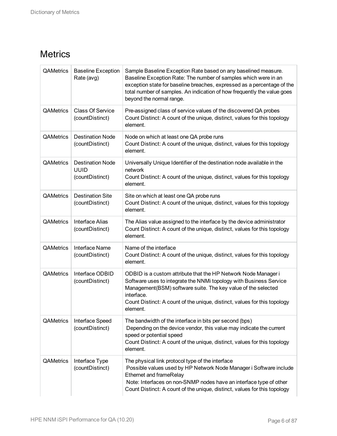### <span id="page-5-0"></span>**Metrics**

| QAMetrics        | <b>Baseline Exception</b><br>Rate (avg)                   | Sample Baseline Exception Rate based on any baselined measure.<br>Baseline Exception Rate: The number of samples which were in an<br>exception state for baseline breaches, expressed as a percentage of the<br>total number of samples. An indication of how frequently the value goes<br>beyond the normal range. |
|------------------|-----------------------------------------------------------|---------------------------------------------------------------------------------------------------------------------------------------------------------------------------------------------------------------------------------------------------------------------------------------------------------------------|
| <b>QAMetrics</b> | <b>Class Of Service</b><br>(countDistinct)                | Pre-assigned class of service values of the discovered QA probes<br>Count Distinct: A count of the unique, distinct, values for this topology<br>element.                                                                                                                                                           |
| QAMetrics        | <b>Destination Node</b><br>(countDistinct)                | Node on which at least one QA probe runs<br>Count Distinct: A count of the unique, distinct, values for this topology<br>element.                                                                                                                                                                                   |
| QAMetrics        | <b>Destination Node</b><br><b>UUID</b><br>(countDistinct) | Universally Unique Identifier of the destination node available in the<br>network<br>Count Distinct: A count of the unique, distinct, values for this topology<br>element.                                                                                                                                          |
| QAMetrics        | <b>Destination Site</b><br>(countDistinct)                | Site on which at least one QA probe runs<br>Count Distinct: A count of the unique, distinct, values for this topology<br>element.                                                                                                                                                                                   |
| QAMetrics        | <b>Interface Alias</b><br>(countDistinct)                 | The Alias value assigned to the interface by the device administrator<br>Count Distinct: A count of the unique, distinct, values for this topology<br>element.                                                                                                                                                      |
| QAMetrics        | Interface Name<br>(countDistinct)                         | Name of the interface<br>Count Distinct: A count of the unique, distinct, values for this topology<br>element.                                                                                                                                                                                                      |
| QAMetrics        | Interface ODBID<br>(countDistinct)                        | ODBID is a custom attribute that the HP Network Node Manager i<br>Software uses to integrate the NNMi topology with Business Service<br>Management(BSM) software suite. The key value of the selected<br>interface.<br>Count Distinct: A count of the unique, distinct, values for this topology<br>element.        |
| QAMetrics        | Interface Speed<br>(countDistinct)                        | The bandwidth of the interface in bits per second (bps)<br>Depending on the device vendor, this value may indicate the current<br>speed or potential speed<br>Count Distinct: A count of the unique, distinct, values for this topology<br>element.                                                                 |
| QAMetrics        | Interface Type<br>(countDistinct)                         | The physical link protocol type of the interface<br>Possible values used by HP Network Node Manager i Software include<br>Ethernet and frameRelay<br>Note: Interfaces on non-SNMP nodes have an interface type of other<br>Count Distinct: A count of the unique, distinct, values for this topology                |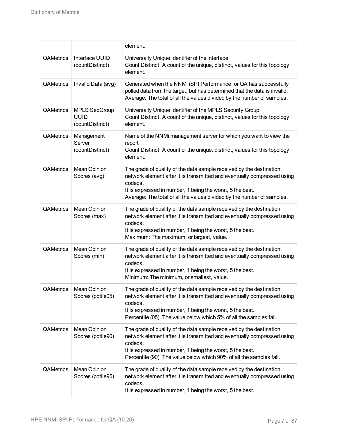|                  |                                                        | element.                                                                                                                                                                                                                                                                                         |
|------------------|--------------------------------------------------------|--------------------------------------------------------------------------------------------------------------------------------------------------------------------------------------------------------------------------------------------------------------------------------------------------|
| <b>QAMetrics</b> | Interface UUID<br>(countDistinct)                      | Universally Unique Identifier of the interface<br>Count Distinct: A count of the unique, distinct, values for this topology<br>element.                                                                                                                                                          |
| <b>QAMetrics</b> | Invalid Data (avg)                                     | Generated when the NNMi iSPI Performance for QA has successfully<br>polled data from the target, but has determined that the data is invalid.<br>Average: The total of all the values divided by the number of samples.                                                                          |
| <b>QAMetrics</b> | <b>MPLS SecGroup</b><br><b>UUID</b><br>(countDistinct) | Universally Unique Identifier of the MPLS Security Group<br>Count Distinct: A count of the unique, distinct, values for this topology<br>element.                                                                                                                                                |
| <b>QAMetrics</b> | Management<br>Server<br>(countDistinct)                | Name of the NNMi management server for which you want to view the<br>report<br>Count Distinct: A count of the unique, distinct, values for this topology<br>element.                                                                                                                             |
| <b>QAMetrics</b> | <b>Mean Opinion</b><br>Scores (avg)                    | The grade of quality of the data sample received by the destination<br>network element after it is transmitted and eventually compressed using<br>codecs.<br>It is expressed in number, 1 being the worst, 5 the best.<br>Average: The total of all the values divided by the number of samples. |
| <b>QAMetrics</b> | <b>Mean Opinion</b><br>Scores (max)                    | The grade of quality of the data sample received by the destination<br>network element after it is transmitted and eventually compressed using<br>codecs.<br>It is expressed in number, 1 being the worst, 5 the best.<br>Maximum: The maximum, or largest, value.                               |
| <b>QAMetrics</b> | <b>Mean Opinion</b><br>Scores (min)                    | The grade of quality of the data sample received by the destination<br>network element after it is transmitted and eventually compressed using<br>codecs.<br>It is expressed in number, 1 being the worst, 5 the best.<br>Minimum: The minimum, or smallest, value.                              |
| QAMetrics        | <b>Mean Opinion</b><br>Scores (pctile05)               | The grade of quality of the data sample received by the destination<br>network element after it is transmitted and eventually compressed using<br>codecs.<br>It is expressed in number, 1 being the worst, 5 the best.<br>Percentile (05): The value below which 5% of all the samples fall.     |
| <b>QAMetrics</b> | <b>Mean Opinion</b><br>Scores (pctile90)               | The grade of quality of the data sample received by the destination<br>network element after it is transmitted and eventually compressed using<br>codecs.<br>It is expressed in number, 1 being the worst, 5 the best.<br>Percentile (90): The value below which 90% of all the samples fall.    |
| QAMetrics        | Mean Opinion<br>Scores (pctile95)                      | The grade of quality of the data sample received by the destination<br>network element after it is transmitted and eventually compressed using<br>codecs.<br>It is expressed in number, 1 being the worst, 5 the best.                                                                           |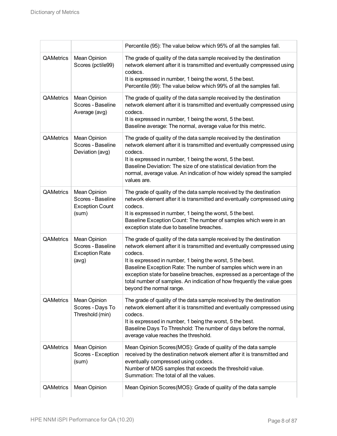|                  |                                                                             | Percentile (95): The value below which 95% of all the samples fall.                                                                                                                                                                                                                                                                                                                                                                                                         |
|------------------|-----------------------------------------------------------------------------|-----------------------------------------------------------------------------------------------------------------------------------------------------------------------------------------------------------------------------------------------------------------------------------------------------------------------------------------------------------------------------------------------------------------------------------------------------------------------------|
| QAMetrics        | Mean Opinion<br>Scores (pctile99)                                           | The grade of quality of the data sample received by the destination<br>network element after it is transmitted and eventually compressed using<br>codecs.<br>It is expressed in number, 1 being the worst, 5 the best.<br>Percentile (99): The value below which 99% of all the samples fall.                                                                                                                                                                               |
| QAMetrics        | <b>Mean Opinion</b><br>Scores - Baseline<br>Average (avg)                   | The grade of quality of the data sample received by the destination<br>network element after it is transmitted and eventually compressed using<br>codecs.<br>It is expressed in number, 1 being the worst, 5 the best.<br>Baseline average: The normal, average value for this metric.                                                                                                                                                                                      |
| QAMetrics        | Mean Opinion<br>Scores - Baseline<br>Deviation (avg)                        | The grade of quality of the data sample received by the destination<br>network element after it is transmitted and eventually compressed using<br>codecs.<br>It is expressed in number, 1 being the worst, 5 the best.<br>Baseline Deviation: The size of one statistical deviation from the<br>normal, average value. An indication of how widely spread the sampled<br>values are.                                                                                        |
| <b>QAMetrics</b> | <b>Mean Opinion</b><br>Scores - Baseline<br><b>Exception Count</b><br>(sum) | The grade of quality of the data sample received by the destination<br>network element after it is transmitted and eventually compressed using<br>codecs.<br>It is expressed in number, 1 being the worst, 5 the best.<br>Baseline Exception Count: The number of samples which were in an<br>exception state due to baseline breaches.                                                                                                                                     |
| QAMetrics        | Mean Opinion<br>Scores - Baseline<br><b>Exception Rate</b><br>(avg)         | The grade of quality of the data sample received by the destination<br>network element after it is transmitted and eventually compressed using<br>codecs.<br>It is expressed in number, 1 being the worst, 5 the best.<br>Baseline Exception Rate: The number of samples which were in an<br>exception state for baseline breaches, expressed as a percentage of the<br>total number of samples. An indication of how frequently the value goes<br>beyond the normal range. |
| QAMetrics        | <b>Mean Opinion</b><br>Scores - Days To<br>Threshold (min)                  | The grade of quality of the data sample received by the destination<br>network element after it is transmitted and eventually compressed using<br>codecs.<br>It is expressed in number, 1 being the worst, 5 the best.<br>Baseline Days To Threshold: The number of days before the normal,<br>average value reaches the threshold.                                                                                                                                         |
| QAMetrics        | <b>Mean Opinion</b><br>Scores - Exception<br>(sum)                          | Mean Opinion Scores (MOS): Grade of quality of the data sample<br>received by the destination network element after it is transmitted and<br>eventually compressed using codecs.<br>Number of MOS samples that exceeds the threshold value.<br>Summation: The total of all the values.                                                                                                                                                                                      |
| QAMetrics        | <b>Mean Opinion</b>                                                         | Mean Opinion Scores (MOS): Grade of quality of the data sample                                                                                                                                                                                                                                                                                                                                                                                                              |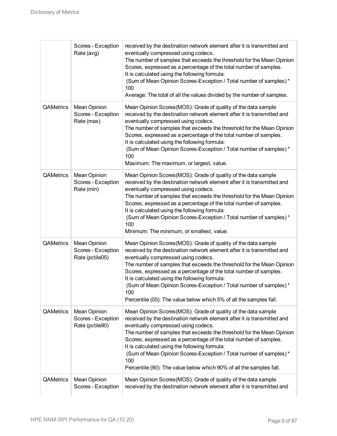|           | Scores - Exception<br>Rate (avg)                             | received by the destination network element after it is transmitted and<br>eventually compressed using codecs.<br>The number of samples that exceeds the threshold for the Mean Opinion<br>Scores, expressed as a percentage of the total number of samples.<br>It is calculated using the following formula:<br>(Sum of Mean Opinion Scores-Exception / Total number of samples) *<br>100<br>Average: The total of all the values divided by the number of samples.                                                                |
|-----------|--------------------------------------------------------------|-------------------------------------------------------------------------------------------------------------------------------------------------------------------------------------------------------------------------------------------------------------------------------------------------------------------------------------------------------------------------------------------------------------------------------------------------------------------------------------------------------------------------------------|
| QAMetrics | <b>Mean Opinion</b><br>Scores - Exception<br>Rate (max)      | Mean Opinion Scores (MOS): Grade of quality of the data sample<br>received by the destination network element after it is transmitted and<br>eventually compressed using codecs.<br>The number of samples that exceeds the threshold for the Mean Opinion<br>Scores, expressed as a percentage of the total number of samples.<br>It is calculated using the following formula:<br>(Sum of Mean Opinion Scores-Exception / Total number of samples) *<br>100<br>Maximum: The maximum, or largest, value.                            |
| QAMetrics | Mean Opinion<br>Scores - Exception<br>Rate (min)             | Mean Opinion Scores (MOS): Grade of quality of the data sample<br>received by the destination network element after it is transmitted and<br>eventually compressed using codecs.<br>The number of samples that exceeds the threshold for the Mean Opinion<br>Scores, expressed as a percentage of the total number of samples.<br>It is calculated using the following formula:<br>(Sum of Mean Opinion Scores-Exception / Total number of samples) *<br>100<br>Minimum: The minimum, or smallest, value.                           |
| QAMetrics | <b>Mean Opinion</b><br>Scores - Exception<br>Rate (pctile05) | Mean Opinion Scores (MOS): Grade of quality of the data sample<br>received by the destination network element after it is transmitted and<br>eventually compressed using codecs.<br>The number of samples that exceeds the threshold for the Mean Opinion<br>Scores, expressed as a percentage of the total number of samples.<br>It is calculated using the following formula:<br>(Sum of Mean Opinion Scores-Exception / Total number of samples) *<br>100<br>Percentile (05): The value below which 5% of all the samples fall.  |
| QAMetrics | Mean Opinion<br>Scores - Exception<br>Rate (pctile90)        | Mean Opinion Scores (MOS): Grade of quality of the data sample<br>received by the destination network element after it is transmitted and<br>eventually compressed using codecs.<br>The number of samples that exceeds the threshold for the Mean Opinion<br>Scores, expressed as a percentage of the total number of samples.<br>It is calculated using the following formula:<br>(Sum of Mean Opinion Scores-Exception / Total number of samples) *<br>100<br>Percentile (90): The value below which 90% of all the samples fall. |
| QAMetrics | <b>Mean Opinion</b><br>Scores - Exception                    | Mean Opinion Scores (MOS): Grade of quality of the data sample<br>received by the destination network element after it is transmitted and                                                                                                                                                                                                                                                                                                                                                                                           |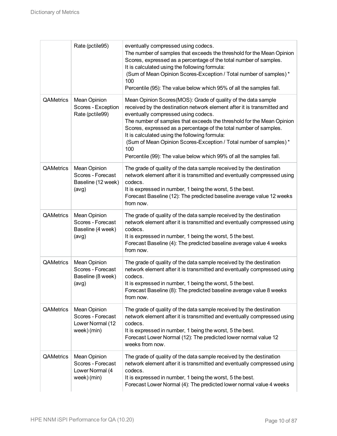|           | Rate (pctile95)                                                             | eventually compressed using codecs.<br>The number of samples that exceeds the threshold for the Mean Opinion<br>Scores, expressed as a percentage of the total number of samples.<br>It is calculated using the following formula:<br>(Sum of Mean Opinion Scores-Exception / Total number of samples) *<br>100<br>Percentile (95): The value below which 95% of all the samples fall.                                                                                                                                              |
|-----------|-----------------------------------------------------------------------------|-------------------------------------------------------------------------------------------------------------------------------------------------------------------------------------------------------------------------------------------------------------------------------------------------------------------------------------------------------------------------------------------------------------------------------------------------------------------------------------------------------------------------------------|
| QAMetrics | <b>Mean Opinion</b><br>Scores - Exception<br>Rate (pctile99)                | Mean Opinion Scores (MOS): Grade of quality of the data sample<br>received by the destination network element after it is transmitted and<br>eventually compressed using codecs.<br>The number of samples that exceeds the threshold for the Mean Opinion<br>Scores, expressed as a percentage of the total number of samples.<br>It is calculated using the following formula:<br>(Sum of Mean Opinion Scores-Exception / Total number of samples) *<br>100<br>Percentile (99): The value below which 99% of all the samples fall. |
| QAMetrics | <b>Mean Opinion</b><br>Scores - Forecast<br>Baseline (12 week)<br>(avg)     | The grade of quality of the data sample received by the destination<br>network element after it is transmitted and eventually compressed using<br>codecs.<br>It is expressed in number, 1 being the worst, 5 the best.<br>Forecast Baseline (12): The predicted baseline average value 12 weeks<br>from now.                                                                                                                                                                                                                        |
| QAMetrics | <b>Mean Opinion</b><br>Scores - Forecast<br>Baseline (4 week)<br>(avg)      | The grade of quality of the data sample received by the destination<br>network element after it is transmitted and eventually compressed using<br>codecs.<br>It is expressed in number, 1 being the worst, 5 the best.<br>Forecast Baseline (4): The predicted baseline average value 4 weeks<br>from now.                                                                                                                                                                                                                          |
| QAMetrics | <b>Mean Opinion</b><br>Scores - Forecast<br>Baseline (8 week)<br>(avg)      | The grade of quality of the data sample received by the destination<br>network element after it is transmitted and eventually compressed using<br>codecs.<br>It is expressed in number, 1 being the worst, 5 the best.<br>Forecast Baseline (8): The predicted baseline average value 8 weeks<br>from now.                                                                                                                                                                                                                          |
| QAMetrics | <b>Mean Opinion</b><br>Scores - Forecast<br>Lower Normal (12<br>week) (min) | The grade of quality of the data sample received by the destination<br>network element after it is transmitted and eventually compressed using<br>codecs.<br>It is expressed in number, 1 being the worst, 5 the best.<br>Forecast Lower Normal (12): The predicted lower normal value 12<br>weeks from now.                                                                                                                                                                                                                        |
| QAMetrics | <b>Mean Opinion</b><br>Scores - Forecast<br>Lower Normal (4<br>week) (min)  | The grade of quality of the data sample received by the destination<br>network element after it is transmitted and eventually compressed using<br>codecs.<br>It is expressed in number, 1 being the worst, 5 the best.<br>Forecast Lower Normal (4): The predicted lower normal value 4 weeks                                                                                                                                                                                                                                       |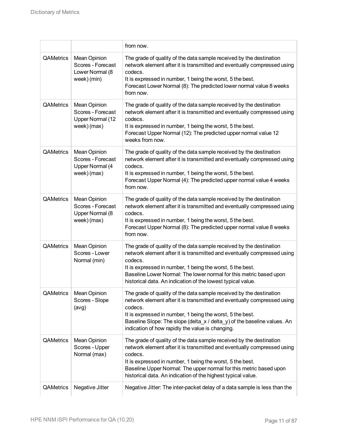|                  |                                                                             | from now.                                                                                                                                                                                                                                                                                                                                                    |
|------------------|-----------------------------------------------------------------------------|--------------------------------------------------------------------------------------------------------------------------------------------------------------------------------------------------------------------------------------------------------------------------------------------------------------------------------------------------------------|
| <b>QAMetrics</b> | <b>Mean Opinion</b><br>Scores - Forecast<br>Lower Normal (8<br>week) (min)  | The grade of quality of the data sample received by the destination<br>network element after it is transmitted and eventually compressed using<br>codecs.<br>It is expressed in number, 1 being the worst, 5 the best.<br>Forecast Lower Normal (8): The predicted lower normal value 8 weeks<br>from now.                                                   |
| <b>QAMetrics</b> | <b>Mean Opinion</b><br>Scores - Forecast<br>Upper Normal (12<br>week) (max) | The grade of quality of the data sample received by the destination<br>network element after it is transmitted and eventually compressed using<br>codecs.<br>It is expressed in number, 1 being the worst, 5 the best.<br>Forecast Upper Normal (12): The predicted upper normal value 12<br>weeks from now.                                                 |
| <b>QAMetrics</b> | Mean Opinion<br>Scores - Forecast<br>Upper Normal (4<br>week) (max)         | The grade of quality of the data sample received by the destination<br>network element after it is transmitted and eventually compressed using<br>codecs.<br>It is expressed in number, 1 being the worst, 5 the best.<br>Forecast Upper Normal (4): The predicted upper normal value 4 weeks<br>from now.                                                   |
| QAMetrics        | <b>Mean Opinion</b><br>Scores - Forecast<br>Upper Normal (8<br>week) (max)  | The grade of quality of the data sample received by the destination<br>network element after it is transmitted and eventually compressed using<br>codecs.<br>It is expressed in number, 1 being the worst, 5 the best.<br>Forecast Upper Normal (8): The predicted upper normal value 8 weeks<br>from now.                                                   |
| QAMetrics        | <b>Mean Opinion</b><br>Scores - Lower<br>Normal (min)                       | The grade of quality of the data sample received by the destination<br>network element after it is transmitted and eventually compressed using<br>codecs.<br>It is expressed in number, 1 being the worst, 5 the best.<br>Baseline Lower Normal: The lower normal for this metric based upon<br>historical data. An indication of the lowest typical value.  |
| QAMetrics        | Mean Opinion<br>Scores - Slope<br>(avg)                                     | The grade of quality of the data sample received by the destination<br>network element after it is transmitted and eventually compressed using<br>codecs.<br>It is expressed in number, 1 being the worst, 5 the best.<br>Baseline Slope: The slope (delta_x / delta_y) of the baseline values. An<br>indication of how rapidly the value is changing.       |
| <b>QAMetrics</b> | <b>Mean Opinion</b><br>Scores - Upper<br>Normal (max)                       | The grade of quality of the data sample received by the destination<br>network element after it is transmitted and eventually compressed using<br>codecs.<br>It is expressed in number, 1 being the worst, 5 the best.<br>Baseline Upper Normal: The upper normal for this metric based upon<br>historical data. An indication of the highest typical value. |
| QAMetrics        | Negative Jitter                                                             | Negative Jitter: The inter-packet delay of a data sample is less than the                                                                                                                                                                                                                                                                                    |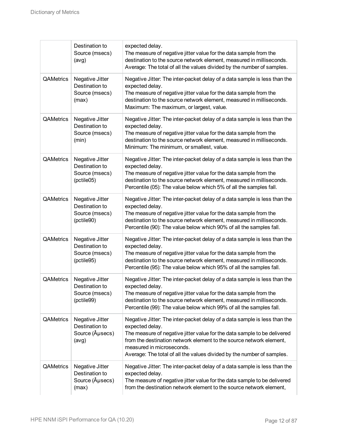| Destination to<br>expected delay.<br>Source (msecs)<br>The measure of negative jitter value for the data sample from the<br>destination to the source network element, measured in milliseconds.<br>(avg)<br>Average: The total of all the values divided by the number of samples.<br>Negative Jitter: The inter-packet delay of a data sample is less than the<br>QAMetrics<br>Negative Jitter<br>Destination to<br>expected delay.<br>Source (msecs)<br>The measure of negative jitter value for the data sample from the<br>destination to the source network element, measured in milliseconds.<br>(max)<br>Maximum: The maximum, or largest, value.<br>QAMetrics<br>Negative Jitter: The inter-packet delay of a data sample is less than the<br>Negative Jitter<br>Destination to<br>expected delay.<br>Source (msecs)<br>The measure of negative jitter value for the data sample from the<br>destination to the source network element, measured in milliseconds.<br>(min)<br>Minimum: The minimum, or smallest, value.<br>QAMetrics<br>Negative Jitter<br>Negative Jitter: The inter-packet delay of a data sample is less than the<br>Destination to<br>expected delay.<br>Source (msecs)<br>The measure of negative jitter value for the data sample from the<br>destination to the source network element, measured in milliseconds.<br>(pctile05)<br>Percentile (05): The value below which 5% of all the samples fall.<br>QAMetrics<br>Negative Jitter<br>Negative Jitter: The inter-packet delay of a data sample is less than the<br>Destination to<br>expected delay.<br>Source (msecs)<br>The measure of negative jitter value for the data sample from the<br>destination to the source network element, measured in milliseconds.<br>(pctile90)<br>Percentile (90): The value below which 90% of all the samples fall.<br>QAMetrics<br>Negative Jitter<br>Negative Jitter: The inter-packet delay of a data sample is less than the<br>Destination to<br>expected delay.<br>Source (msecs)<br>The measure of negative jitter value for the data sample from the<br>destination to the source network element, measured in milliseconds.<br>(pctile95)<br>Percentile (95): The value below which 95% of all the samples fall.<br>QAMetrics<br>Negative Jitter<br>Negative Jitter: The inter-packet delay of a data sample is less than the<br>Destination to<br>expected delay.<br>The measure of negative jitter value for the data sample from the<br>Source (msecs)<br>destination to the source network element, measured in milliseconds.<br>(pctile99)<br>Percentile (99): The value below which 99% of all the samples fall.<br>QAMetrics<br>Negative Jitter<br>Negative Jitter: The inter-packet delay of a data sample is less than the<br>Destination to<br>expected delay.<br>Source (Ausecs)<br>The measure of negative jitter value for the data sample to be delivered<br>from the destination network element to the source network element,<br>(avg)<br>measured in microseconds.<br>Average: The total of all the values divided by the number of samples.<br>QAMetrics<br>Negative Jitter<br>Negative Jitter: The inter-packet delay of a data sample is less than the<br>Destination to<br>expected delay.<br>Source (Ausecs)<br>The measure of negative jitter value for the data sample to be delivered<br>from the destination network element to the source network element,<br>(max) |  |  |
|----------------------------------------------------------------------------------------------------------------------------------------------------------------------------------------------------------------------------------------------------------------------------------------------------------------------------------------------------------------------------------------------------------------------------------------------------------------------------------------------------------------------------------------------------------------------------------------------------------------------------------------------------------------------------------------------------------------------------------------------------------------------------------------------------------------------------------------------------------------------------------------------------------------------------------------------------------------------------------------------------------------------------------------------------------------------------------------------------------------------------------------------------------------------------------------------------------------------------------------------------------------------------------------------------------------------------------------------------------------------------------------------------------------------------------------------------------------------------------------------------------------------------------------------------------------------------------------------------------------------------------------------------------------------------------------------------------------------------------------------------------------------------------------------------------------------------------------------------------------------------------------------------------------------------------------------------------------------------------------------------------------------------------------------------------------------------------------------------------------------------------------------------------------------------------------------------------------------------------------------------------------------------------------------------------------------------------------------------------------------------------------------------------------------------------------------------------------------------------------------------------------------------------------------------------------------------------------------------------------------------------------------------------------------------------------------------------------------------------------------------------------------------------------------------------------------------------------------------------------------------------------------------------------------------------------------------------------------------------------------------------------------------------------------------------------------------------------------------------------------------------------------------------------------------------------------------------------------------------------------------------------------------------------------------------------------------------------------------------------------------------------------------------------------------------|--|--|
|                                                                                                                                                                                                                                                                                                                                                                                                                                                                                                                                                                                                                                                                                                                                                                                                                                                                                                                                                                                                                                                                                                                                                                                                                                                                                                                                                                                                                                                                                                                                                                                                                                                                                                                                                                                                                                                                                                                                                                                                                                                                                                                                                                                                                                                                                                                                                                                                                                                                                                                                                                                                                                                                                                                                                                                                                                                                                                                                                                                                                                                                                                                                                                                                                                                                                                                                                                                                                                  |  |  |
|                                                                                                                                                                                                                                                                                                                                                                                                                                                                                                                                                                                                                                                                                                                                                                                                                                                                                                                                                                                                                                                                                                                                                                                                                                                                                                                                                                                                                                                                                                                                                                                                                                                                                                                                                                                                                                                                                                                                                                                                                                                                                                                                                                                                                                                                                                                                                                                                                                                                                                                                                                                                                                                                                                                                                                                                                                                                                                                                                                                                                                                                                                                                                                                                                                                                                                                                                                                                                                  |  |  |
|                                                                                                                                                                                                                                                                                                                                                                                                                                                                                                                                                                                                                                                                                                                                                                                                                                                                                                                                                                                                                                                                                                                                                                                                                                                                                                                                                                                                                                                                                                                                                                                                                                                                                                                                                                                                                                                                                                                                                                                                                                                                                                                                                                                                                                                                                                                                                                                                                                                                                                                                                                                                                                                                                                                                                                                                                                                                                                                                                                                                                                                                                                                                                                                                                                                                                                                                                                                                                                  |  |  |
|                                                                                                                                                                                                                                                                                                                                                                                                                                                                                                                                                                                                                                                                                                                                                                                                                                                                                                                                                                                                                                                                                                                                                                                                                                                                                                                                                                                                                                                                                                                                                                                                                                                                                                                                                                                                                                                                                                                                                                                                                                                                                                                                                                                                                                                                                                                                                                                                                                                                                                                                                                                                                                                                                                                                                                                                                                                                                                                                                                                                                                                                                                                                                                                                                                                                                                                                                                                                                                  |  |  |
|                                                                                                                                                                                                                                                                                                                                                                                                                                                                                                                                                                                                                                                                                                                                                                                                                                                                                                                                                                                                                                                                                                                                                                                                                                                                                                                                                                                                                                                                                                                                                                                                                                                                                                                                                                                                                                                                                                                                                                                                                                                                                                                                                                                                                                                                                                                                                                                                                                                                                                                                                                                                                                                                                                                                                                                                                                                                                                                                                                                                                                                                                                                                                                                                                                                                                                                                                                                                                                  |  |  |
|                                                                                                                                                                                                                                                                                                                                                                                                                                                                                                                                                                                                                                                                                                                                                                                                                                                                                                                                                                                                                                                                                                                                                                                                                                                                                                                                                                                                                                                                                                                                                                                                                                                                                                                                                                                                                                                                                                                                                                                                                                                                                                                                                                                                                                                                                                                                                                                                                                                                                                                                                                                                                                                                                                                                                                                                                                                                                                                                                                                                                                                                                                                                                                                                                                                                                                                                                                                                                                  |  |  |
|                                                                                                                                                                                                                                                                                                                                                                                                                                                                                                                                                                                                                                                                                                                                                                                                                                                                                                                                                                                                                                                                                                                                                                                                                                                                                                                                                                                                                                                                                                                                                                                                                                                                                                                                                                                                                                                                                                                                                                                                                                                                                                                                                                                                                                                                                                                                                                                                                                                                                                                                                                                                                                                                                                                                                                                                                                                                                                                                                                                                                                                                                                                                                                                                                                                                                                                                                                                                                                  |  |  |
|                                                                                                                                                                                                                                                                                                                                                                                                                                                                                                                                                                                                                                                                                                                                                                                                                                                                                                                                                                                                                                                                                                                                                                                                                                                                                                                                                                                                                                                                                                                                                                                                                                                                                                                                                                                                                                                                                                                                                                                                                                                                                                                                                                                                                                                                                                                                                                                                                                                                                                                                                                                                                                                                                                                                                                                                                                                                                                                                                                                                                                                                                                                                                                                                                                                                                                                                                                                                                                  |  |  |
|                                                                                                                                                                                                                                                                                                                                                                                                                                                                                                                                                                                                                                                                                                                                                                                                                                                                                                                                                                                                                                                                                                                                                                                                                                                                                                                                                                                                                                                                                                                                                                                                                                                                                                                                                                                                                                                                                                                                                                                                                                                                                                                                                                                                                                                                                                                                                                                                                                                                                                                                                                                                                                                                                                                                                                                                                                                                                                                                                                                                                                                                                                                                                                                                                                                                                                                                                                                                                                  |  |  |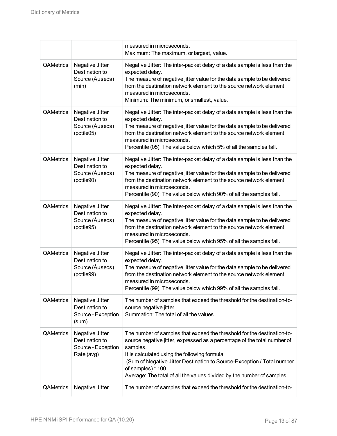|                  |                                                                       | measured in microseconds.<br>Maximum: The maximum, or largest, value.                                                                                                                                                                                                                                                                                                                     |
|------------------|-----------------------------------------------------------------------|-------------------------------------------------------------------------------------------------------------------------------------------------------------------------------------------------------------------------------------------------------------------------------------------------------------------------------------------------------------------------------------------|
| <b>QAMetrics</b> | Negative Jitter<br>Destination to<br>Source (µsecs)<br>(min)          | Negative Jitter: The inter-packet delay of a data sample is less than the<br>expected delay.<br>The measure of negative jitter value for the data sample to be delivered<br>from the destination network element to the source network element,<br>measured in microseconds.<br>Minimum: The minimum, or smallest, value.                                                                 |
| QAMetrics        | Negative Jitter<br>Destination to<br>Source (µsecs)<br>(pctile05)     | Negative Jitter: The inter-packet delay of a data sample is less than the<br>expected delay.<br>The measure of negative jitter value for the data sample to be delivered<br>from the destination network element to the source network element,<br>measured in microseconds.<br>Percentile (05): The value below which 5% of all the samples fall.                                        |
| <b>QAMetrics</b> | Negative Jitter<br>Destination to<br>Source (µsecs)<br>(pctile90)     | Negative Jitter: The inter-packet delay of a data sample is less than the<br>expected delay.<br>The measure of negative jitter value for the data sample to be delivered<br>from the destination network element to the source network element,<br>measured in microseconds.<br>Percentile (90): The value below which 90% of all the samples fall.                                       |
| <b>QAMetrics</b> | Negative Jitter<br>Destination to<br>Source (Ausecs)<br>(pctile95)    | Negative Jitter: The inter-packet delay of a data sample is less than the<br>expected delay.<br>The measure of negative jitter value for the data sample to be delivered<br>from the destination network element to the source network element,<br>measured in microseconds.<br>Percentile (95): The value below which 95% of all the samples fall.                                       |
| <b>QAMetrics</b> | Negative Jitter<br>Destination to<br>Source (Ausecs)<br>(pctile99)    | Negative Jitter: The inter-packet delay of a data sample is less than the<br>expected delay.<br>The measure of negative jitter value for the data sample to be delivered<br>from the destination network element to the source network element,<br>measured in microseconds.<br>Percentile (99): The value below which 99% of all the samples fall.                                       |
| QAMetrics        | Negative Jitter<br>Destination to<br>Source - Exception<br>(sum)      | The number of samples that exceed the threshold for the destination-to-<br>source negative jitter.<br>Summation: The total of all the values.                                                                                                                                                                                                                                             |
| QAMetrics        | Negative Jitter<br>Destination to<br>Source - Exception<br>Rate (avg) | The number of samples that exceed the threshold for the destination-to-<br>source negative jitter, expressed as a percentage of the total number of<br>samples.<br>It is calculated using the following formula:<br>(Sum of Negative Jitter Destination to Source-Exception / Total number<br>of samples) * 100<br>Average: The total of all the values divided by the number of samples. |
| QAMetrics        | Negative Jitter                                                       | The number of samples that exceed the threshold for the destination-to-                                                                                                                                                                                                                                                                                                                   |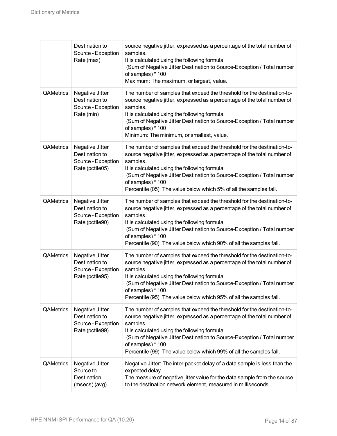|           | Destination to<br>Source - Exception<br>Rate (max)                         | source negative jitter, expressed as a percentage of the total number of<br>samples.<br>It is calculated using the following formula:<br>(Sum of Negative Jitter Destination to Source-Exception / Total number<br>of samples) * 100<br>Maximum: The maximum, or largest, value.                                                                                                       |
|-----------|----------------------------------------------------------------------------|----------------------------------------------------------------------------------------------------------------------------------------------------------------------------------------------------------------------------------------------------------------------------------------------------------------------------------------------------------------------------------------|
| QAMetrics | Negative Jitter<br>Destination to<br>Source - Exception<br>Rate (min)      | The number of samples that exceed the threshold for the destination-to-<br>source negative jitter, expressed as a percentage of the total number of<br>samples.<br>It is calculated using the following formula:<br>(Sum of Negative Jitter Destination to Source-Exception / Total number<br>of samples) * 100<br>Minimum: The minimum, or smallest, value.                           |
| QAMetrics | Negative Jitter<br>Destination to<br>Source - Exception<br>Rate (pctile05) | The number of samples that exceed the threshold for the destination-to-<br>source negative jitter, expressed as a percentage of the total number of<br>samples.<br>It is calculated using the following formula:<br>(Sum of Negative Jitter Destination to Source-Exception / Total number<br>of samples) * 100<br>Percentile (05): The value below which 5% of all the samples fall.  |
| QAMetrics | Negative Jitter<br>Destination to<br>Source - Exception<br>Rate (pctile90) | The number of samples that exceed the threshold for the destination-to-<br>source negative jitter, expressed as a percentage of the total number of<br>samples.<br>It is calculated using the following formula:<br>(Sum of Negative Jitter Destination to Source-Exception / Total number<br>of samples) * 100<br>Percentile (90): The value below which 90% of all the samples fall. |
| QAMetrics | Negative Jitter<br>Destination to<br>Source - Exception<br>Rate (pctile95) | The number of samples that exceed the threshold for the destination-to-<br>source negative jitter, expressed as a percentage of the total number of<br>samples.<br>It is calculated using the following formula:<br>(Sum of Negative Jitter Destination to Source-Exception / Total number<br>of samples) * 100<br>Percentile (95): The value below which 95% of all the samples fall. |
| QAMetrics | Negative Jitter<br>Destination to<br>Source - Exception<br>Rate (pctile99) | The number of samples that exceed the threshold for the destination-to-<br>source negative jitter, expressed as a percentage of the total number of<br>samples.<br>It is calculated using the following formula:<br>(Sum of Negative Jitter Destination to Source-Exception / Total number<br>of samples) * 100<br>Percentile (99): The value below which 99% of all the samples fall. |
| QAMetrics | Negative Jitter<br>Source to<br>Destination<br>(msecs) (avg)               | Negative Jitter: The inter-packet delay of a data sample is less than the<br>expected delay.<br>The measure of negative jitter value for the data sample from the source<br>to the destination network element, measured in milliseconds.                                                                                                                                              |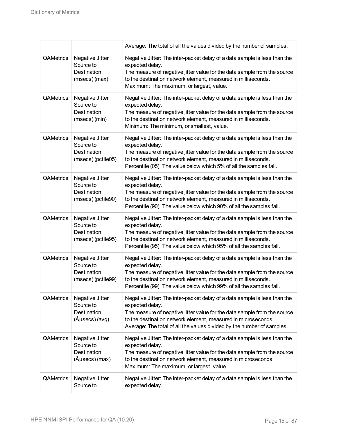|                  |                                                                           | Average: The total of all the values divided by the number of samples.                                                                                                                                                                                                                                              |
|------------------|---------------------------------------------------------------------------|---------------------------------------------------------------------------------------------------------------------------------------------------------------------------------------------------------------------------------------------------------------------------------------------------------------------|
| <b>QAMetrics</b> | Negative Jitter<br>Source to<br>Destination<br>(msecs) (max)              | Negative Jitter: The inter-packet delay of a data sample is less than the<br>expected delay.<br>The measure of negative jitter value for the data sample from the source<br>to the destination network element, measured in milliseconds.<br>Maximum: The maximum, or largest, value.                               |
| QAMetrics        | Negative Jitter<br>Source to<br>Destination<br>(msecs) (min)              | Negative Jitter: The inter-packet delay of a data sample is less than the<br>expected delay.<br>The measure of negative jitter value for the data sample from the source<br>to the destination network element, measured in milliseconds.<br>Minimum: The minimum, or smallest, value.                              |
| QAMetrics        | Negative Jitter<br>Source to<br>Destination<br>(msecs) (pctile05)         | Negative Jitter: The inter-packet delay of a data sample is less than the<br>expected delay.<br>The measure of negative jitter value for the data sample from the source<br>to the destination network element, measured in milliseconds.<br>Percentile (05): The value below which 5% of all the samples fall.     |
| <b>QAMetrics</b> | Negative Jitter<br>Source to<br>Destination<br>(msecs) (pctile90)         | Negative Jitter: The inter-packet delay of a data sample is less than the<br>expected delay.<br>The measure of negative jitter value for the data sample from the source<br>to the destination network element, measured in milliseconds.<br>Percentile (90): The value below which 90% of all the samples fall.    |
| QAMetrics        | Negative Jitter<br>Source to<br>Destination<br>(msecs) (pctile95)         | Negative Jitter: The inter-packet delay of a data sample is less than the<br>expected delay.<br>The measure of negative jitter value for the data sample from the source<br>to the destination network element, measured in milliseconds.<br>Percentile (95): The value below which 95% of all the samples fall.    |
| QAMetrics        | Negative Jitter<br>Source to<br>Destination<br>(msecs) (pctile99)         | Negative Jitter: The inter-packet delay of a data sample is less than the<br>expected delay.<br>The measure of negative jitter value for the data sample from the source<br>to the destination network element, measured in milliseconds.<br>Percentile (99): The value below which 99% of all the samples fall.    |
| QAMetrics        | Negative Jitter<br>Source to<br>Destination<br>(µsecs) (avg)              | Negative Jitter: The inter-packet delay of a data sample is less than the<br>expected delay.<br>The measure of negative jitter value for the data sample from the source<br>to the destination network element, measured in microseconds.<br>Average: The total of all the values divided by the number of samples. |
| QAMetrics        | Negative Jitter<br>Source to<br>Destination<br>$(\hat{A}$ µsecs $)$ (max) | Negative Jitter: The inter-packet delay of a data sample is less than the<br>expected delay.<br>The measure of negative jitter value for the data sample from the source<br>to the destination network element, measured in microseconds.<br>Maximum: The maximum, or largest, value.                               |
| QAMetrics        | Negative Jitter<br>Source to                                              | Negative Jitter: The inter-packet delay of a data sample is less than the<br>expected delay.                                                                                                                                                                                                                        |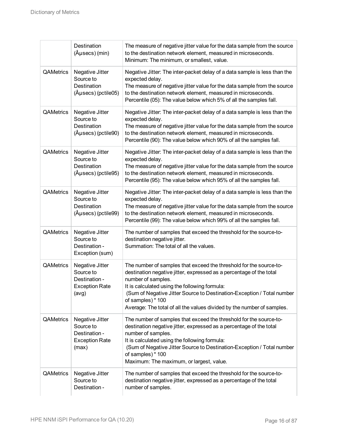|                  | Destination<br>(µsecs) (min)                                                    | The measure of negative jitter value for the data sample from the source<br>to the destination network element, measured in microseconds.<br>Minimum: The minimum, or smallest, value.                                                                                                                                                                                                    |
|------------------|---------------------------------------------------------------------------------|-------------------------------------------------------------------------------------------------------------------------------------------------------------------------------------------------------------------------------------------------------------------------------------------------------------------------------------------------------------------------------------------|
| <b>QAMetrics</b> | Negative Jitter<br>Source to<br>Destination<br>$(\hat{A}$ µsecs $)$ (pctile05)  | Negative Jitter: The inter-packet delay of a data sample is less than the<br>expected delay.<br>The measure of negative jitter value for the data sample from the source<br>to the destination network element, measured in microseconds.<br>Percentile (05): The value below which 5% of all the samples fall.                                                                           |
| <b>QAMetrics</b> | Negative Jitter<br>Source to<br>Destination<br>(µsecs) (pctile90)               | Negative Jitter: The inter-packet delay of a data sample is less than the<br>expected delay.<br>The measure of negative jitter value for the data sample from the source<br>to the destination network element, measured in microseconds.<br>Percentile (90): The value below which 90% of all the samples fall.                                                                          |
| <b>QAMetrics</b> | Negative Jitter<br>Source to<br>Destination<br>$(\hat{A}$ µsecs $)$ (pctile95)  | Negative Jitter: The inter-packet delay of a data sample is less than the<br>expected delay.<br>The measure of negative jitter value for the data sample from the source<br>to the destination network element, measured in microseconds.<br>Percentile (95): The value below which 95% of all the samples fall.                                                                          |
| QAMetrics        | Negative Jitter<br>Source to<br>Destination<br>(µsecs) (pctile99)               | Negative Jitter: The inter-packet delay of a data sample is less than the<br>expected delay.<br>The measure of negative jitter value for the data sample from the source<br>to the destination network element, measured in microseconds.<br>Percentile (99): The value below which 99% of all the samples fall.                                                                          |
| QAMetrics        | Negative Jitter<br>Source to<br>Destination -<br>Exception (sum)                | The number of samples that exceed the threshold for the source-to-<br>destination negative jitter.<br>Summation: The total of all the values.                                                                                                                                                                                                                                             |
| QAMetrics        | Negative Jitter<br>Source to<br>Destination -<br><b>Exception Rate</b><br>(avg) | The number of samples that exceed the threshold for the source-to-<br>destination negative jitter, expressed as a percentage of the total<br>number of samples.<br>It is calculated using the following formula:<br>(Sum of Negative Jitter Source to Destination-Exception / Total number<br>of samples) * 100<br>Average: The total of all the values divided by the number of samples. |
| <b>QAMetrics</b> | Negative Jitter<br>Source to<br>Destination -<br><b>Exception Rate</b><br>(max) | The number of samples that exceed the threshold for the source-to-<br>destination negative jitter, expressed as a percentage of the total<br>number of samples.<br>It is calculated using the following formula:<br>(Sum of Negative Jitter Source to Destination-Exception / Total number<br>of samples) * 100<br>Maximum: The maximum, or largest, value.                               |
| QAMetrics        | Negative Jitter<br>Source to<br>Destination -                                   | The number of samples that exceed the threshold for the source-to-<br>destination negative jitter, expressed as a percentage of the total<br>number of samples.                                                                                                                                                                                                                           |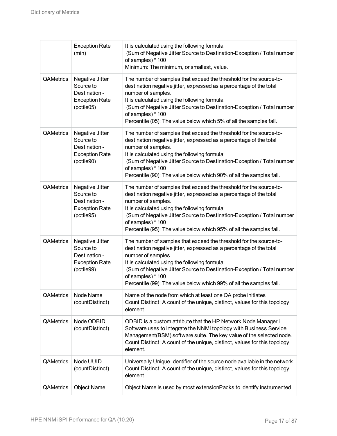|                  | <b>Exception Rate</b><br>(min)                                                       | It is calculated using the following formula:<br>(Sum of Negative Jitter Source to Destination-Exception / Total number<br>of samples) * 100<br>Minimum: The minimum, or smallest, value.                                                                                                                                                                                              |
|------------------|--------------------------------------------------------------------------------------|----------------------------------------------------------------------------------------------------------------------------------------------------------------------------------------------------------------------------------------------------------------------------------------------------------------------------------------------------------------------------------------|
| QAMetrics        | Negative Jitter<br>Source to<br>Destination -<br><b>Exception Rate</b><br>(pctile05) | The number of samples that exceed the threshold for the source-to-<br>destination negative jitter, expressed as a percentage of the total<br>number of samples.<br>It is calculated using the following formula:<br>(Sum of Negative Jitter Source to Destination-Exception / Total number<br>of samples) * 100<br>Percentile (05): The value below which 5% of all the samples fall.  |
| QAMetrics        | Negative Jitter<br>Source to<br>Destination -<br><b>Exception Rate</b><br>(pctile90) | The number of samples that exceed the threshold for the source-to-<br>destination negative jitter, expressed as a percentage of the total<br>number of samples.<br>It is calculated using the following formula:<br>(Sum of Negative Jitter Source to Destination-Exception / Total number<br>of samples) * 100<br>Percentile (90): The value below which 90% of all the samples fall. |
| QAMetrics        | Negative Jitter<br>Source to<br>Destination -<br><b>Exception Rate</b><br>(pctile95) | The number of samples that exceed the threshold for the source-to-<br>destination negative jitter, expressed as a percentage of the total<br>number of samples.<br>It is calculated using the following formula:<br>(Sum of Negative Jitter Source to Destination-Exception / Total number<br>of samples) * 100<br>Percentile (95): The value below which 95% of all the samples fall. |
| QAMetrics        | Negative Jitter<br>Source to<br>Destination -<br><b>Exception Rate</b><br>(pctile99) | The number of samples that exceed the threshold for the source-to-<br>destination negative jitter, expressed as a percentage of the total<br>number of samples.<br>It is calculated using the following formula:<br>(Sum of Negative Jitter Source to Destination-Exception / Total number<br>of samples) * 100<br>Percentile (99): The value below which 99% of all the samples fall. |
| <b>QAMetrics</b> | Node Name<br>(countDistinct)                                                         | Name of the node from which at least one QA probe initiates<br>Count Distinct: A count of the unique, distinct, values for this topology<br>element.                                                                                                                                                                                                                                   |
| QAMetrics        | Node ODBID<br>(countDistinct)                                                        | ODBID is a custom attribute that the HP Network Node Manager i<br>Software uses to integrate the NNMi topology with Business Service<br>Management(BSM) software suite. The key value of the selected node.<br>Count Distinct: A count of the unique, distinct, values for this topology<br>element.                                                                                   |
| <b>QAMetrics</b> | Node UUID<br>(countDistinct)                                                         | Universally Unique Identifier of the source node available in the network<br>Count Distinct: A count of the unique, distinct, values for this topology<br>element.                                                                                                                                                                                                                     |
| QAMetrics        | <b>Object Name</b>                                                                   | Object Name is used by most extension Packs to identify instrumented                                                                                                                                                                                                                                                                                                                   |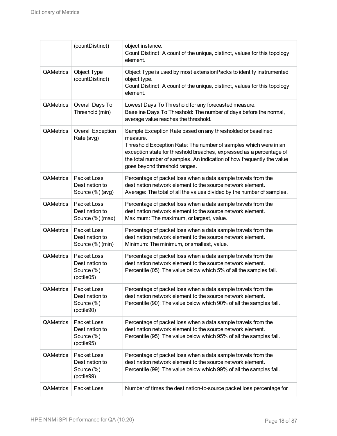|                  | (countDistinct)                                           | object instance.<br>Count Distinct: A count of the unique, distinct, values for this topology<br>element.                                                                                                                                                                                                                      |
|------------------|-----------------------------------------------------------|--------------------------------------------------------------------------------------------------------------------------------------------------------------------------------------------------------------------------------------------------------------------------------------------------------------------------------|
| <b>QAMetrics</b> | Object Type<br>(countDistinct)                            | Object Type is used by most extension Packs to identify instrumented<br>object type.<br>Count Distinct: A count of the unique, distinct, values for this topology<br>element.                                                                                                                                                  |
| <b>QAMetrics</b> | Overall Days To<br>Threshold (min)                        | Lowest Days To Threshold for any forecasted measure.<br>Baseline Days To Threshold: The number of days before the normal,<br>average value reaches the threshold.                                                                                                                                                              |
| <b>QAMetrics</b> | <b>Overall Exception</b><br>Rate (avg)                    | Sample Exception Rate based on any thresholded or baselined<br>measure.<br>Threshold Exception Rate: The number of samples which were in an<br>exception state for threshold breaches, expressed as a percentage of<br>the total number of samples. An indication of how frequently the value<br>goes beyond threshold ranges. |
| <b>QAMetrics</b> | Packet Loss<br>Destination to<br>Source (%) (avg)         | Percentage of packet loss when a data sample travels from the<br>destination network element to the source network element.<br>Average: The total of all the values divided by the number of samples.                                                                                                                          |
| <b>QAMetrics</b> | Packet Loss<br>Destination to<br>Source (%) (max)         | Percentage of packet loss when a data sample travels from the<br>destination network element to the source network element.<br>Maximum: The maximum, or largest, value.                                                                                                                                                        |
| <b>QAMetrics</b> | Packet Loss<br>Destination to<br>Source (%) (min)         | Percentage of packet loss when a data sample travels from the<br>destination network element to the source network element.<br>Minimum: The minimum, or smallest, value.                                                                                                                                                       |
| QAMetrics        | Packet Loss<br>Destination to<br>Source (%)<br>(pctile05) | Percentage of packet loss when a data sample travels from the<br>destination network element to the source network element.<br>Percentile (05): The value below which 5% of all the samples fall.                                                                                                                              |
| QAMetrics        | Packet Loss<br>Destination to<br>Source (%)<br>(pctile90) | Percentage of packet loss when a data sample travels from the<br>destination network element to the source network element.<br>Percentile (90): The value below which 90% of all the samples fall.                                                                                                                             |
| QAMetrics        | Packet Loss<br>Destination to<br>Source (%)<br>(pctile95) | Percentage of packet loss when a data sample travels from the<br>destination network element to the source network element.<br>Percentile (95): The value below which 95% of all the samples fall.                                                                                                                             |
| QAMetrics        | Packet Loss<br>Destination to<br>Source (%)<br>(pctile99) | Percentage of packet loss when a data sample travels from the<br>destination network element to the source network element.<br>Percentile (99): The value below which 99% of all the samples fall.                                                                                                                             |
| QAMetrics        | Packet Loss                                               | Number of times the destination-to-source packet loss percentage for                                                                                                                                                                                                                                                           |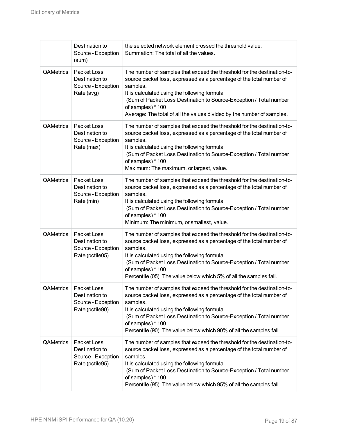|                  | Destination to<br>Source - Exception<br>(sum)                          | the selected network element crossed the threshold value.<br>Summation: The total of all the values.                                                                                                                                                                                                                                                                              |
|------------------|------------------------------------------------------------------------|-----------------------------------------------------------------------------------------------------------------------------------------------------------------------------------------------------------------------------------------------------------------------------------------------------------------------------------------------------------------------------------|
| <b>QAMetrics</b> | Packet Loss<br>Destination to<br>Source - Exception<br>Rate (avg)      | The number of samples that exceed the threshold for the destination-to-<br>source packet loss, expressed as a percentage of the total number of<br>samples.<br>It is calculated using the following formula:<br>(Sum of Packet Loss Destination to Source-Exception / Total number<br>of samples) * 100<br>Average: The total of all the values divided by the number of samples. |
| QAMetrics        | Packet Loss<br>Destination to<br>Source - Exception<br>Rate (max)      | The number of samples that exceed the threshold for the destination-to-<br>source packet loss, expressed as a percentage of the total number of<br>samples.<br>It is calculated using the following formula:<br>(Sum of Packet Loss Destination to Source-Exception / Total number<br>of samples) * 100<br>Maximum: The maximum, or largest, value.                               |
| QAMetrics        | Packet Loss<br>Destination to<br>Source - Exception<br>Rate (min)      | The number of samples that exceed the threshold for the destination-to-<br>source packet loss, expressed as a percentage of the total number of<br>samples.<br>It is calculated using the following formula:<br>(Sum of Packet Loss Destination to Source-Exception / Total number<br>of samples) * 100<br>Minimum: The minimum, or smallest, value.                              |
| QAMetrics        | Packet Loss<br>Destination to<br>Source - Exception<br>Rate (pctile05) | The number of samples that exceed the threshold for the destination-to-<br>source packet loss, expressed as a percentage of the total number of<br>samples.<br>It is calculated using the following formula:<br>(Sum of Packet Loss Destination to Source-Exception / Total number<br>of samples) * 100<br>Percentile (05): The value below which 5% of all the samples fall.     |
| <b>QAMetrics</b> | Packet Loss<br>Destination to<br>Source - Exception<br>Rate (pctile90) | The number of samples that exceed the threshold for the destination-to-<br>source packet loss, expressed as a percentage of the total number of<br>samples.<br>It is calculated using the following formula:<br>(Sum of Packet Loss Destination to Source-Exception / Total number<br>of samples) * 100<br>Percentile (90): The value below which 90% of all the samples fall.    |
| QAMetrics        | Packet Loss<br>Destination to<br>Source - Exception<br>Rate (pctile95) | The number of samples that exceed the threshold for the destination-to-<br>source packet loss, expressed as a percentage of the total number of<br>samples.<br>It is calculated using the following formula:<br>(Sum of Packet Loss Destination to Source-Exception / Total number<br>of samples) * 100<br>Percentile (95): The value below which 95% of all the samples fall.    |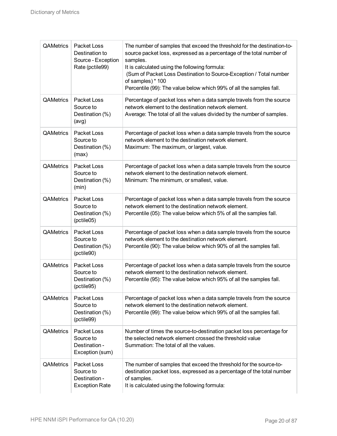| <b>QAMetrics</b> | Packet Loss<br>Destination to<br>Source - Exception<br>Rate (pctile99) | The number of samples that exceed the threshold for the destination-to-<br>source packet loss, expressed as a percentage of the total number of<br>samples.<br>It is calculated using the following formula:<br>(Sum of Packet Loss Destination to Source-Exception / Total number<br>of samples) * 100<br>Percentile (99): The value below which 99% of all the samples fall. |
|------------------|------------------------------------------------------------------------|--------------------------------------------------------------------------------------------------------------------------------------------------------------------------------------------------------------------------------------------------------------------------------------------------------------------------------------------------------------------------------|
| <b>QAMetrics</b> | Packet Loss<br>Source to<br>Destination (%)<br>(avg)                   | Percentage of packet loss when a data sample travels from the source<br>network element to the destination network element.<br>Average: The total of all the values divided by the number of samples.                                                                                                                                                                          |
| <b>QAMetrics</b> | Packet Loss<br>Source to<br>Destination (%)<br>(max)                   | Percentage of packet loss when a data sample travels from the source<br>network element to the destination network element.<br>Maximum: The maximum, or largest, value.                                                                                                                                                                                                        |
| <b>QAMetrics</b> | Packet Loss<br>Source to<br>Destination (%)<br>(min)                   | Percentage of packet loss when a data sample travels from the source<br>network element to the destination network element.<br>Minimum: The minimum, or smallest, value.                                                                                                                                                                                                       |
| <b>QAMetrics</b> | Packet Loss<br>Source to<br>Destination (%)<br>(pctile05)              | Percentage of packet loss when a data sample travels from the source<br>network element to the destination network element.<br>Percentile (05): The value below which 5% of all the samples fall.                                                                                                                                                                              |
| <b>QAMetrics</b> | Packet Loss<br>Source to<br>Destination (%)<br>(pctile90)              | Percentage of packet loss when a data sample travels from the source<br>network element to the destination network element.<br>Percentile (90): The value below which 90% of all the samples fall.                                                                                                                                                                             |
| <b>QAMetrics</b> | Packet Loss<br>Source to<br>Destination (%)<br>(pctile95)              | Percentage of packet loss when a data sample travels from the source<br>network element to the destination network element.<br>Percentile (95): The value below which 95% of all the samples fall.                                                                                                                                                                             |
| QAMetrics        | Packet Loss<br>Source to<br>Destination (%)<br>(pctile99)              | Percentage of packet loss when a data sample travels from the source<br>network element to the destination network element.<br>Percentile (99): The value below which 99% of all the samples fall.                                                                                                                                                                             |
| QAMetrics        | Packet Loss<br>Source to<br>Destination -<br>Exception (sum)           | Number of times the source-to-destination packet loss percentage for<br>the selected network element crossed the threshold value<br>Summation: The total of all the values.                                                                                                                                                                                                    |
| QAMetrics        | Packet Loss<br>Source to<br>Destination -<br><b>Exception Rate</b>     | The number of samples that exceed the threshold for the source-to-<br>destination packet loss, expressed as a percentage of the total number<br>of samples.<br>It is calculated using the following formula:                                                                                                                                                                   |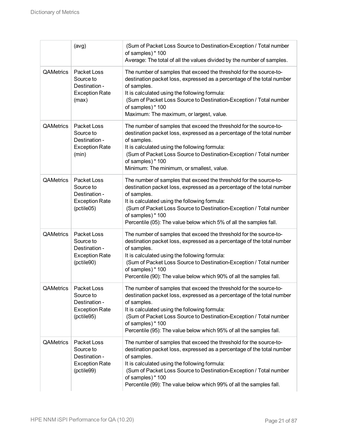|                  | (avg)                                                                            | (Sum of Packet Loss Source to Destination-Exception / Total number<br>of samples) * 100<br>Average: The total of all the values divided by the number of samples.                                                                                                                                                                                                              |
|------------------|----------------------------------------------------------------------------------|--------------------------------------------------------------------------------------------------------------------------------------------------------------------------------------------------------------------------------------------------------------------------------------------------------------------------------------------------------------------------------|
| <b>QAMetrics</b> | Packet Loss<br>Source to<br>Destination -<br><b>Exception Rate</b><br>(max)      | The number of samples that exceed the threshold for the source-to-<br>destination packet loss, expressed as a percentage of the total number<br>of samples.<br>It is calculated using the following formula:<br>(Sum of Packet Loss Source to Destination-Exception / Total number<br>of samples) * 100<br>Maximum: The maximum, or largest, value.                            |
| <b>QAMetrics</b> | Packet Loss<br>Source to<br>Destination -<br><b>Exception Rate</b><br>(min)      | The number of samples that exceed the threshold for the source-to-<br>destination packet loss, expressed as a percentage of the total number<br>of samples.<br>It is calculated using the following formula:<br>(Sum of Packet Loss Source to Destination-Exception / Total number<br>of samples) * 100<br>Minimum: The minimum, or smallest, value.                           |
| <b>QAMetrics</b> | Packet Loss<br>Source to<br>Destination -<br><b>Exception Rate</b><br>(pctile05) | The number of samples that exceed the threshold for the source-to-<br>destination packet loss, expressed as a percentage of the total number<br>of samples.<br>It is calculated using the following formula:<br>(Sum of Packet Loss Source to Destination-Exception / Total number<br>of samples) * 100<br>Percentile (05): The value below which 5% of all the samples fall.  |
| QAMetrics        | Packet Loss<br>Source to<br>Destination -<br><b>Exception Rate</b><br>(pctile90) | The number of samples that exceed the threshold for the source-to-<br>destination packet loss, expressed as a percentage of the total number<br>of samples.<br>It is calculated using the following formula:<br>(Sum of Packet Loss Source to Destination-Exception / Total number<br>of samples) * 100<br>Percentile (90): The value below which 90% of all the samples fall. |
| <b>QAMetrics</b> | Packet Loss<br>Source to<br>Destination -<br><b>Exception Rate</b><br>(pctile95) | The number of samples that exceed the threshold for the source-to-<br>destination packet loss, expressed as a percentage of the total number<br>of samples.<br>It is calculated using the following formula:<br>(Sum of Packet Loss Source to Destination-Exception / Total number<br>of samples) * 100<br>Percentile (95): The value below which 95% of all the samples fall. |
| <b>QAMetrics</b> | Packet Loss<br>Source to<br>Destination -<br><b>Exception Rate</b><br>(pctile99) | The number of samples that exceed the threshold for the source-to-<br>destination packet loss, expressed as a percentage of the total number<br>of samples.<br>It is calculated using the following formula:<br>(Sum of Packet Loss Source to Destination-Exception / Total number<br>of samples) * 100<br>Percentile (99): The value below which 99% of all the samples fall. |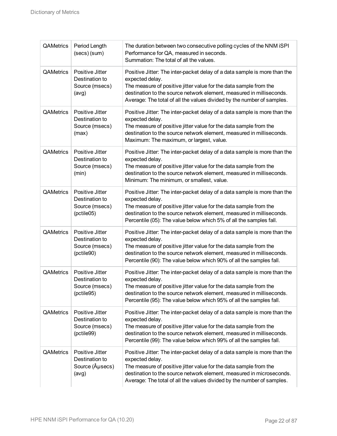| QAMetrics | Period Length<br>(secs) (sum)                                     | The duration between two consecutive polling cycles of the NNM iSPI<br>Performance for QA, measured in seconds.<br>Summation: The total of all the values.                                                                                                                                                          |
|-----------|-------------------------------------------------------------------|---------------------------------------------------------------------------------------------------------------------------------------------------------------------------------------------------------------------------------------------------------------------------------------------------------------------|
| QAMetrics | Positive Jitter<br>Destination to<br>Source (msecs)<br>(avg)      | Positive Jitter: The inter-packet delay of a data sample is more than the<br>expected delay.<br>The measure of positive jitter value for the data sample from the<br>destination to the source network element, measured in milliseconds.<br>Average: The total of all the values divided by the number of samples. |
| QAMetrics | Positive Jitter<br>Destination to<br>Source (msecs)<br>(max)      | Positive Jitter: The inter-packet delay of a data sample is more than the<br>expected delay.<br>The measure of positive jitter value for the data sample from the<br>destination to the source network element, measured in milliseconds.<br>Maximum: The maximum, or largest, value.                               |
| QAMetrics | Positive Jitter<br>Destination to<br>Source (msecs)<br>(min)      | Positive Jitter: The inter-packet delay of a data sample is more than the<br>expected delay.<br>The measure of positive jitter value for the data sample from the<br>destination to the source network element, measured in milliseconds.<br>Minimum: The minimum, or smallest, value.                              |
| QAMetrics | Positive Jitter<br>Destination to<br>Source (msecs)<br>(pctile05) | Positive Jitter: The inter-packet delay of a data sample is more than the<br>expected delay.<br>The measure of positive jitter value for the data sample from the<br>destination to the source network element, measured in milliseconds.<br>Percentile (05): The value below which 5% of all the samples fall.     |
| QAMetrics | Positive Jitter<br>Destination to<br>Source (msecs)<br>(pctile90) | Positive Jitter: The inter-packet delay of a data sample is more than the<br>expected delay.<br>The measure of positive jitter value for the data sample from the<br>destination to the source network element, measured in milliseconds.<br>Percentile (90): The value below which 90% of all the samples fall.    |
| QAMetrics | Positive Jitter<br>Destination to<br>Source (msecs)<br>(pctile95) | Positive Jitter: The inter-packet delay of a data sample is more than the<br>expected delay.<br>The measure of positive jitter value for the data sample from the<br>destination to the source network element, measured in milliseconds.<br>Percentile (95): The value below which 95% of all the samples fall.    |
| QAMetrics | Positive Jitter<br>Destination to<br>Source (msecs)<br>(pctile99) | Positive Jitter: The inter-packet delay of a data sample is more than the<br>expected delay.<br>The measure of positive jitter value for the data sample from the<br>destination to the source network element, measured in milliseconds.<br>Percentile (99): The value below which 99% of all the samples fall.    |
| QAMetrics | Positive Jitter<br>Destination to<br>Source (Ausecs)<br>(avg)     | Positive Jitter: The inter-packet delay of a data sample is more than the<br>expected delay.<br>The measure of positive jitter value for the data sample from the<br>destination to the source network element, measured in microseconds.<br>Average: The total of all the values divided by the number of samples. |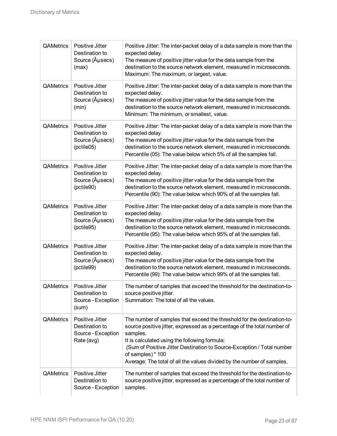| QAMetrics        | Positive Jitter<br>Destination to<br>Source (Ausecs)<br>(max)         | Positive Jitter: The inter-packet delay of a data sample is more than the<br>expected delay.<br>The measure of positive jitter value for the data sample from the<br>destination to the source network element, measured in microseconds.<br>Maximum: The maximum, or largest, value.                                                                                                     |
|------------------|-----------------------------------------------------------------------|-------------------------------------------------------------------------------------------------------------------------------------------------------------------------------------------------------------------------------------------------------------------------------------------------------------------------------------------------------------------------------------------|
| QAMetrics        | Positive Jitter<br>Destination to<br>Source (µsecs)<br>(min)          | Positive Jitter: The inter-packet delay of a data sample is more than the<br>expected delay.<br>The measure of positive jitter value for the data sample from the<br>destination to the source network element, measured in microseconds.<br>Minimum: The minimum, or smallest, value.                                                                                                    |
| <b>QAMetrics</b> | Positive Jitter<br>Destination to<br>Source (Ausecs)<br>(pctile05)    | Positive Jitter: The inter-packet delay of a data sample is more than the<br>expected delay.<br>The measure of positive jitter value for the data sample from the<br>destination to the source network element, measured in microseconds.<br>Percentile (05): The value below which 5% of all the samples fall.                                                                           |
| QAMetrics        | Positive Jitter<br>Destination to<br>Source (µsecs)<br>(pctile90)     | Positive Jitter: The inter-packet delay of a data sample is more than the<br>expected delay.<br>The measure of positive jitter value for the data sample from the<br>destination to the source network element, measured in microseconds.<br>Percentile (90): The value below which 90% of all the samples fall.                                                                          |
| QAMetrics        | Positive Jitter<br>Destination to<br>Source (Ausecs)<br>(pctile95)    | Positive Jitter: The inter-packet delay of a data sample is more than the<br>expected delay.<br>The measure of positive jitter value for the data sample from the<br>destination to the source network element, measured in microseconds.<br>Percentile (95): The value below which 95% of all the samples fall.                                                                          |
| QAMetrics        | Positive Jitter<br>Destination to<br>Source (Ausecs)<br>(pctile99)    | Positive Jitter: The inter-packet delay of a data sample is more than the<br>expected delay.<br>The measure of positive jitter value for the data sample from the<br>destination to the source network element, measured in microseconds.<br>Percentile (99): The value below which 99% of all the samples fall.                                                                          |
| QAMetrics        | Positive Jitter<br>Destination to<br>Source - Exception<br>(sum)      | The number of samples that exceed the threshold for the destination-to-<br>source positive jitter.<br>Summation: The total of all the values.                                                                                                                                                                                                                                             |
| QAMetrics        | Positive Jitter<br>Destination to<br>Source - Exception<br>Rate (avg) | The number of samples that exceed the threshold for the destination-to-<br>source positive jitter, expressed as a percentage of the total number of<br>samples.<br>It is calculated using the following formula:<br>(Sum of Positive Jitter Destination to Source-Exception / Total number<br>of samples) * 100<br>Average: The total of all the values divided by the number of samples. |
| QAMetrics        | Positive Jitter<br>Destination to<br>Source - Exception               | The number of samples that exceed the threshold for the destination-to-<br>source positive jitter, expressed as a percentage of the total number of<br>samples.                                                                                                                                                                                                                           |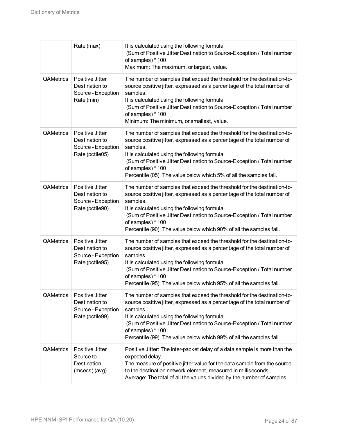|                  | Rate (max)                                                                 | It is calculated using the following formula:<br>(Sum of Positive Jitter Destination to Source-Exception / Total number<br>of samples) * 100<br>Maximum: The maximum, or largest, value.                                                                                                                                                                                               |
|------------------|----------------------------------------------------------------------------|----------------------------------------------------------------------------------------------------------------------------------------------------------------------------------------------------------------------------------------------------------------------------------------------------------------------------------------------------------------------------------------|
| QAMetrics        | Positive Jitter<br>Destination to<br>Source - Exception<br>Rate (min)      | The number of samples that exceed the threshold for the destination-to-<br>source positive jitter, expressed as a percentage of the total number of<br>samples.<br>It is calculated using the following formula:<br>(Sum of Positive Jitter Destination to Source-Exception / Total number<br>of samples) * 100<br>Minimum: The minimum, or smallest, value.                           |
| QAMetrics        | Positive Jitter<br>Destination to<br>Source - Exception<br>Rate (pctile05) | The number of samples that exceed the threshold for the destination-to-<br>source positive jitter, expressed as a percentage of the total number of<br>samples.<br>It is calculated using the following formula:<br>(Sum of Positive Jitter Destination to Source-Exception / Total number<br>of samples) * 100<br>Percentile (05): The value below which 5% of all the samples fall.  |
| QAMetrics        | Positive Jitter<br>Destination to<br>Source - Exception<br>Rate (pctile90) | The number of samples that exceed the threshold for the destination-to-<br>source positive jitter, expressed as a percentage of the total number of<br>samples.<br>It is calculated using the following formula:<br>(Sum of Positive Jitter Destination to Source-Exception / Total number<br>of samples) * 100<br>Percentile (90): The value below which 90% of all the samples fall. |
| QAMetrics        | Positive Jitter<br>Destination to<br>Source - Exception<br>Rate (pctile95) | The number of samples that exceed the threshold for the destination-to-<br>source positive jitter, expressed as a percentage of the total number of<br>samples.<br>It is calculated using the following formula:<br>(Sum of Positive Jitter Destination to Source-Exception / Total number<br>of samples) * 100<br>Percentile (95): The value below which 95% of all the samples fall. |
| <b>QAMetrics</b> | Positive Jitter<br>Destination to<br>Source - Exception<br>Rate (pctile99) | The number of samples that exceed the threshold for the destination-to-<br>source positive jitter, expressed as a percentage of the total number of<br>samples.<br>It is calculated using the following formula:<br>(Sum of Positive Jitter Destination to Source-Exception / Total number<br>of samples) * 100<br>Percentile (99): The value below which 99% of all the samples fall. |
| QAMetrics        | Positive Jitter<br>Source to<br>Destination<br>(msecs) (avg)               | Positive Jitter: The inter-packet delay of a data sample is more than the<br>expected delay.<br>The measure of positive jitter value for the data sample from the source<br>to the destination network element, measured in milliseconds.<br>Average: The total of all the values divided by the number of samples.                                                                    |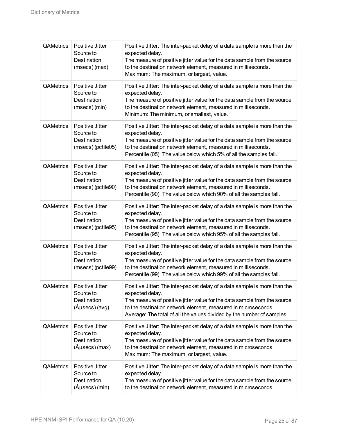| <b>QAMetrics</b> | Positive Jitter<br>Source to<br>Destination<br>(msecs) (max)                          | Positive Jitter: The inter-packet delay of a data sample is more than the<br>expected delay.<br>The measure of positive jitter value for the data sample from the source<br>to the destination network element, measured in milliseconds.<br>Maximum: The maximum, or largest, value.                               |
|------------------|---------------------------------------------------------------------------------------|---------------------------------------------------------------------------------------------------------------------------------------------------------------------------------------------------------------------------------------------------------------------------------------------------------------------|
| QAMetrics        | Positive Jitter<br>Source to<br>Destination<br>(msecs) (min)                          | Positive Jitter: The inter-packet delay of a data sample is more than the<br>expected delay.<br>The measure of positive jitter value for the data sample from the source<br>to the destination network element, measured in milliseconds.<br>Minimum: The minimum, or smallest, value.                              |
| QAMetrics        | Positive Jitter<br>Source to<br>Destination<br>(msecs) (pctile05)                     | Positive Jitter: The inter-packet delay of a data sample is more than the<br>expected delay.<br>The measure of positive jitter value for the data sample from the source<br>to the destination network element, measured in milliseconds.<br>Percentile (05): The value below which 5% of all the samples fall.     |
| QAMetrics        | Positive Jitter<br>Source to<br>Destination<br>(msecs) (pctile90)                     | Positive Jitter: The inter-packet delay of a data sample is more than the<br>expected delay.<br>The measure of positive jitter value for the data sample from the source<br>to the destination network element, measured in milliseconds.<br>Percentile (90): The value below which 90% of all the samples fall.    |
| <b>QAMetrics</b> | Positive Jitter<br>Source to<br>Destination<br>(msecs) (pctile95)                     | Positive Jitter: The inter-packet delay of a data sample is more than the<br>expected delay.<br>The measure of positive jitter value for the data sample from the source<br>to the destination network element, measured in milliseconds.<br>Percentile (95): The value below which 95% of all the samples fall.    |
| QAMetrics        | Positive Jitter<br>Source to<br>Destination<br>(msecs) (pctile99)                     | Positive Jitter: The inter-packet delay of a data sample is more than the<br>expected delay.<br>The measure of positive jitter value for the data sample from the source<br>to the destination network element, measured in milliseconds.<br>Percentile (99): The value below which 99% of all the samples fall.    |
|                  | QAMetrics   Positive Jitter<br>Source to<br>Destination<br>$(\hat{A}$ µsecs $)$ (avg) | Positive Jitter: The inter-packet delay of a data sample is more than the<br>expected delay.<br>The measure of positive jitter value for the data sample from the source<br>to the destination network element, measured in microseconds.<br>Average: The total of all the values divided by the number of samples. |
| <b>QAMetrics</b> | Positive Jitter<br>Source to<br>Destination<br>$(\hat{A}$ µsecs $)$ (max)             | Positive Jitter: The inter-packet delay of a data sample is more than the<br>expected delay.<br>The measure of positive jitter value for the data sample from the source<br>to the destination network element, measured in microseconds.<br>Maximum: The maximum, or largest, value.                               |
| QAMetrics        | Positive Jitter<br>Source to<br>Destination<br>$(\hat{A}$ µsecs $)$ (min)             | Positive Jitter: The inter-packet delay of a data sample is more than the<br>expected delay.<br>The measure of positive jitter value for the data sample from the source<br>to the destination network element, measured in microseconds.                                                                           |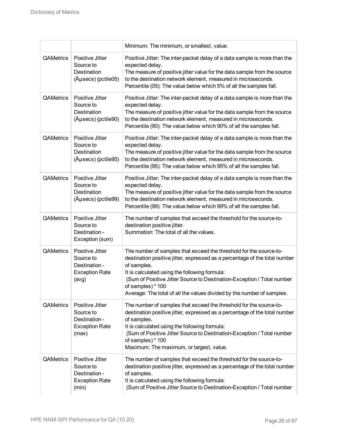|           |                                                                                        | Minimum: The minimum, or smallest, value.                                                                                                                                                                                                                                                                                                                                                 |
|-----------|----------------------------------------------------------------------------------------|-------------------------------------------------------------------------------------------------------------------------------------------------------------------------------------------------------------------------------------------------------------------------------------------------------------------------------------------------------------------------------------------|
| QAMetrics | Positive Jitter<br>Source to<br>Destination<br>(µsecs) (pctile05)                      | Positive Jitter: The inter-packet delay of a data sample is more than the<br>expected delay.<br>The measure of positive jitter value for the data sample from the source<br>to the destination network element, measured in microseconds.<br>Percentile (05): The value below which 5% of all the samples fall.                                                                           |
| QAMetrics | Positive Jitter<br>Source to<br>Destination<br>(µsecs) (pctile90)                      | Positive Jitter: The inter-packet delay of a data sample is more than the<br>expected delay.<br>The measure of positive jitter value for the data sample from the source<br>to the destination network element, measured in microseconds.<br>Percentile (90): The value below which 90% of all the samples fall.                                                                          |
| QAMetrics | Positive Jitter<br>Source to<br>Destination<br>(µsecs) (pctile95)                      | Positive Jitter: The inter-packet delay of a data sample is more than the<br>expected delay.<br>The measure of positive jitter value for the data sample from the source<br>to the destination network element, measured in microseconds.<br>Percentile (95): The value below which 95% of all the samples fall.                                                                          |
| QAMetrics | Positive Jitter<br>Source to<br>Destination<br>(µsecs) (pctile99)                      | Positive Jitter: The inter-packet delay of a data sample is more than the<br>expected delay.<br>The measure of positive jitter value for the data sample from the source<br>to the destination network element, measured in microseconds.<br>Percentile (99): The value below which 99% of all the samples fall.                                                                          |
| QAMetrics | Positive Jitter<br>Source to<br>Destination -<br>Exception (sum)                       | The number of samples that exceed the threshold for the source-to-<br>destination positive jitter.<br>Summation: The total of all the values.                                                                                                                                                                                                                                             |
| QAMetrics | Positive Jitter<br>Source to<br>Destination -<br><b>Exception Rate</b><br>(avg)        | The number of samples that exceed the threshold for the source-to-<br>destination positive jitter, expressed as a percentage of the total number<br>of samples.<br>It is calculated using the following formula:<br>(Sum of Positive Jitter Source to Destination-Exception / Total number<br>of samples) * 100<br>Average: The total of all the values divided by the number of samples. |
| QAMetrics | Positive Jitter<br>Source to<br>Destination -<br><b>Exception Rate</b><br>(max)        | The number of samples that exceed the threshold for the source-to-<br>destination positive jitter, expressed as a percentage of the total number<br>of samples.<br>It is calculated using the following formula:<br>(Sum of Positive Jitter Source to Destination-Exception / Total number<br>of samples) * 100<br>Maximum: The maximum, or largest, value.                               |
| QAMetrics | <b>Positive Jitter</b><br>Source to<br>Destination -<br><b>Exception Rate</b><br>(min) | The number of samples that exceed the threshold for the source-to-<br>destination positive jitter, expressed as a percentage of the total number<br>of samples.<br>It is calculated using the following formula:<br>(Sum of Positive Jitter Source to Destination-Exception / Total number                                                                                                |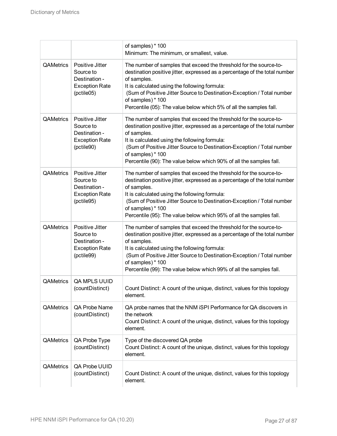|                  |                                                                                             | of samples) * 100<br>Minimum: The minimum, or smallest, value.                                                                                                                                                                                                                                                                                                                         |
|------------------|---------------------------------------------------------------------------------------------|----------------------------------------------------------------------------------------------------------------------------------------------------------------------------------------------------------------------------------------------------------------------------------------------------------------------------------------------------------------------------------------|
| <b>QAMetrics</b> | Positive Jitter<br>Source to<br>Destination -<br><b>Exception Rate</b><br>(pctile05)        | The number of samples that exceed the threshold for the source-to-<br>destination positive jitter, expressed as a percentage of the total number<br>of samples.<br>It is calculated using the following formula:<br>(Sum of Positive Jitter Source to Destination-Exception / Total number<br>of samples) * 100<br>Percentile (05): The value below which 5% of all the samples fall.  |
| QAMetrics        | Positive Jitter<br>Source to<br>Destination -<br><b>Exception Rate</b><br>(pctile90)        | The number of samples that exceed the threshold for the source-to-<br>destination positive jitter, expressed as a percentage of the total number<br>of samples.<br>It is calculated using the following formula:<br>(Sum of Positive Jitter Source to Destination-Exception / Total number<br>of samples) * 100<br>Percentile (90): The value below which 90% of all the samples fall. |
| <b>QAMetrics</b> | Positive Jitter<br>Source to<br>Destination -<br><b>Exception Rate</b><br>(pctile95)        | The number of samples that exceed the threshold for the source-to-<br>destination positive jitter, expressed as a percentage of the total number<br>of samples.<br>It is calculated using the following formula:<br>(Sum of Positive Jitter Source to Destination-Exception / Total number<br>of samples) * 100<br>Percentile (95): The value below which 95% of all the samples fall. |
| <b>QAMetrics</b> | <b>Positive Jitter</b><br>Source to<br>Destination -<br><b>Exception Rate</b><br>(pctile99) | The number of samples that exceed the threshold for the source-to-<br>destination positive jitter, expressed as a percentage of the total number<br>of samples.<br>It is calculated using the following formula:<br>(Sum of Positive Jitter Source to Destination-Exception / Total number<br>of samples) * 100<br>Percentile (99): The value below which 99% of all the samples fall. |
| <b>QAMetrics</b> | QA MPLS UUID<br>(countDistinct)                                                             | Count Distinct: A count of the unique, distinct, values for this topology<br>element.                                                                                                                                                                                                                                                                                                  |
| QAMetrics        | QA Probe Name<br>(countDistinct)                                                            | QA probe names that the NNM iSPI Performance for QA discovers in<br>the network<br>Count Distinct: A count of the unique, distinct, values for this topology<br>element.                                                                                                                                                                                                               |
| QAMetrics        | QA Probe Type<br>(countDistinct)                                                            | Type of the discovered QA probe<br>Count Distinct: A count of the unique, distinct, values for this topology<br>element.                                                                                                                                                                                                                                                               |
| QAMetrics        | QA Probe UUID<br>(countDistinct)                                                            | Count Distinct: A count of the unique, distinct, values for this topology<br>element.                                                                                                                                                                                                                                                                                                  |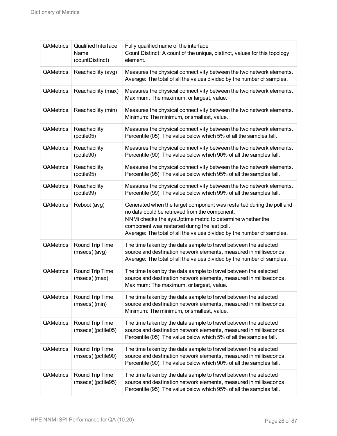| <b>QAMetrics</b> | <b>Qualified Interface</b><br>Name<br>(countDistinct) | Fully qualified name of the interface<br>Count Distinct: A count of the unique, distinct, values for this topology<br>element.                                                                                                                                                                                  |
|------------------|-------------------------------------------------------|-----------------------------------------------------------------------------------------------------------------------------------------------------------------------------------------------------------------------------------------------------------------------------------------------------------------|
| <b>QAMetrics</b> | Reachability (avg)                                    | Measures the physical connectivity between the two network elements.<br>Average: The total of all the values divided by the number of samples.                                                                                                                                                                  |
| <b>QAMetrics</b> | Reachability (max)                                    | Measures the physical connectivity between the two network elements.<br>Maximum: The maximum, or largest, value.                                                                                                                                                                                                |
| <b>QAMetrics</b> | Reachability (min)                                    | Measures the physical connectivity between the two network elements.<br>Minimum: The minimum, or smallest, value.                                                                                                                                                                                               |
| <b>QAMetrics</b> | Reachability<br>(pctile05)                            | Measures the physical connectivity between the two network elements.<br>Percentile (05): The value below which 5% of all the samples fall.                                                                                                                                                                      |
| <b>QAMetrics</b> | Reachability<br>(pctile90)                            | Measures the physical connectivity between the two network elements.<br>Percentile (90): The value below which 90% of all the samples fall.                                                                                                                                                                     |
| <b>QAMetrics</b> | Reachability<br>(pctile95)                            | Measures the physical connectivity between the two network elements.<br>Percentile (95): The value below which 95% of all the samples fall.                                                                                                                                                                     |
| <b>QAMetrics</b> | Reachability<br>(pctile99)                            | Measures the physical connectivity between the two network elements.<br>Percentile (99): The value below which 99% of all the samples fall.                                                                                                                                                                     |
| <b>QAMetrics</b> | Reboot (avg)                                          | Generated when the target component was restarted during the poll and<br>no data could be retrieved from the component.<br>NNMi checks the sysUptime metric to determine whether the<br>component was restarted during the last poll.<br>Average: The total of all the values divided by the number of samples. |
| <b>QAMetrics</b> | Round Trip Time<br>(msecs) (avg)                      | The time taken by the data sample to travel between the selected<br>source and destination network elements, measured in milliseconds.<br>Average: The total of all the values divided by the number of samples.                                                                                                |
| <b>QAMetrics</b> | Round Trip Time<br>(msecs) (max)                      | The time taken by the data sample to travel between the selected<br>source and destination network elements, measured in milliseconds.<br>Maximum: The maximum, or largest, value.                                                                                                                              |
| <b>QAMetrics</b> | Round Trip Time<br>(msecs) (min)                      | The time taken by the data sample to travel between the selected<br>source and destination network elements, measured in milliseconds.<br>Minimum: The minimum, or smallest, value.                                                                                                                             |
| <b>QAMetrics</b> | Round Trip Time<br>(msecs) (pctile05)                 | The time taken by the data sample to travel between the selected<br>source and destination network elements, measured in milliseconds.<br>Percentile (05): The value below which 5% of all the samples fall.                                                                                                    |
| <b>QAMetrics</b> | Round Trip Time<br>(msecs) (pctile90)                 | The time taken by the data sample to travel between the selected<br>source and destination network elements, measured in milliseconds.<br>Percentile (90): The value below which 90% of all the samples fall.                                                                                                   |
| <b>QAMetrics</b> | Round Trip Time<br>(msecs) (pctile95)                 | The time taken by the data sample to travel between the selected<br>source and destination network elements, measured in milliseconds.<br>Percentile (95): The value below which 95% of all the samples fall.                                                                                                   |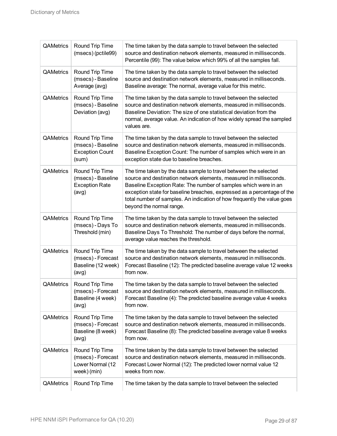| <b>QAMetrics</b> | Round Trip Time<br>(msecs) (pctile99)                                    | The time taken by the data sample to travel between the selected<br>source and destination network elements, measured in milliseconds.<br>Percentile (99): The value below which 99% of all the samples fall.                                                                                                                                                                               |
|------------------|--------------------------------------------------------------------------|---------------------------------------------------------------------------------------------------------------------------------------------------------------------------------------------------------------------------------------------------------------------------------------------------------------------------------------------------------------------------------------------|
| <b>QAMetrics</b> | Round Trip Time<br>(msecs) - Baseline<br>Average (avg)                   | The time taken by the data sample to travel between the selected<br>source and destination network elements, measured in milliseconds.<br>Baseline average: The normal, average value for this metric.                                                                                                                                                                                      |
| <b>QAMetrics</b> | Round Trip Time<br>(msecs) - Baseline<br>Deviation (avg)                 | The time taken by the data sample to travel between the selected<br>source and destination network elements, measured in milliseconds.<br>Baseline Deviation: The size of one statistical deviation from the<br>normal, average value. An indication of how widely spread the sampled<br>values are.                                                                                        |
| <b>QAMetrics</b> | Round Trip Time<br>(msecs) - Baseline<br><b>Exception Count</b><br>(sum) | The time taken by the data sample to travel between the selected<br>source and destination network elements, measured in milliseconds.<br>Baseline Exception Count: The number of samples which were in an<br>exception state due to baseline breaches.                                                                                                                                     |
| <b>QAMetrics</b> | Round Trip Time<br>(msecs) - Baseline<br><b>Exception Rate</b><br>(avg)  | The time taken by the data sample to travel between the selected<br>source and destination network elements, measured in milliseconds.<br>Baseline Exception Rate: The number of samples which were in an<br>exception state for baseline breaches, expressed as a percentage of the<br>total number of samples. An indication of how frequently the value goes<br>beyond the normal range. |
| <b>QAMetrics</b> | Round Trip Time<br>(msecs) - Days To<br>Threshold (min)                  | The time taken by the data sample to travel between the selected<br>source and destination network elements, measured in milliseconds.<br>Baseline Days To Threshold: The number of days before the normal,<br>average value reaches the threshold.                                                                                                                                         |
| <b>QAMetrics</b> | Round Trip Time<br>(msecs) - Forecast<br>Baseline (12 week)<br>(avg)     | The time taken by the data sample to travel between the selected<br>source and destination network elements, measured in milliseconds.<br>Forecast Baseline (12): The predicted baseline average value 12 weeks<br>from now.                                                                                                                                                                |
| QAMetrics        | Round Trip Time<br>(msecs) - Forecast<br>Baseline (4 week)<br>(avg)      | The time taken by the data sample to travel between the selected<br>source and destination network elements, measured in milliseconds.<br>Forecast Baseline (4): The predicted baseline average value 4 weeks<br>from now.                                                                                                                                                                  |
| QAMetrics        | Round Trip Time<br>(msecs) - Forecast<br>Baseline (8 week)<br>(avg)      | The time taken by the data sample to travel between the selected<br>source and destination network elements, measured in milliseconds.<br>Forecast Baseline (8): The predicted baseline average value 8 weeks<br>from now.                                                                                                                                                                  |
| QAMetrics        | Round Trip Time<br>(msecs) - Forecast<br>Lower Normal (12<br>week) (min) | The time taken by the data sample to travel between the selected<br>source and destination network elements, measured in milliseconds.<br>Forecast Lower Normal (12): The predicted lower normal value 12<br>weeks from now.                                                                                                                                                                |
| QAMetrics        | Round Trip Time                                                          | The time taken by the data sample to travel between the selected                                                                                                                                                                                                                                                                                                                            |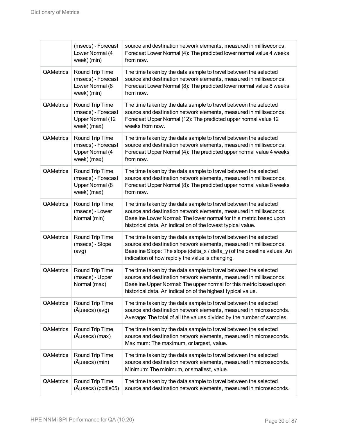| (msecs) - Forecast<br>source and destination network elements, measured in milliseconds.<br>Lower Normal (4<br>Forecast Lower Normal (4): The predicted lower normal value 4 weeks<br>week) (min)<br>from now.<br>QAMetrics<br>Round Trip Time<br>The time taken by the data sample to travel between the selected<br>(msecs) - Forecast<br>source and destination network elements, measured in milliseconds.<br>Lower Normal (8<br>Forecast Lower Normal (8): The predicted lower normal value 8 weeks<br>week) (min)<br>from now.<br>QAMetrics<br>Round Trip Time<br>The time taken by the data sample to travel between the selected<br>(msecs) - Forecast<br>source and destination network elements, measured in milliseconds.<br><b>Upper Normal (12</b><br>Forecast Upper Normal (12): The predicted upper normal value 12<br>week) (max)<br>weeks from now.<br>QAMetrics<br>Round Trip Time<br>The time taken by the data sample to travel between the selected<br>(msecs) - Forecast<br>source and destination network elements, measured in milliseconds.<br>Upper Normal (4<br>Forecast Upper Normal (4): The predicted upper normal value 4 weeks<br>week) (max)<br>from now.<br>QAMetrics<br>Round Trip Time<br>The time taken by the data sample to travel between the selected<br>(msecs) - Forecast<br>source and destination network elements, measured in milliseconds.<br>Upper Normal (8<br>Forecast Upper Normal (8): The predicted upper normal value 8 weeks<br>week) (max)<br>from now.<br>QAMetrics<br>Round Trip Time<br>The time taken by the data sample to travel between the selected<br>(msecs) - Lower<br>source and destination network elements, measured in milliseconds.<br>Normal (min)<br>Baseline Lower Normal: The lower normal for this metric based upon<br>historical data. An indication of the lowest typical value.<br>QAMetrics<br>Round Trip Time<br>The time taken by the data sample to travel between the selected<br>source and destination network elements, measured in milliseconds.<br>(msecs) - Slope<br>(avg)<br>indication of how rapidly the value is changing.<br>QAMetrics<br>Round Trip Time<br>The time taken by the data sample to travel between the selected<br>source and destination network elements, measured in milliseconds.<br>(msecs) - Upper<br>Baseline Upper Normal: The upper normal for this metric based upon<br>Normal (max)<br>historical data. An indication of the highest typical value.<br>QAMetrics<br>The time taken by the data sample to travel between the selected<br>Round Trip Time<br>(µsecs) (avg)<br>source and destination network elements, measured in microseconds.<br>Average: The total of all the values divided by the number of samples.<br>The time taken by the data sample to travel between the selected<br>QAMetrics<br>Round Trip Time<br>$(\hat{A}$ µsecs $)$ (max)<br>source and destination network elements, measured in microseconds.<br>Maximum: The maximum, or largest, value.<br>QAMetrics<br>Round Trip Time<br>The time taken by the data sample to travel between the selected<br>(µsecs) (min)<br>source and destination network elements, measured in microseconds.<br>Minimum: The minimum, or smallest, value.<br>QAMetrics<br>Round Trip Time<br>The time taken by the data sample to travel between the selected<br>$(\hat{A}$ µsecs $)$ (pctile05)<br>source and destination network elements, measured in microseconds. |  |                                                                          |
|---------------------------------------------------------------------------------------------------------------------------------------------------------------------------------------------------------------------------------------------------------------------------------------------------------------------------------------------------------------------------------------------------------------------------------------------------------------------------------------------------------------------------------------------------------------------------------------------------------------------------------------------------------------------------------------------------------------------------------------------------------------------------------------------------------------------------------------------------------------------------------------------------------------------------------------------------------------------------------------------------------------------------------------------------------------------------------------------------------------------------------------------------------------------------------------------------------------------------------------------------------------------------------------------------------------------------------------------------------------------------------------------------------------------------------------------------------------------------------------------------------------------------------------------------------------------------------------------------------------------------------------------------------------------------------------------------------------------------------------------------------------------------------------------------------------------------------------------------------------------------------------------------------------------------------------------------------------------------------------------------------------------------------------------------------------------------------------------------------------------------------------------------------------------------------------------------------------------------------------------------------------------------------------------------------------------------------------------------------------------------------------------------------------------------------------------------------------------------------------------------------------------------------------------------------------------------------------------------------------------------------------------------------------------------------------------------------------------------------------------------------------------------------------------------------------------------------------------------------------------------------------------------------------------------------------------------------------------------------------------------------------------------------------------------------------------------------------------------------------------------------------------------------------------------------------------------------------------------------------------------------------------------------------------------------------------------------------------------------------------------------------------------------------------------------------------------------------|--|--------------------------------------------------------------------------|
|                                                                                                                                                                                                                                                                                                                                                                                                                                                                                                                                                                                                                                                                                                                                                                                                                                                                                                                                                                                                                                                                                                                                                                                                                                                                                                                                                                                                                                                                                                                                                                                                                                                                                                                                                                                                                                                                                                                                                                                                                                                                                                                                                                                                                                                                                                                                                                                                                                                                                                                                                                                                                                                                                                                                                                                                                                                                                                                                                                                                                                                                                                                                                                                                                                                                                                                                                                                                                                                               |  |                                                                          |
|                                                                                                                                                                                                                                                                                                                                                                                                                                                                                                                                                                                                                                                                                                                                                                                                                                                                                                                                                                                                                                                                                                                                                                                                                                                                                                                                                                                                                                                                                                                                                                                                                                                                                                                                                                                                                                                                                                                                                                                                                                                                                                                                                                                                                                                                                                                                                                                                                                                                                                                                                                                                                                                                                                                                                                                                                                                                                                                                                                                                                                                                                                                                                                                                                                                                                                                                                                                                                                                               |  |                                                                          |
|                                                                                                                                                                                                                                                                                                                                                                                                                                                                                                                                                                                                                                                                                                                                                                                                                                                                                                                                                                                                                                                                                                                                                                                                                                                                                                                                                                                                                                                                                                                                                                                                                                                                                                                                                                                                                                                                                                                                                                                                                                                                                                                                                                                                                                                                                                                                                                                                                                                                                                                                                                                                                                                                                                                                                                                                                                                                                                                                                                                                                                                                                                                                                                                                                                                                                                                                                                                                                                                               |  |                                                                          |
|                                                                                                                                                                                                                                                                                                                                                                                                                                                                                                                                                                                                                                                                                                                                                                                                                                                                                                                                                                                                                                                                                                                                                                                                                                                                                                                                                                                                                                                                                                                                                                                                                                                                                                                                                                                                                                                                                                                                                                                                                                                                                                                                                                                                                                                                                                                                                                                                                                                                                                                                                                                                                                                                                                                                                                                                                                                                                                                                                                                                                                                                                                                                                                                                                                                                                                                                                                                                                                                               |  |                                                                          |
|                                                                                                                                                                                                                                                                                                                                                                                                                                                                                                                                                                                                                                                                                                                                                                                                                                                                                                                                                                                                                                                                                                                                                                                                                                                                                                                                                                                                                                                                                                                                                                                                                                                                                                                                                                                                                                                                                                                                                                                                                                                                                                                                                                                                                                                                                                                                                                                                                                                                                                                                                                                                                                                                                                                                                                                                                                                                                                                                                                                                                                                                                                                                                                                                                                                                                                                                                                                                                                                               |  |                                                                          |
|                                                                                                                                                                                                                                                                                                                                                                                                                                                                                                                                                                                                                                                                                                                                                                                                                                                                                                                                                                                                                                                                                                                                                                                                                                                                                                                                                                                                                                                                                                                                                                                                                                                                                                                                                                                                                                                                                                                                                                                                                                                                                                                                                                                                                                                                                                                                                                                                                                                                                                                                                                                                                                                                                                                                                                                                                                                                                                                                                                                                                                                                                                                                                                                                                                                                                                                                                                                                                                                               |  |                                                                          |
|                                                                                                                                                                                                                                                                                                                                                                                                                                                                                                                                                                                                                                                                                                                                                                                                                                                                                                                                                                                                                                                                                                                                                                                                                                                                                                                                                                                                                                                                                                                                                                                                                                                                                                                                                                                                                                                                                                                                                                                                                                                                                                                                                                                                                                                                                                                                                                                                                                                                                                                                                                                                                                                                                                                                                                                                                                                                                                                                                                                                                                                                                                                                                                                                                                                                                                                                                                                                                                                               |  | Baseline Slope: The slope (delta_x / delta_y) of the baseline values. An |
|                                                                                                                                                                                                                                                                                                                                                                                                                                                                                                                                                                                                                                                                                                                                                                                                                                                                                                                                                                                                                                                                                                                                                                                                                                                                                                                                                                                                                                                                                                                                                                                                                                                                                                                                                                                                                                                                                                                                                                                                                                                                                                                                                                                                                                                                                                                                                                                                                                                                                                                                                                                                                                                                                                                                                                                                                                                                                                                                                                                                                                                                                                                                                                                                                                                                                                                                                                                                                                                               |  |                                                                          |
|                                                                                                                                                                                                                                                                                                                                                                                                                                                                                                                                                                                                                                                                                                                                                                                                                                                                                                                                                                                                                                                                                                                                                                                                                                                                                                                                                                                                                                                                                                                                                                                                                                                                                                                                                                                                                                                                                                                                                                                                                                                                                                                                                                                                                                                                                                                                                                                                                                                                                                                                                                                                                                                                                                                                                                                                                                                                                                                                                                                                                                                                                                                                                                                                                                                                                                                                                                                                                                                               |  |                                                                          |
|                                                                                                                                                                                                                                                                                                                                                                                                                                                                                                                                                                                                                                                                                                                                                                                                                                                                                                                                                                                                                                                                                                                                                                                                                                                                                                                                                                                                                                                                                                                                                                                                                                                                                                                                                                                                                                                                                                                                                                                                                                                                                                                                                                                                                                                                                                                                                                                                                                                                                                                                                                                                                                                                                                                                                                                                                                                                                                                                                                                                                                                                                                                                                                                                                                                                                                                                                                                                                                                               |  |                                                                          |
|                                                                                                                                                                                                                                                                                                                                                                                                                                                                                                                                                                                                                                                                                                                                                                                                                                                                                                                                                                                                                                                                                                                                                                                                                                                                                                                                                                                                                                                                                                                                                                                                                                                                                                                                                                                                                                                                                                                                                                                                                                                                                                                                                                                                                                                                                                                                                                                                                                                                                                                                                                                                                                                                                                                                                                                                                                                                                                                                                                                                                                                                                                                                                                                                                                                                                                                                                                                                                                                               |  |                                                                          |
|                                                                                                                                                                                                                                                                                                                                                                                                                                                                                                                                                                                                                                                                                                                                                                                                                                                                                                                                                                                                                                                                                                                                                                                                                                                                                                                                                                                                                                                                                                                                                                                                                                                                                                                                                                                                                                                                                                                                                                                                                                                                                                                                                                                                                                                                                                                                                                                                                                                                                                                                                                                                                                                                                                                                                                                                                                                                                                                                                                                                                                                                                                                                                                                                                                                                                                                                                                                                                                                               |  |                                                                          |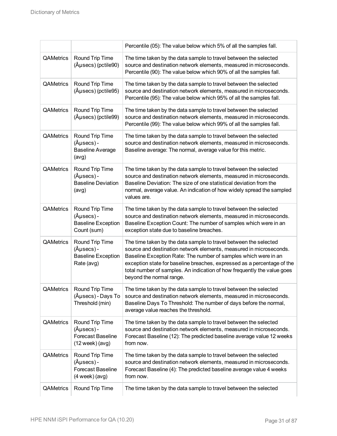|                  |                                                                                               | Percentile (05): The value below which 5% of all the samples fall.                                                                                                                                                                                                                                                                                                                          |
|------------------|-----------------------------------------------------------------------------------------------|---------------------------------------------------------------------------------------------------------------------------------------------------------------------------------------------------------------------------------------------------------------------------------------------------------------------------------------------------------------------------------------------|
| QAMetrics        | Round Trip Time<br>(µsecs) (pctile90)                                                         | The time taken by the data sample to travel between the selected<br>source and destination network elements, measured in microseconds.<br>Percentile (90): The value below which 90% of all the samples fall.                                                                                                                                                                               |
| QAMetrics        | Round Trip Time<br>$(A$ µsecs $)$ (pctile95)                                                  | The time taken by the data sample to travel between the selected<br>source and destination network elements, measured in microseconds.<br>Percentile (95): The value below which 95% of all the samples fall.                                                                                                                                                                               |
| QAMetrics        | Round Trip Time<br>(µsecs) (pctile99)                                                         | The time taken by the data sample to travel between the selected<br>source and destination network elements, measured in microseconds.<br>Percentile (99): The value below which 99% of all the samples fall.                                                                                                                                                                               |
| QAMetrics        | Round Trip Time<br>$(\hat{A}$ µsecs $)$ -<br><b>Baseline Average</b><br>(avg)                 | The time taken by the data sample to travel between the selected<br>source and destination network elements, measured in microseconds.<br>Baseline average: The normal, average value for this metric.                                                                                                                                                                                      |
| <b>QAMetrics</b> | Round Trip Time<br>$(\hat{A}$ µsecs $)$ -<br><b>Baseline Deviation</b><br>(avg)               | The time taken by the data sample to travel between the selected<br>source and destination network elements, measured in microseconds.<br>Baseline Deviation: The size of one statistical deviation from the<br>normal, average value. An indication of how widely spread the sampled<br>values are.                                                                                        |
| <b>QAMetrics</b> | Round Trip Time<br>$(\hat{A}$ µsecs $) -$<br><b>Baseline Exception</b><br>Count (sum)         | The time taken by the data sample to travel between the selected<br>source and destination network elements, measured in microseconds.<br>Baseline Exception Count: The number of samples which were in an<br>exception state due to baseline breaches.                                                                                                                                     |
| <b>QAMetrics</b> | Round Trip Time<br>$(\hat{A}$ µsecs $) -$<br><b>Baseline Exception</b><br>Rate (avg)          | The time taken by the data sample to travel between the selected<br>source and destination network elements, measured in microseconds.<br>Baseline Exception Rate: The number of samples which were in an<br>exception state for baseline breaches, expressed as a percentage of the<br>total number of samples. An indication of how frequently the value goes<br>beyond the normal range. |
| QAMetrics        | Round Trip Time<br>(µsecs) - Days To<br>Threshold (min)                                       | The time taken by the data sample to travel between the selected<br>source and destination network elements, measured in microseconds.<br>Baseline Days To Threshold: The number of days before the normal,<br>average value reaches the threshold.                                                                                                                                         |
| QAMetrics        | Round Trip Time<br>$(\hat{A}$ µsecs $)$ -<br><b>Forecast Baseline</b><br>$(12$ week $)$ (avg) | The time taken by the data sample to travel between the selected<br>source and destination network elements, measured in microseconds.<br>Forecast Baseline (12): The predicted baseline average value 12 weeks<br>from now.                                                                                                                                                                |
| QAMetrics        | Round Trip Time<br>$(\hat{A}$ µsecs $)$ -<br><b>Forecast Baseline</b><br>$(4$ week $)$ (avg)  | The time taken by the data sample to travel between the selected<br>source and destination network elements, measured in microseconds.<br>Forecast Baseline (4): The predicted baseline average value 4 weeks<br>from now.                                                                                                                                                                  |
| QAMetrics        | Round Trip Time                                                                               | The time taken by the data sample to travel between the selected                                                                                                                                                                                                                                                                                                                            |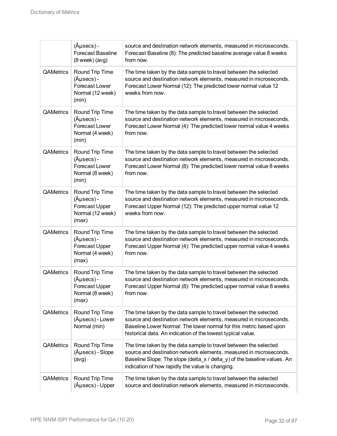|                  | $(\hat{A}$ µsecs $)$ -<br><b>Forecast Baseline</b><br>$(8$ week $)$ (avg)                | source and destination network elements, measured in microseconds.<br>Forecast Baseline (8): The predicted baseline average value 8 weeks<br>from now.                                                                                                                      |
|------------------|------------------------------------------------------------------------------------------|-----------------------------------------------------------------------------------------------------------------------------------------------------------------------------------------------------------------------------------------------------------------------------|
| QAMetrics        | Round Trip Time<br>$(\hat{A}$ µsecs $)$ -<br>Forecast Lower<br>Normal (12 week)<br>(min) | The time taken by the data sample to travel between the selected<br>source and destination network elements, measured in microseconds.<br>Forecast Lower Normal (12): The predicted lower normal value 12<br>weeks from now.                                                |
| QAMetrics        | Round Trip Time<br>$(\hat{A}$ µsecs $)$ -<br>Forecast Lower<br>Normal (4 week)<br>(min)  | The time taken by the data sample to travel between the selected<br>source and destination network elements, measured in microseconds.<br>Forecast Lower Normal (4): The predicted lower normal value 4 weeks<br>from now.                                                  |
| QAMetrics        | Round Trip Time<br>$(\hat{A}$ µsecs $)$ -<br>Forecast Lower<br>Normal (8 week)<br>(min)  | The time taken by the data sample to travel between the selected<br>source and destination network elements, measured in microseconds.<br>Forecast Lower Normal (8): The predicted lower normal value 8 weeks<br>from now.                                                  |
| QAMetrics        | Round Trip Time<br>$(\hat{A}$ µsecs) -<br>Forecast Upper<br>Normal (12 week)<br>(max)    | The time taken by the data sample to travel between the selected<br>source and destination network elements, measured in microseconds.<br>Forecast Upper Normal (12): The predicted upper normal value 12<br>weeks from now.                                                |
| QAMetrics        | Round Trip Time<br>$(\hat{A}$ µsecs $)$ -<br>Forecast Upper<br>Normal (4 week)<br>(max)  | The time taken by the data sample to travel between the selected<br>source and destination network elements, measured in microseconds.<br>Forecast Upper Normal (4): The predicted upper normal value 4 weeks<br>from now.                                                  |
| QAMetrics        | Round Trip Time<br>$(\hat{A}$ µsecs $)$ -<br>Forecast Upper<br>Normal (8 week)<br>(max)  | The time taken by the data sample to travel between the selected<br>source and destination network elements, measured in microseconds.<br>Forecast Upper Normal (8): The predicted upper normal value 8 weeks<br>from now.                                                  |
| QAMetrics        | Round Trip Time<br>(µsecs) - Lower<br>Normal (min)                                       | The time taken by the data sample to travel between the selected<br>source and destination network elements, measured in microseconds.<br>Baseline Lower Normal: The lower normal for this metric based upon<br>historical data. An indication of the lowest typical value. |
| <b>QAMetrics</b> | Round Trip Time<br>(µsecs) - Slope<br>(avg)                                              | The time taken by the data sample to travel between the selected<br>source and destination network elements, measured in microseconds.<br>Baseline Slope: The slope (delta_x / delta_y) of the baseline values. An<br>indication of how rapidly the value is changing.      |
| QAMetrics        | Round Trip Time<br>(µsecs) - Upper                                                       | The time taken by the data sample to travel between the selected<br>source and destination network elements, measured in microseconds.                                                                                                                                      |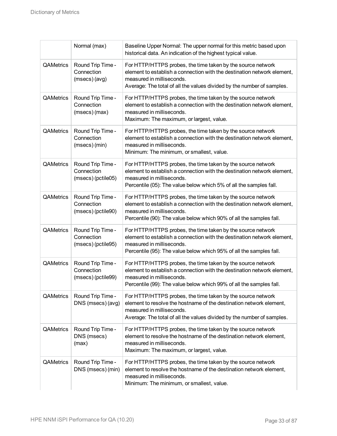|                  | Normal (max)                                          | Baseline Upper Normal: The upper normal for this metric based upon<br>historical data. An indication of the highest typical value.                                                                                                            |
|------------------|-------------------------------------------------------|-----------------------------------------------------------------------------------------------------------------------------------------------------------------------------------------------------------------------------------------------|
| <b>QAMetrics</b> | Round Trip Time -<br>Connection<br>(msecs) (avg)      | For HTTP/HTTPS probes, the time taken by the source network<br>element to establish a connection with the destination network element,<br>measured in milliseconds.<br>Average: The total of all the values divided by the number of samples. |
| QAMetrics        | Round Trip Time -<br>Connection<br>(msecs) (max)      | For HTTP/HTTPS probes, the time taken by the source network<br>element to establish a connection with the destination network element,<br>measured in milliseconds.<br>Maximum: The maximum, or largest, value.                               |
| QAMetrics        | Round Trip Time -<br>Connection<br>(msecs) (min)      | For HTTP/HTTPS probes, the time taken by the source network<br>element to establish a connection with the destination network element,<br>measured in milliseconds.<br>Minimum: The minimum, or smallest, value.                              |
| <b>QAMetrics</b> | Round Trip Time -<br>Connection<br>(msecs) (pctile05) | For HTTP/HTTPS probes, the time taken by the source network<br>element to establish a connection with the destination network element,<br>measured in milliseconds.<br>Percentile (05): The value below which 5% of all the samples fall.     |
| QAMetrics        | Round Trip Time -<br>Connection<br>(msecs) (pctile90) | For HTTP/HTTPS probes, the time taken by the source network<br>element to establish a connection with the destination network element,<br>measured in milliseconds.<br>Percentile (90): The value below which 90% of all the samples fall.    |
| QAMetrics        | Round Trip Time -<br>Connection<br>(msecs) (pctile95) | For HTTP/HTTPS probes, the time taken by the source network<br>element to establish a connection with the destination network element,<br>measured in milliseconds.<br>Percentile (95): The value below which 95% of all the samples fall.    |
| QAMetrics        | Round Trip Time -<br>Connection<br>(msecs) (pctile99) | For HTTP/HTTPS probes, the time taken by the source network<br>element to establish a connection with the destination network element.<br>measured in milliseconds.<br>Percentile (99): The value below which 99% of all the samples fall.    |
| QAMetrics        | Round Trip Time -<br>DNS (msecs) (avg)                | For HTTP/HTTPS probes, the time taken by the source network<br>element to resolve the hostname of the destination network element,<br>measured in milliseconds.<br>Average: The total of all the values divided by the number of samples.     |
| QAMetrics        | Round Trip Time -<br>DNS (msecs)<br>(max)             | For HTTP/HTTPS probes, the time taken by the source network<br>element to resolve the hostname of the destination network element,<br>measured in milliseconds.<br>Maximum: The maximum, or largest, value.                                   |
| QAMetrics        | Round Trip Time -<br>DNS (msecs) (min)                | For HTTP/HTTPS probes, the time taken by the source network<br>element to resolve the hostname of the destination network element,<br>measured in milliseconds.<br>Minimum: The minimum, or smallest, value.                                  |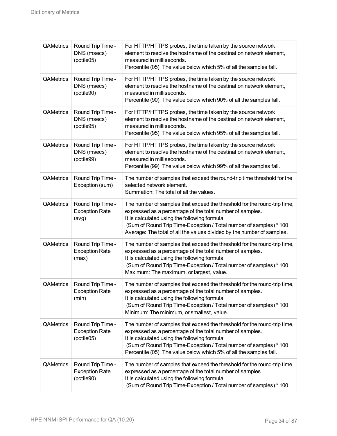| QAMetrics | Round Trip Time -<br>DNS (msecs)<br>(pctile05)           | For HTTP/HTTPS probes, the time taken by the source network<br>element to resolve the hostname of the destination network element,<br>measured in milliseconds.<br>Percentile (05): The value below which 5% of all the samples fall.                                                                                                  |
|-----------|----------------------------------------------------------|----------------------------------------------------------------------------------------------------------------------------------------------------------------------------------------------------------------------------------------------------------------------------------------------------------------------------------------|
| QAMetrics | Round Trip Time -<br>DNS (msecs)<br>(pctile90)           | For HTTP/HTTPS probes, the time taken by the source network<br>element to resolve the hostname of the destination network element,<br>measured in milliseconds.<br>Percentile (90): The value below which 90% of all the samples fall.                                                                                                 |
| QAMetrics | Round Trip Time -<br>DNS (msecs)<br>(pctile95)           | For HTTP/HTTPS probes, the time taken by the source network<br>element to resolve the hostname of the destination network element,<br>measured in milliseconds.<br>Percentile (95): The value below which 95% of all the samples fall.                                                                                                 |
| QAMetrics | Round Trip Time -<br>DNS (msecs)<br>(pctile99)           | For HTTP/HTTPS probes, the time taken by the source network<br>element to resolve the hostname of the destination network element,<br>measured in milliseconds.<br>Percentile (99): The value below which 99% of all the samples fall.                                                                                                 |
| QAMetrics | Round Trip Time -<br>Exception (sum)                     | The number of samples that exceed the round-trip time threshold for the<br>selected network element.<br>Summation: The total of all the values.                                                                                                                                                                                        |
| QAMetrics | Round Trip Time -<br><b>Exception Rate</b><br>(avg)      | The number of samples that exceed the threshold for the round-trip time,<br>expressed as a percentage of the total number of samples.<br>It is calculated using the following formula:<br>(Sum of Round Trip Time-Exception / Total number of samples) * 100<br>Average: The total of all the values divided by the number of samples. |
| QAMetrics | Round Trip Time -<br><b>Exception Rate</b><br>(max)      | The number of samples that exceed the threshold for the round-trip time,<br>expressed as a percentage of the total number of samples.<br>It is calculated using the following formula:<br>(Sum of Round Trip Time-Exception / Total number of samples) * 100<br>Maximum: The maximum, or largest, value.                               |
| QAMetrics | Round Trip Time -<br><b>Exception Rate</b><br>(min)      | The number of samples that exceed the threshold for the round-trip time,<br>expressed as a percentage of the total number of samples.<br>It is calculated using the following formula:<br>(Sum of Round Trip Time-Exception / Total number of samples) * 100<br>Minimum: The minimum, or smallest, value.                              |
| QAMetrics | Round Trip Time -<br><b>Exception Rate</b><br>(pctile05) | The number of samples that exceed the threshold for the round-trip time,<br>expressed as a percentage of the total number of samples.<br>It is calculated using the following formula:<br>(Sum of Round Trip Time-Exception / Total number of samples) * 100<br>Percentile (05): The value below which 5% of all the samples fall.     |
| QAMetrics | Round Trip Time -<br><b>Exception Rate</b><br>(pctile90) | The number of samples that exceed the threshold for the round-trip time,<br>expressed as a percentage of the total number of samples.<br>It is calculated using the following formula:<br>(Sum of Round Trip Time-Exception / Total number of samples) * 100                                                                           |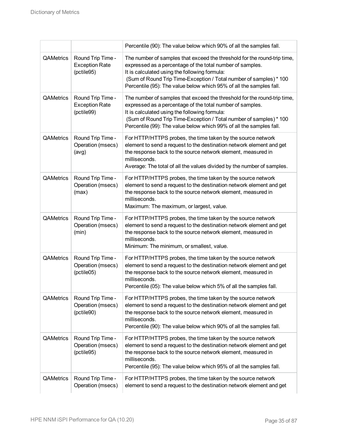|           |                                                          | Percentile (90): The value below which 90% of all the samples fall.                                                                                                                                                                                                                                                                 |
|-----------|----------------------------------------------------------|-------------------------------------------------------------------------------------------------------------------------------------------------------------------------------------------------------------------------------------------------------------------------------------------------------------------------------------|
| QAMetrics | Round Trip Time -<br><b>Exception Rate</b><br>(pctile95) | The number of samples that exceed the threshold for the round-trip time,<br>expressed as a percentage of the total number of samples.<br>It is calculated using the following formula:<br>(Sum of Round Trip Time-Exception / Total number of samples) * 100<br>Percentile (95): The value below which 95% of all the samples fall. |
| QAMetrics | Round Trip Time -<br><b>Exception Rate</b><br>(pctile99) | The number of samples that exceed the threshold for the round-trip time,<br>expressed as a percentage of the total number of samples.<br>It is calculated using the following formula:<br>(Sum of Round Trip Time-Exception / Total number of samples) * 100<br>Percentile (99): The value below which 99% of all the samples fall. |
| QAMetrics | Round Trip Time -<br>Operation (msecs)<br>(avg)          | For HTTP/HTTPS probes, the time taken by the source network<br>element to send a request to the destination network element and get<br>the response back to the source network element, measured in<br>milliseconds.<br>Average: The total of all the values divided by the number of samples.                                      |
| QAMetrics | Round Trip Time -<br>Operation (msecs)<br>(max)          | For HTTP/HTTPS probes, the time taken by the source network<br>element to send a request to the destination network element and get<br>the response back to the source network element, measured in<br>milliseconds.<br>Maximum: The maximum, or largest, value.                                                                    |
| QAMetrics | Round Trip Time -<br>Operation (msecs)<br>(min)          | For HTTP/HTTPS probes, the time taken by the source network<br>element to send a request to the destination network element and get<br>the response back to the source network element, measured in<br>milliseconds.<br>Minimum: The minimum, or smallest, value.                                                                   |
| QAMetrics | Round Trip Time -<br>Operation (msecs)<br>(pctile05)     | For HTTP/HTTPS probes, the time taken by the source network<br>element to send a request to the destination network element and get<br>the response back to the source network element, measured in<br>milliseconds.<br>Percentile (05): The value below which 5% of all the samples fall.                                          |
| QAMetrics | Round Trip Time -<br>Operation (msecs)<br>(pctile90)     | For HTTP/HTTPS probes, the time taken by the source network<br>element to send a request to the destination network element and get<br>the response back to the source network element, measured in<br>milliseconds.<br>Percentile (90): The value below which 90% of all the samples fall.                                         |
| QAMetrics | Round Trip Time -<br>Operation (msecs)<br>(pctile95)     | For HTTP/HTTPS probes, the time taken by the source network<br>element to send a request to the destination network element and get<br>the response back to the source network element, measured in<br>milliseconds.<br>Percentile (95): The value below which 95% of all the samples fall.                                         |
| QAMetrics | Round Trip Time -<br>Operation (msecs)                   | For HTTP/HTTPS probes, the time taken by the source network<br>element to send a request to the destination network element and get                                                                                                                                                                                                 |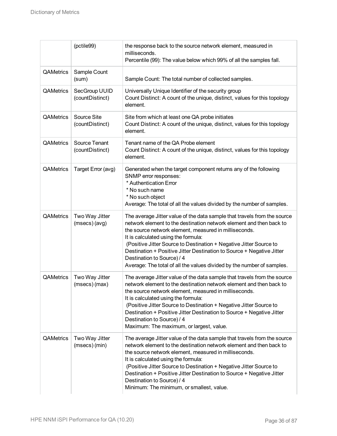|                  | (pctile99)                       | the response back to the source network element, measured in<br>milliseconds.<br>Percentile (99): The value below which 99% of all the samples fall.                                                                                                                                                                                                                                                                                                                                                   |
|------------------|----------------------------------|--------------------------------------------------------------------------------------------------------------------------------------------------------------------------------------------------------------------------------------------------------------------------------------------------------------------------------------------------------------------------------------------------------------------------------------------------------------------------------------------------------|
| QAMetrics        | Sample Count<br>(sum)            | Sample Count: The total number of collected samples.                                                                                                                                                                                                                                                                                                                                                                                                                                                   |
| QAMetrics        | SecGroup UUID<br>(countDistinct) | Universally Unique Identifier of the security group<br>Count Distinct: A count of the unique, distinct, values for this topology<br>element.                                                                                                                                                                                                                                                                                                                                                           |
| QAMetrics        | Source Site<br>(countDistinct)   | Site from which at least one QA probe initiates<br>Count Distinct: A count of the unique, distinct, values for this topology<br>element.                                                                                                                                                                                                                                                                                                                                                               |
| QAMetrics        | Source Tenant<br>(countDistinct) | Tenant name of the QA Probe element<br>Count Distinct: A count of the unique, distinct, values for this topology<br>element.                                                                                                                                                                                                                                                                                                                                                                           |
| QAMetrics        | Target Error (avg)               | Generated when the target component returns any of the following<br>SNMP error responses:<br>* Authentication Error<br>* No such name<br>* No such object<br>Average: The total of all the values divided by the number of samples.                                                                                                                                                                                                                                                                    |
| QAMetrics        | Two Way Jitter<br>(msecs) (avg)  | The average Jitter value of the data sample that travels from the source<br>network element to the destination network element and then back to<br>the source network element, measured in milliseconds.<br>It is calculated using the formula:<br>(Positive Jitter Source to Destination + Negative Jitter Source to<br>Destination + Positive Jitter Destination to Source + Negative Jitter<br>Destination to Source) / 4<br>Average: The total of all the values divided by the number of samples. |
| <b>QAMetrics</b> | Two Way Jitter<br>(msecs) (max)  | The average Jitter value of the data sample that travels from the source<br>network element to the destination network element and then back to<br>the source network element, measured in milliseconds.<br>It is calculated using the formula:<br>(Positive Jitter Source to Destination + Negative Jitter Source to<br>Destination + Positive Jitter Destination to Source + Negative Jitter<br>Destination to Source) / 4<br>Maximum: The maximum, or largest, value.                               |
| QAMetrics        | Two Way Jitter<br>(msecs) (min)  | The average Jitter value of the data sample that travels from the source<br>network element to the destination network element and then back to<br>the source network element, measured in milliseconds.<br>It is calculated using the formula:<br>(Positive Jitter Source to Destination + Negative Jitter Source to<br>Destination + Positive Jitter Destination to Source + Negative Jitter<br>Destination to Source) / 4<br>Minimum: The minimum, or smallest, value.                              |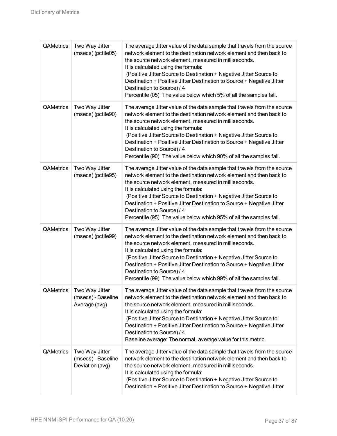| <b>QAMetrics</b> | Two Way Jitter<br>(msecs) (pctile05)                    | The average Jitter value of the data sample that travels from the source<br>network element to the destination network element and then back to<br>the source network element, measured in milliseconds.<br>It is calculated using the formula:<br>(Positive Jitter Source to Destination + Negative Jitter Source to<br>Destination + Positive Jitter Destination to Source + Negative Jitter                                                                                                      |
|------------------|---------------------------------------------------------|-----------------------------------------------------------------------------------------------------------------------------------------------------------------------------------------------------------------------------------------------------------------------------------------------------------------------------------------------------------------------------------------------------------------------------------------------------------------------------------------------------|
|                  |                                                         | Destination to Source) / 4<br>Percentile (05): The value below which 5% of all the samples fall.                                                                                                                                                                                                                                                                                                                                                                                                    |
| <b>QAMetrics</b> | Two Way Jitter<br>(msecs) (pctile90)                    | The average Jitter value of the data sample that travels from the source<br>network element to the destination network element and then back to<br>the source network element, measured in milliseconds.<br>It is calculated using the formula:<br>(Positive Jitter Source to Destination + Negative Jitter Source to<br>Destination + Positive Jitter Destination to Source + Negative Jitter<br>Destination to Source) / 4<br>Percentile (90): The value below which 90% of all the samples fall. |
| QAMetrics        | Two Way Jitter<br>(msecs) (pctile95)                    | The average Jitter value of the data sample that travels from the source<br>network element to the destination network element and then back to<br>the source network element, measured in milliseconds.<br>It is calculated using the formula:<br>(Positive Jitter Source to Destination + Negative Jitter Source to<br>Destination + Positive Jitter Destination to Source + Negative Jitter<br>Destination to Source) / 4<br>Percentile (95): The value below which 95% of all the samples fall. |
| QAMetrics        | Two Way Jitter<br>(msecs) (pctile99)                    | The average Jitter value of the data sample that travels from the source<br>network element to the destination network element and then back to<br>the source network element, measured in milliseconds.<br>It is calculated using the formula:<br>(Positive Jitter Source to Destination + Negative Jitter Source to<br>Destination + Positive Jitter Destination to Source + Negative Jitter<br>Destination to Source) / 4<br>Percentile (99): The value below which 99% of all the samples fall. |
| QAMetrics        | Two Way Jitter<br>(msecs) - Baseline<br>Average (avg)   | The average Jitter value of the data sample that travels from the source<br>network element to the destination network element and then back to<br>the source network element, measured in milliseconds.<br>It is calculated using the formula:<br>(Positive Jitter Source to Destination + Negative Jitter Source to<br>Destination + Positive Jitter Destination to Source + Negative Jitter<br>Destination to Source) / 4<br>Baseline average: The normal, average value for this metric.        |
| QAMetrics        | Two Way Jitter<br>(msecs) - Baseline<br>Deviation (avg) | The average Jitter value of the data sample that travels from the source<br>network element to the destination network element and then back to<br>the source network element, measured in milliseconds.<br>It is calculated using the formula:<br>(Positive Jitter Source to Destination + Negative Jitter Source to<br>Destination + Positive Jitter Destination to Source + Negative Jitter                                                                                                      |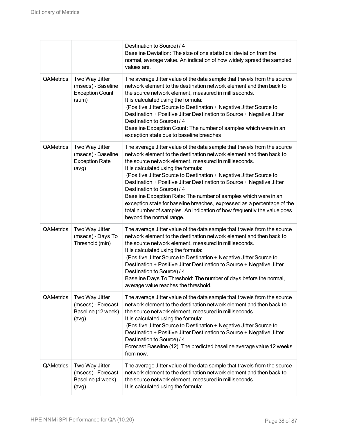|                  |                                                                         | Destination to Source) / 4<br>Baseline Deviation: The size of one statistical deviation from the<br>normal, average value. An indication of how widely spread the sampled<br>values are.                                                                                                                                                                                                                                                                                                                                                                                                                                                                                          |
|------------------|-------------------------------------------------------------------------|-----------------------------------------------------------------------------------------------------------------------------------------------------------------------------------------------------------------------------------------------------------------------------------------------------------------------------------------------------------------------------------------------------------------------------------------------------------------------------------------------------------------------------------------------------------------------------------------------------------------------------------------------------------------------------------|
| <b>QAMetrics</b> | Two Way Jitter<br>(msecs) - Baseline<br><b>Exception Count</b><br>(sum) | The average Jitter value of the data sample that travels from the source<br>network element to the destination network element and then back to<br>the source network element, measured in milliseconds.<br>It is calculated using the formula:<br>(Positive Jitter Source to Destination + Negative Jitter Source to<br>Destination + Positive Jitter Destination to Source + Negative Jitter<br>Destination to Source) / 4<br>Baseline Exception Count: The number of samples which were in an<br>exception state due to baseline breaches.                                                                                                                                     |
| <b>QAMetrics</b> | Two Way Jitter<br>(msecs) - Baseline<br><b>Exception Rate</b><br>(avg)  | The average Jitter value of the data sample that travels from the source<br>network element to the destination network element and then back to<br>the source network element, measured in milliseconds.<br>It is calculated using the formula:<br>(Positive Jitter Source to Destination + Negative Jitter Source to<br>Destination + Positive Jitter Destination to Source + Negative Jitter<br>Destination to Source) / 4<br>Baseline Exception Rate: The number of samples which were in an<br>exception state for baseline breaches, expressed as a percentage of the<br>total number of samples. An indication of how frequently the value goes<br>beyond the normal range. |
| QAMetrics        | Two Way Jitter<br>(msecs) - Days To<br>Threshold (min)                  | The average Jitter value of the data sample that travels from the source<br>network element to the destination network element and then back to<br>the source network element, measured in milliseconds.<br>It is calculated using the formula:<br>(Positive Jitter Source to Destination + Negative Jitter Source to<br>Destination + Positive Jitter Destination to Source + Negative Jitter<br>Destination to Source) / 4<br>Baseline Days To Threshold: The number of days before the normal,<br>average value reaches the threshold.                                                                                                                                         |
| QAMetrics        | Two Way Jitter<br>(msecs) - Forecast<br>Baseline (12 week)<br>(avg)     | The average Jitter value of the data sample that travels from the source<br>network element to the destination network element and then back to<br>the source network element, measured in milliseconds.<br>It is calculated using the formula:<br>(Positive Jitter Source to Destination + Negative Jitter Source to<br>Destination + Positive Jitter Destination to Source + Negative Jitter<br>Destination to Source) / 4<br>Forecast Baseline (12): The predicted baseline average value 12 weeks<br>from now.                                                                                                                                                                |
| QAMetrics        | Two Way Jitter<br>(msecs) - Forecast<br>Baseline (4 week)<br>(avg)      | The average Jitter value of the data sample that travels from the source<br>network element to the destination network element and then back to<br>the source network element, measured in milliseconds.<br>It is calculated using the formula:                                                                                                                                                                                                                                                                                                                                                                                                                                   |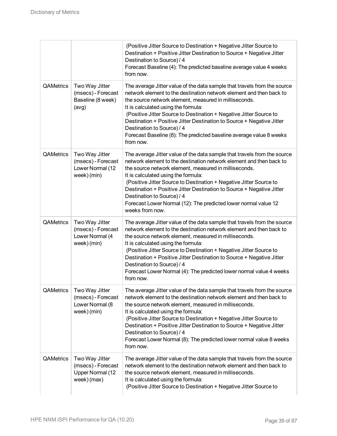|                  |                                                                         | (Positive Jitter Source to Destination + Negative Jitter Source to<br>Destination + Positive Jitter Destination to Source + Negative Jitter<br>Destination to Source) / 4<br>Forecast Baseline (4): The predicted baseline average value 4 weeks<br>from now.                                                                                                                                                                                                                                                      |
|------------------|-------------------------------------------------------------------------|--------------------------------------------------------------------------------------------------------------------------------------------------------------------------------------------------------------------------------------------------------------------------------------------------------------------------------------------------------------------------------------------------------------------------------------------------------------------------------------------------------------------|
| <b>QAMetrics</b> | Two Way Jitter<br>(msecs) - Forecast<br>Baseline (8 week)<br>(avg)      | The average Jitter value of the data sample that travels from the source<br>network element to the destination network element and then back to<br>the source network element, measured in milliseconds.<br>It is calculated using the formula:<br>(Positive Jitter Source to Destination + Negative Jitter Source to<br>Destination + Positive Jitter Destination to Source + Negative Jitter<br>Destination to Source) / 4<br>Forecast Baseline (8): The predicted baseline average value 8 weeks<br>from now.   |
| <b>QAMetrics</b> | Two Way Jitter<br>(msecs) - Forecast<br>Lower Normal (12<br>week) (min) | The average Jitter value of the data sample that travels from the source<br>network element to the destination network element and then back to<br>the source network element, measured in milliseconds.<br>It is calculated using the formula:<br>(Positive Jitter Source to Destination + Negative Jitter Source to<br>Destination + Positive Jitter Destination to Source + Negative Jitter<br>Destination to Source) / 4<br>Forecast Lower Normal (12): The predicted lower normal value 12<br>weeks from now. |
| QAMetrics        | Two Way Jitter<br>(msecs) - Forecast<br>Lower Normal (4<br>week) (min)  | The average Jitter value of the data sample that travels from the source<br>network element to the destination network element and then back to<br>the source network element, measured in milliseconds.<br>It is calculated using the formula:<br>(Positive Jitter Source to Destination + Negative Jitter Source to<br>Destination + Positive Jitter Destination to Source + Negative Jitter<br>Destination to Source) / 4<br>Forecast Lower Normal (4): The predicted lower normal value 4 weeks<br>from now.   |
| QAMetrics        | Two Way Jitter<br>(msecs) - Forecast<br>Lower Normal (8<br>week) (min)  | The average Jitter value of the data sample that travels from the source<br>network element to the destination network element and then back to<br>the source network element, measured in milliseconds.<br>It is calculated using the formula:<br>(Positive Jitter Source to Destination + Negative Jitter Source to<br>Destination + Positive Jitter Destination to Source + Negative Jitter<br>Destination to Source) / 4<br>Forecast Lower Normal (8): The predicted lower normal value 8 weeks<br>from now.   |
| QAMetrics        | Two Way Jitter<br>(msecs) - Forecast<br>Upper Normal (12<br>week) (max) | The average Jitter value of the data sample that travels from the source<br>network element to the destination network element and then back to<br>the source network element, measured in milliseconds.<br>It is calculated using the formula:<br>(Positive Jitter Source to Destination + Negative Jitter Source to                                                                                                                                                                                              |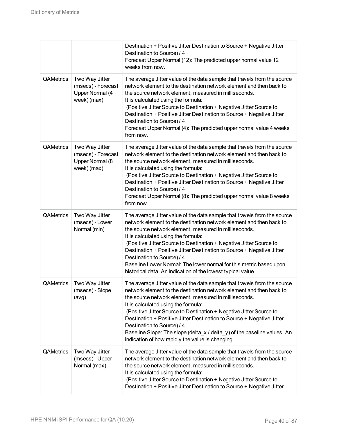|                  |                                                                        | Destination + Positive Jitter Destination to Source + Negative Jitter<br>Destination to Source) / 4<br>Forecast Upper Normal (12): The predicted upper normal value 12<br>weeks from now.                                                                                                                                                                                                                                                                                                                                                                         |
|------------------|------------------------------------------------------------------------|-------------------------------------------------------------------------------------------------------------------------------------------------------------------------------------------------------------------------------------------------------------------------------------------------------------------------------------------------------------------------------------------------------------------------------------------------------------------------------------------------------------------------------------------------------------------|
| <b>QAMetrics</b> | Two Way Jitter<br>(msecs) - Forecast<br>Upper Normal (4<br>week) (max) | The average Jitter value of the data sample that travels from the source<br>network element to the destination network element and then back to<br>the source network element, measured in milliseconds.<br>It is calculated using the formula:<br>(Positive Jitter Source to Destination + Negative Jitter Source to<br>Destination + Positive Jitter Destination to Source + Negative Jitter<br>Destination to Source) / 4<br>Forecast Upper Normal (4): The predicted upper normal value 4 weeks<br>from now.                                                  |
| QAMetrics        | Two Way Jitter<br>(msecs) - Forecast<br>Upper Normal (8<br>week) (max) | The average Jitter value of the data sample that travels from the source<br>network element to the destination network element and then back to<br>the source network element, measured in milliseconds.<br>It is calculated using the formula:<br>(Positive Jitter Source to Destination + Negative Jitter Source to<br>Destination + Positive Jitter Destination to Source + Negative Jitter<br>Destination to Source) / 4<br>Forecast Upper Normal (8): The predicted upper normal value 8 weeks<br>from now.                                                  |
| QAMetrics        | Two Way Jitter<br>(msecs) - Lower<br>Normal (min)                      | The average Jitter value of the data sample that travels from the source<br>network element to the destination network element and then back to<br>the source network element, measured in milliseconds.<br>It is calculated using the formula:<br>(Positive Jitter Source to Destination + Negative Jitter Source to<br>Destination + Positive Jitter Destination to Source + Negative Jitter<br>Destination to Source) / 4<br>Baseline Lower Normal: The lower normal for this metric based upon<br>historical data. An indication of the lowest typical value. |
| QAMetrics        | Two Way Jitter<br>(msecs) - Slope<br>(avg)                             | The average Jitter value of the data sample that travels from the source<br>network element to the destination network element and then back to<br>the source network element, measured in milliseconds.<br>It is calculated using the formula:<br>(Positive Jitter Source to Destination + Negative Jitter Source to<br>Destination + Positive Jitter Destination to Source + Negative Jitter<br>Destination to Source) / 4<br>Baseline Slope: The slope (delta_x / delta_y) of the baseline values. An<br>indication of how rapidly the value is changing.      |
| QAMetrics        | Two Way Jitter<br>(msecs) - Upper<br>Normal (max)                      | The average Jitter value of the data sample that travels from the source<br>network element to the destination network element and then back to<br>the source network element, measured in milliseconds.<br>It is calculated using the formula:<br>(Positive Jitter Source to Destination + Negative Jitter Source to<br>Destination + Positive Jitter Destination to Source + Negative Jitter                                                                                                                                                                    |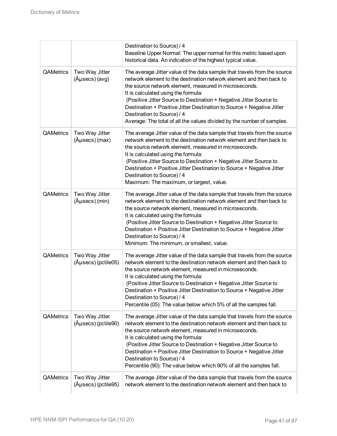|                  |                                                   | Destination to Source) / 4<br>Baseline Upper Normal: The upper normal for this metric based upon<br>historical data. An indication of the highest typical value.                                                                                                                                                                                                                                                                                                                                       |
|------------------|---------------------------------------------------|--------------------------------------------------------------------------------------------------------------------------------------------------------------------------------------------------------------------------------------------------------------------------------------------------------------------------------------------------------------------------------------------------------------------------------------------------------------------------------------------------------|
| <b>QAMetrics</b> | Two Way Jitter<br>$(\hat{A}$ µsecs $)$ (avg)      | The average Jitter value of the data sample that travels from the source<br>network element to the destination network element and then back to<br>the source network element, measured in microseconds.<br>It is calculated using the formula:<br>(Positive Jitter Source to Destination + Negative Jitter Source to<br>Destination + Positive Jitter Destination to Source + Negative Jitter<br>Destination to Source) / 4<br>Average: The total of all the values divided by the number of samples. |
| QAMetrics        | Two Way Jitter<br>$(\hat{A}$ µsecs $)$ (max)      | The average Jitter value of the data sample that travels from the source<br>network element to the destination network element and then back to<br>the source network element, measured in microseconds.<br>It is calculated using the formula:<br>(Positive Jitter Source to Destination + Negative Jitter Source to<br>Destination + Positive Jitter Destination to Source + Negative Jitter<br>Destination to Source) / 4<br>Maximum: The maximum, or largest, value.                               |
| QAMetrics        | Two Way Jitter<br>(µsecs) (min)                   | The average Jitter value of the data sample that travels from the source<br>network element to the destination network element and then back to<br>the source network element, measured in microseconds.<br>It is calculated using the formula:<br>(Positive Jitter Source to Destination + Negative Jitter Source to<br>Destination + Positive Jitter Destination to Source + Negative Jitter<br>Destination to Source) / 4<br>Minimum: The minimum, or smallest, value.                              |
| QAMetrics        | Two Way Jitter<br>$(\hat{A}$ µsecs $)$ (pctile05) | The average Jitter value of the data sample that travels from the source<br>network element to the destination network element and then back to<br>the source network element, measured in microseconds.<br>It is calculated using the formula:<br>(Positive Jitter Source to Destination + Negative Jitter Source to<br>Destination + Positive Jitter Destination to Source + Negative Jitter<br>Destination to Source) / 4<br>Percentile (05): The value below which 5% of all the samples fall.     |
| QAMetrics        | Two Way Jitter<br>(µsecs) (pctile90)              | The average Jitter value of the data sample that travels from the source<br>network element to the destination network element and then back to<br>the source network element, measured in microseconds.<br>It is calculated using the formula:<br>(Positive Jitter Source to Destination + Negative Jitter Source to<br>Destination + Positive Jitter Destination to Source + Negative Jitter<br>Destination to Source) / 4<br>Percentile (90): The value below which 90% of all the samples fall.    |
| QAMetrics        | Two Way Jitter<br>(µsecs) (pctile95)              | The average Jitter value of the data sample that travels from the source<br>network element to the destination network element and then back to                                                                                                                                                                                                                                                                                                                                                        |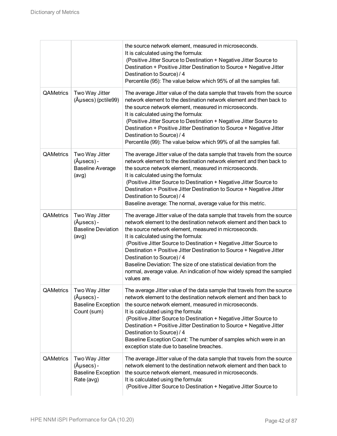|                  |                                                                                     | the source network element, measured in microseconds.<br>It is calculated using the formula:<br>(Positive Jitter Source to Destination + Negative Jitter Source to<br>Destination + Positive Jitter Destination to Source + Negative Jitter<br>Destination to Source) / 4<br>Percentile (95): The value below which 95% of all the samples fall.                                                                                                                                                                                                                                           |
|------------------|-------------------------------------------------------------------------------------|--------------------------------------------------------------------------------------------------------------------------------------------------------------------------------------------------------------------------------------------------------------------------------------------------------------------------------------------------------------------------------------------------------------------------------------------------------------------------------------------------------------------------------------------------------------------------------------------|
| QAMetrics        | Two Way Jitter<br>(µsecs) (pctile99)                                                | The average Jitter value of the data sample that travels from the source<br>network element to the destination network element and then back to<br>the source network element, measured in microseconds.<br>It is calculated using the formula:<br>(Positive Jitter Source to Destination + Negative Jitter Source to<br>Destination + Positive Jitter Destination to Source + Negative Jitter<br>Destination to Source) / 4<br>Percentile (99): The value below which 99% of all the samples fall.                                                                                        |
| <b>QAMetrics</b> | Two Way Jitter<br>$(\hat{A}$ µsecs $) -$<br><b>Baseline Average</b><br>(avg)        | The average Jitter value of the data sample that travels from the source<br>network element to the destination network element and then back to<br>the source network element, measured in microseconds.<br>It is calculated using the formula:<br>(Positive Jitter Source to Destination + Negative Jitter Source to<br>Destination + Positive Jitter Destination to Source + Negative Jitter<br>Destination to Source) / 4<br>Baseline average: The normal, average value for this metric.                                                                                               |
| <b>QAMetrics</b> | Two Way Jitter<br>$(\hat{A}$ µsecs $) -$<br><b>Baseline Deviation</b><br>(avg)      | The average Jitter value of the data sample that travels from the source<br>network element to the destination network element and then back to<br>the source network element, measured in microseconds.<br>It is calculated using the formula:<br>(Positive Jitter Source to Destination + Negative Jitter Source to<br>Destination + Positive Jitter Destination to Source + Negative Jitter<br>Destination to Source) / 4<br>Baseline Deviation: The size of one statistical deviation from the<br>normal, average value. An indication of how widely spread the sampled<br>values are. |
| QAMetrics        | Two Way Jitter<br>(µsecs) -<br><b>Baseline Exception</b><br>Count (sum)             | The average Jitter value of the data sample that travels from the source<br>network element to the destination network element and then back to<br>the source network element, measured in microseconds.<br>It is calculated using the formula:<br>(Positive Jitter Source to Destination + Negative Jitter Source to<br>Destination + Positive Jitter Destination to Source + Negative Jitter<br>Destination to Source) / 4<br>Baseline Exception Count: The number of samples which were in an<br>exception state due to baseline breaches.                                              |
| QAMetrics        | Two Way Jitter<br>$(\hat{A}$ µsecs $)$ -<br><b>Baseline Exception</b><br>Rate (avg) | The average Jitter value of the data sample that travels from the source<br>network element to the destination network element and then back to<br>the source network element, measured in microseconds.<br>It is calculated using the formula:<br>(Positive Jitter Source to Destination + Negative Jitter Source to                                                                                                                                                                                                                                                                      |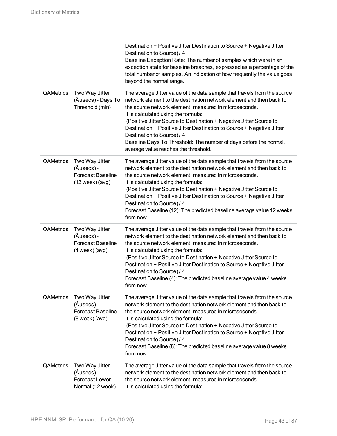|           |                                                                                              | Destination + Positive Jitter Destination to Source + Negative Jitter<br>Destination to Source) / 4<br>Baseline Exception Rate: The number of samples which were in an<br>exception state for baseline breaches, expressed as a percentage of the<br>total number of samples. An indication of how frequently the value goes<br>beyond the normal range.                                                                                                                                                                                  |
|-----------|----------------------------------------------------------------------------------------------|-------------------------------------------------------------------------------------------------------------------------------------------------------------------------------------------------------------------------------------------------------------------------------------------------------------------------------------------------------------------------------------------------------------------------------------------------------------------------------------------------------------------------------------------|
| QAMetrics | Two Way Jitter<br>(µsecs) - Days To<br>Threshold (min)                                       | The average Jitter value of the data sample that travels from the source<br>network element to the destination network element and then back to<br>the source network element, measured in microseconds.<br>It is calculated using the formula:<br>(Positive Jitter Source to Destination + Negative Jitter Source to<br>Destination + Positive Jitter Destination to Source + Negative Jitter<br>Destination to Source) / 4<br>Baseline Days To Threshold: The number of days before the normal,<br>average value reaches the threshold. |
| QAMetrics | Two Way Jitter<br>$(\hat{A}$ µsecs $)$ -<br><b>Forecast Baseline</b><br>$(12$ week $)$ (avg) | The average Jitter value of the data sample that travels from the source<br>network element to the destination network element and then back to<br>the source network element, measured in microseconds.<br>It is calculated using the formula:<br>(Positive Jitter Source to Destination + Negative Jitter Source to<br>Destination + Positive Jitter Destination to Source + Negative Jitter<br>Destination to Source) / 4<br>Forecast Baseline (12): The predicted baseline average value 12 weeks<br>from now.                        |
| QAMetrics | Two Way Jitter<br>$(\hat{A}$ µsecs $)$ -<br><b>Forecast Baseline</b><br>$(4$ week $)$ (avg)  | The average Jitter value of the data sample that travels from the source<br>network element to the destination network element and then back to<br>the source network element, measured in microseconds.<br>It is calculated using the formula:<br>(Positive Jitter Source to Destination + Negative Jitter Source to<br>Destination + Positive Jitter Destination to Source + Negative Jitter<br>Destination to Source) / 4<br>Forecast Baseline (4): The predicted baseline average value 4 weeks<br>trom now.                          |
| QAMetrics | Two Way Jitter<br>$(\hat{A}$ µsecs $) -$<br><b>Forecast Baseline</b><br>$(8$ week $)$ (avg)  | The average Jitter value of the data sample that travels from the source<br>network element to the destination network element and then back to<br>the source network element, measured in microseconds.<br>It is calculated using the formula:<br>(Positive Jitter Source to Destination + Negative Jitter Source to<br>Destination + Positive Jitter Destination to Source + Negative Jitter<br>Destination to Source) / 4<br>Forecast Baseline (8): The predicted baseline average value 8 weeks<br>from now.                          |
| QAMetrics | Two Way Jitter<br>$(\hat{A}$ µsecs $)$ -<br>Forecast Lower<br>Normal (12 week)               | The average Jitter value of the data sample that travels from the source<br>network element to the destination network element and then back to<br>the source network element, measured in microseconds.<br>It is calculated using the formula:                                                                                                                                                                                                                                                                                           |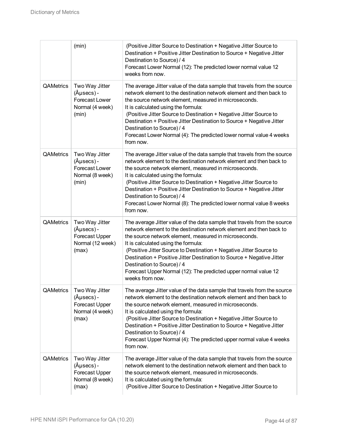|                  | (min)                                                                                   | (Positive Jitter Source to Destination + Negative Jitter Source to<br>Destination + Positive Jitter Destination to Source + Negative Jitter<br>Destination to Source) / 4<br>Forecast Lower Normal (12): The predicted lower normal value 12<br>weeks from now.                                                                                                                                                                                                                                                    |
|------------------|-----------------------------------------------------------------------------------------|--------------------------------------------------------------------------------------------------------------------------------------------------------------------------------------------------------------------------------------------------------------------------------------------------------------------------------------------------------------------------------------------------------------------------------------------------------------------------------------------------------------------|
| <b>QAMetrics</b> | Two Way Jitter<br>$(\hat{A}$ µsecs $)$ -<br>Forecast Lower<br>Normal (4 week)<br>(min)  | The average Jitter value of the data sample that travels from the source<br>network element to the destination network element and then back to<br>the source network element, measured in microseconds.<br>It is calculated using the formula:<br>(Positive Jitter Source to Destination + Negative Jitter Source to<br>Destination + Positive Jitter Destination to Source + Negative Jitter<br>Destination to Source) / 4<br>Forecast Lower Normal (4): The predicted lower normal value 4 weeks<br>from now.   |
| <b>QAMetrics</b> | Two Way Jitter<br>$(\hat{A}$ µsecs $) -$<br>Forecast Lower<br>Normal (8 week)<br>(min)  | The average Jitter value of the data sample that travels from the source<br>network element to the destination network element and then back to<br>the source network element, measured in microseconds.<br>It is calculated using the formula:<br>(Positive Jitter Source to Destination + Negative Jitter Source to<br>Destination + Positive Jitter Destination to Source + Negative Jitter<br>Destination to Source) / 4<br>Forecast Lower Normal (8): The predicted lower normal value 8 weeks<br>from now.   |
| <b>QAMetrics</b> | Two Way Jitter<br>$(\hat{A}$ µsecs $)$ -<br>Forecast Upper<br>Normal (12 week)<br>(max) | The average Jitter value of the data sample that travels from the source<br>network element to the destination network element and then back to<br>the source network element, measured in microseconds.<br>It is calculated using the formula:<br>(Positive Jitter Source to Destination + Negative Jitter Source to<br>Destination + Positive Jitter Destination to Source + Negative Jitter<br>Destination to Source) / 4<br>Forecast Upper Normal (12): The predicted upper normal value 12<br>weeks from now. |
| QAMetrics        | Two Way Jitter<br>$(\hat{A}$ µsecs $)$ -<br>Forecast Upper<br>Normal (4 week)<br>(max)  | The average Jitter value of the data sample that travels from the source<br>network element to the destination network element and then back to<br>the source network element, measured in microseconds.<br>It is calculated using the formula:<br>(Positive Jitter Source to Destination + Negative Jitter Source to<br>Destination + Positive Jitter Destination to Source + Negative Jitter<br>Destination to Source) / 4<br>Forecast Upper Normal (4): The predicted upper normal value 4 weeks<br>from now.   |
| QAMetrics        | Two Way Jitter<br>$(\hat{A}$ µsecs $) -$<br>Forecast Upper<br>Normal (8 week)<br>(max)  | The average Jitter value of the data sample that travels from the source<br>network element to the destination network element and then back to<br>the source network element, measured in microseconds.<br>It is calculated using the formula:<br>(Positive Jitter Source to Destination + Negative Jitter Source to                                                                                                                                                                                              |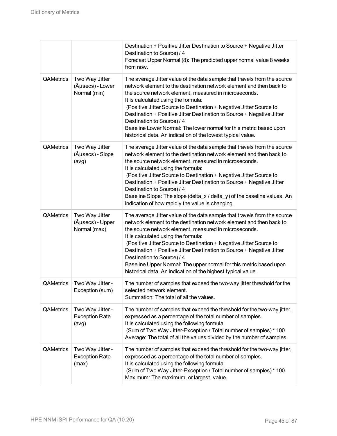|           |                                                    | Destination + Positive Jitter Destination to Source + Negative Jitter<br>Destination to Source) / 4<br>Forecast Upper Normal (8): The predicted upper normal value 8 weeks<br>from now.                                                                                                                                                                                                                                                                                                                                                                            |
|-----------|----------------------------------------------------|--------------------------------------------------------------------------------------------------------------------------------------------------------------------------------------------------------------------------------------------------------------------------------------------------------------------------------------------------------------------------------------------------------------------------------------------------------------------------------------------------------------------------------------------------------------------|
| QAMetrics | Two Way Jitter<br>(µsecs) - Lower<br>Normal (min)  | The average Jitter value of the data sample that travels from the source<br>network element to the destination network element and then back to<br>the source network element, measured in microseconds.<br>It is calculated using the formula:<br>(Positive Jitter Source to Destination + Negative Jitter Source to<br>Destination + Positive Jitter Destination to Source + Negative Jitter<br>Destination to Source) / 4<br>Baseline Lower Normal: The lower normal for this metric based upon<br>historical data. An indication of the lowest typical value.  |
| QAMetrics | Two Way Jitter<br>(µsecs) - Slope<br>(avg)         | The average Jitter value of the data sample that travels from the source<br>network element to the destination network element and then back to<br>the source network element, measured in microseconds.<br>It is calculated using the formula:<br>(Positive Jitter Source to Destination + Negative Jitter Source to<br>Destination + Positive Jitter Destination to Source + Negative Jitter<br>Destination to Source) / 4<br>Baseline Slope: The slope (delta_x / delta_y) of the baseline values. An<br>indication of how rapidly the value is changing.       |
| QAMetrics | Two Way Jitter<br>(µsecs) - Upper<br>Normal (max)  | The average Jitter value of the data sample that travels from the source<br>network element to the destination network element and then back to<br>the source network element, measured in microseconds.<br>It is calculated using the formula:<br>(Positive Jitter Source to Destination + Negative Jitter Source to<br>Destination + Positive Jitter Destination to Source + Negative Jitter<br>Destination to Source) / 4<br>Baseline Upper Normal: The upper normal for this metric based upon<br>historical data. An indication of the highest typical value. |
| QAMetrics | Two Way Jitter -<br>Exception (sum)                | The number of samples that exceed the two-way jitter threshold for the<br>selected network element.<br>Summation: The total of all the values.                                                                                                                                                                                                                                                                                                                                                                                                                     |
| QAMetrics | Two Way Jitter -<br><b>Exception Rate</b><br>(avg) | The number of samples that exceed the threshold for the two-way jitter,<br>expressed as a percentage of the total number of samples.<br>It is calculated using the following formula:<br>(Sum of Two Way Jitter-Exception / Total number of samples) * 100<br>Average: The total of all the values divided by the number of samples.                                                                                                                                                                                                                               |
| QAMetrics | Two Way Jitter -<br><b>Exception Rate</b><br>(max) | The number of samples that exceed the threshold for the two-way jitter,<br>expressed as a percentage of the total number of samples.<br>It is calculated using the following formula:<br>(Sum of Two Way Jitter-Exception / Total number of samples) * 100<br>Maximum: The maximum, or largest, value.                                                                                                                                                                                                                                                             |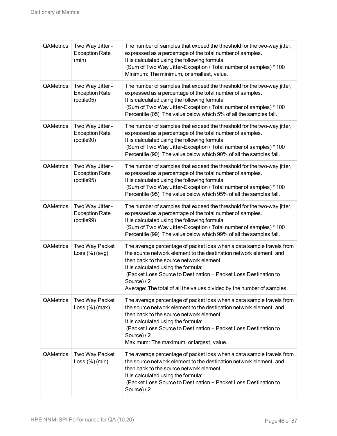| QAMetrics        | Two Way Jitter -<br><b>Exception Rate</b><br>(min)      | The number of samples that exceed the threshold for the two-way jitter,<br>expressed as a percentage of the total number of samples.<br>It is calculated using the following formula:<br>(Sum of Two Way Jitter-Exception / Total number of samples) * 100<br>Minimum: The minimum, or smallest, value.                                                                                    |
|------------------|---------------------------------------------------------|--------------------------------------------------------------------------------------------------------------------------------------------------------------------------------------------------------------------------------------------------------------------------------------------------------------------------------------------------------------------------------------------|
| QAMetrics        | Two Way Jitter -<br><b>Exception Rate</b><br>(pctile05) | The number of samples that exceed the threshold for the two-way jitter,<br>expressed as a percentage of the total number of samples.<br>It is calculated using the following formula:<br>(Sum of Two Way Jitter-Exception / Total number of samples) * 100<br>Percentile (05): The value below which 5% of all the samples fall.                                                           |
| QAMetrics        | Two Way Jitter -<br><b>Exception Rate</b><br>(pctile90) | The number of samples that exceed the threshold for the two-way jitter,<br>expressed as a percentage of the total number of samples.<br>It is calculated using the following formula:<br>(Sum of Two Way Jitter-Exception / Total number of samples) * 100<br>Percentile (90): The value below which 90% of all the samples fall.                                                          |
| QAMetrics        | Two Way Jitter -<br><b>Exception Rate</b><br>(pctile95) | The number of samples that exceed the threshold for the two-way jitter,<br>expressed as a percentage of the total number of samples.<br>It is calculated using the following formula:<br>(Sum of Two Way Jitter-Exception / Total number of samples) * 100<br>Percentile (95): The value below which 95% of all the samples fall.                                                          |
| QAMetrics        | Two Way Jitter -<br><b>Exception Rate</b><br>(pctile99) | The number of samples that exceed the threshold for the two-way jitter,<br>expressed as a percentage of the total number of samples.<br>It is calculated using the following formula:<br>(Sum of Two Way Jitter-Exception / Total number of samples) * 100<br>Percentile (99): The value below which 99% of all the samples fall.                                                          |
| QAMetrics        | Two Way Packet<br>Loss $(\%)$ (avg)                     | The average percentage of packet loss when a data sample travels from<br>the source network element to the destination network element, and<br>then back to the source network element.<br>It is calculated using the formula:<br>(Packet Loss Source to Destination + Packet Loss Destination to<br>Source) / 2<br>Average: The total of all the values divided by the number of samples. |
| <b>QAMetrics</b> | Two Way Packet<br>Loss $(\%)$ (max)                     | The average percentage of packet loss when a data sample travels from<br>the source network element to the destination network element, and<br>then back to the source network element.<br>It is calculated using the formula:<br>(Packet Loss Source to Destination + Packet Loss Destination to<br>Source) / 2<br>Maximum: The maximum, or largest, value.                               |
| QAMetrics        | Two Way Packet<br>Loss (%) (min)                        | The average percentage of packet loss when a data sample travels from<br>the source network element to the destination network element, and<br>then back to the source network element.<br>It is calculated using the formula:<br>(Packet Loss Source to Destination + Packet Loss Destination to<br>Source) / 2                                                                           |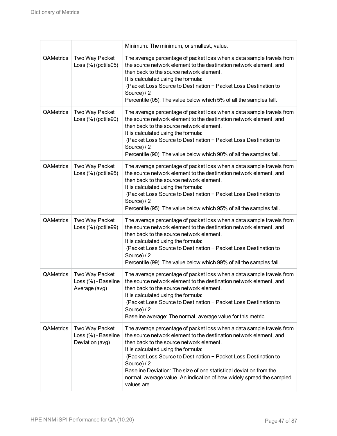|           |                                                          | Minimum: The minimum, or smallest, value.                                                                                                                                                                                                                                                                                                                                                                                                                                      |
|-----------|----------------------------------------------------------|--------------------------------------------------------------------------------------------------------------------------------------------------------------------------------------------------------------------------------------------------------------------------------------------------------------------------------------------------------------------------------------------------------------------------------------------------------------------------------|
| QAMetrics | Two Way Packet<br>Loss $(\%)$ (pctile 05)                | The average percentage of packet loss when a data sample travels from<br>the source network element to the destination network element, and<br>then back to the source network element.<br>It is calculated using the formula:<br>(Packet Loss Source to Destination + Packet Loss Destination to<br>Source) / 2<br>Percentile (05): The value below which 5% of all the samples fall.                                                                                         |
| QAMetrics | Two Way Packet<br>Loss $(\%)$ (pctile 90)                | The average percentage of packet loss when a data sample travels from<br>the source network element to the destination network element, and<br>then back to the source network element.<br>It is calculated using the formula:<br>(Packet Loss Source to Destination + Packet Loss Destination to<br>Source) / 2<br>Percentile (90): The value below which 90% of all the samples fall.                                                                                        |
| QAMetrics | Two Way Packet<br>Loss (%) (pctile95)                    | The average percentage of packet loss when a data sample travels from<br>the source network element to the destination network element, and<br>then back to the source network element.<br>It is calculated using the formula:<br>(Packet Loss Source to Destination + Packet Loss Destination to<br>Source) / 2<br>Percentile (95): The value below which 95% of all the samples fall.                                                                                        |
| QAMetrics | Two Way Packet<br>Loss (%) (pctile99)                    | The average percentage of packet loss when a data sample travels from<br>the source network element to the destination network element, and<br>then back to the source network element.<br>It is calculated using the formula:<br>(Packet Loss Source to Destination + Packet Loss Destination to<br>Source) / 2<br>Percentile (99): The value below which 99% of all the samples fall.                                                                                        |
| QAMetrics | Two Way Packet<br>Loss (%) - Baseline<br>Average (avg)   | The average percentage of packet loss when a data sample travels from<br>the source network element to the destination network element, and<br>then back to the source network element.<br>It is calculated using the formula:<br>(Packet Loss Source to Destination + Packet Loss Destination to<br>Source) / 2<br>Baseline average: The normal, average value for this metric.                                                                                               |
| QAMetrics | Two Way Packet<br>Loss (%) - Baseline<br>Deviation (avg) | The average percentage of packet loss when a data sample travels from<br>the source network element to the destination network element, and<br>then back to the source network element.<br>It is calculated using the formula:<br>(Packet Loss Source to Destination + Packet Loss Destination to<br>Source) / 2<br>Baseline Deviation: The size of one statistical deviation from the<br>normal, average value. An indication of how widely spread the sampled<br>values are. |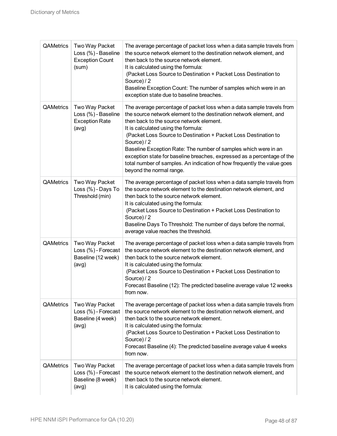| QAMetrics        | Two Way Packet<br>Loss (%) - Baseline<br><b>Exception Count</b><br>(sum) | The average percentage of packet loss when a data sample travels from<br>the source network element to the destination network element, and<br>then back to the source network element.<br>It is calculated using the formula:<br>(Packet Loss Source to Destination + Packet Loss Destination to<br>Source) / 2<br>Baseline Exception Count: The number of samples which were in an<br>exception state due to baseline breaches.                                                                                                                                     |
|------------------|--------------------------------------------------------------------------|-----------------------------------------------------------------------------------------------------------------------------------------------------------------------------------------------------------------------------------------------------------------------------------------------------------------------------------------------------------------------------------------------------------------------------------------------------------------------------------------------------------------------------------------------------------------------|
| QAMetrics        | Two Way Packet<br>Loss (%) - Baseline<br><b>Exception Rate</b><br>(avg)  | The average percentage of packet loss when a data sample travels from<br>the source network element to the destination network element, and<br>then back to the source network element.<br>It is calculated using the formula:<br>(Packet Loss Source to Destination + Packet Loss Destination to<br>Source) / 2<br>Baseline Exception Rate: The number of samples which were in an<br>exception state for baseline breaches, expressed as a percentage of the<br>total number of samples. An indication of how frequently the value goes<br>beyond the normal range. |
| QAMetrics        | Two Way Packet<br>Loss (%) - Days To<br>Threshold (min)                  | The average percentage of packet loss when a data sample travels from<br>the source network element to the destination network element, and<br>then back to the source network element.<br>It is calculated using the formula:<br>(Packet Loss Source to Destination + Packet Loss Destination to<br>Source) / 2<br>Baseline Days To Threshold: The number of days before the normal,<br>average value reaches the threshold.                                                                                                                                         |
| QAMetrics        | Two Way Packet<br>Loss (%) - Forecast<br>Baseline (12 week)<br>(avg)     | The average percentage of packet loss when a data sample travels from<br>the source network element to the destination network element, and<br>then back to the source network element.<br>It is calculated using the formula:<br>(Packet Loss Source to Destination + Packet Loss Destination to<br>Source) / 2<br>Forecast Baseline (12): The predicted baseline average value 12 weeks<br>from now.                                                                                                                                                                |
| QAMetrics        | Two Way Packet<br>Loss (%) - Forecast<br>Baseline (4 week)<br>(avg)      | The average percentage of packet loss when a data sample travels from<br>the source network element to the destination network element, and<br>then back to the source network element.<br>It is calculated using the formula:<br>(Packet Loss Source to Destination + Packet Loss Destination to<br>Source) / 2<br>Forecast Baseline (4): The predicted baseline average value 4 weeks<br>from now.                                                                                                                                                                  |
| <b>QAMetrics</b> | Two Way Packet<br>Loss (%) - Forecast<br>Baseline (8 week)<br>(avg)      | The average percentage of packet loss when a data sample travels from<br>the source network element to the destination network element, and<br>then back to the source network element.<br>It is calculated using the formula:                                                                                                                                                                                                                                                                                                                                        |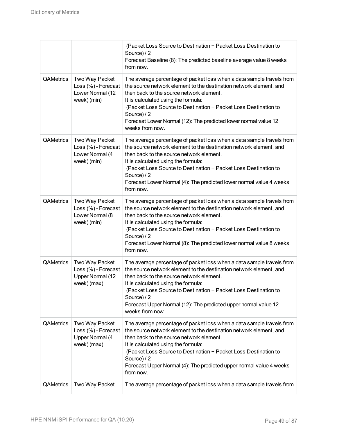|                  |                                                                          | (Packet Loss Source to Destination + Packet Loss Destination to<br>Source) / 2<br>Forecast Baseline (8): The predicted baseline average value 8 weeks<br>from now.                                                                                                                                                                                                                                     |
|------------------|--------------------------------------------------------------------------|--------------------------------------------------------------------------------------------------------------------------------------------------------------------------------------------------------------------------------------------------------------------------------------------------------------------------------------------------------------------------------------------------------|
| <b>QAMetrics</b> | Two Way Packet<br>Loss (%) - Forecast<br>Lower Normal (12<br>week) (min) | The average percentage of packet loss when a data sample travels from<br>the source network element to the destination network element, and<br>then back to the source network element.<br>It is calculated using the formula:<br>(Packet Loss Source to Destination + Packet Loss Destination to<br>Source) / 2<br>Forecast Lower Normal (12): The predicted lower normal value 12<br>weeks from now. |
| <b>QAMetrics</b> | Two Way Packet<br>Loss (%) - Forecast<br>Lower Normal (4<br>week) (min)  | The average percentage of packet loss when a data sample travels from<br>the source network element to the destination network element, and<br>then back to the source network element.<br>It is calculated using the formula:<br>(Packet Loss Source to Destination + Packet Loss Destination to<br>Source) / 2<br>Forecast Lower Normal (4): The predicted lower normal value 4 weeks<br>from now.   |
| <b>QAMetrics</b> | Two Way Packet<br>Loss (%) - Forecast<br>Lower Normal (8<br>week) (min)  | The average percentage of packet loss when a data sample travels from<br>the source network element to the destination network element, and<br>then back to the source network element.<br>It is calculated using the formula:<br>(Packet Loss Source to Destination + Packet Loss Destination to<br>Source) / 2<br>Forecast Lower Normal (8): The predicted lower normal value 8 weeks<br>from now.   |
| QAMetrics        | Two Way Packet<br>Loss (%) - Forecast<br>Upper Normal (12<br>week) (max) | The average percentage of packet loss when a data sample travels from<br>the source network element to the destination network element, and<br>then back to the source network element.<br>It is calculated using the formula:<br>(Packet Loss Source to Destination + Packet Loss Destination to<br>Source) / 2<br>Forecast Upper Normal (12): The predicted upper normal value 12<br>weeks from now. |
| QAMetrics        | Two Way Packet<br>Loss (%) - Forecast<br>Upper Normal (4<br>week) (max)  | The average percentage of packet loss when a data sample travels from<br>the source network element to the destination network element, and<br>then back to the source network element.<br>It is calculated using the formula:<br>(Packet Loss Source to Destination + Packet Loss Destination to<br>Source) / 2<br>Forecast Upper Normal (4): The predicted upper normal value 4 weeks<br>from now.   |
| QAMetrics        | Two Way Packet                                                           | The average percentage of packet loss when a data sample travels from                                                                                                                                                                                                                                                                                                                                  |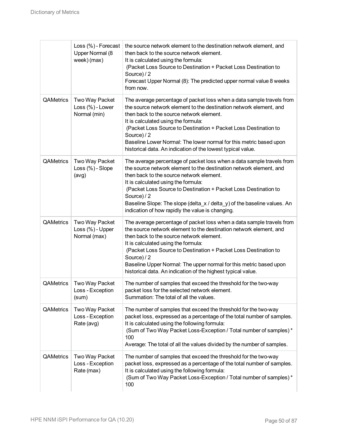|                  | Loss (%) - Forecast<br>Upper Normal (8<br>week) (max) | the source network element to the destination network element, and<br>then back to the source network element.<br>It is calculated using the formula:<br>(Packet Loss Source to Destination + Packet Loss Destination to<br>Source) / 2<br>Forecast Upper Normal (8): The predicted upper normal value 8 weeks<br>from now.                                                                                                                            |
|------------------|-------------------------------------------------------|--------------------------------------------------------------------------------------------------------------------------------------------------------------------------------------------------------------------------------------------------------------------------------------------------------------------------------------------------------------------------------------------------------------------------------------------------------|
| <b>QAMetrics</b> | Two Way Packet<br>Loss (%) - Lower<br>Normal (min)    | The average percentage of packet loss when a data sample travels from<br>the source network element to the destination network element, and<br>then back to the source network element.<br>It is calculated using the formula:<br>(Packet Loss Source to Destination + Packet Loss Destination to<br>Source) / 2<br>Baseline Lower Normal: The lower normal for this metric based upon<br>historical data. An indication of the lowest typical value.  |
| <b>QAMetrics</b> | Two Way Packet<br>Loss $(\%)$ - Slope<br>(avg)        | The average percentage of packet loss when a data sample travels from<br>the source network element to the destination network element, and<br>then back to the source network element.<br>It is calculated using the formula:<br>(Packet Loss Source to Destination + Packet Loss Destination to<br>Source) / 2<br>Baseline Slope: The slope (delta_x / delta_y) of the baseline values. An<br>indication of how rapidly the value is changing.       |
| <b>QAMetrics</b> | Two Way Packet<br>Loss (%) - Upper<br>Normal (max)    | The average percentage of packet loss when a data sample travels from<br>the source network element to the destination network element, and<br>then back to the source network element.<br>It is calculated using the formula:<br>(Packet Loss Source to Destination + Packet Loss Destination to<br>Source) / 2<br>Baseline Upper Normal: The upper normal for this metric based upon<br>historical data. An indication of the highest typical value. |
| <b>QAMetrics</b> | Two Way Packet<br>Loss - Exception<br>(sum)           | The number of samples that exceed the threshold for the two-way<br>packet loss for the selected network element.<br>Summation: The total of all the values.                                                                                                                                                                                                                                                                                            |
| <b>QAMetrics</b> | Two Way Packet<br>Loss - Exception<br>Rate (avg)      | The number of samples that exceed the threshold for the two-way<br>packet loss, expressed as a percentage of the total number of samples.<br>It is calculated using the following formula:<br>(Sum of Two Way Packet Loss-Exception / Total number of samples) *<br>100<br>Average: The total of all the values divided by the number of samples.                                                                                                      |
| <b>QAMetrics</b> | Two Way Packet<br>Loss - Exception<br>Rate (max)      | The number of samples that exceed the threshold for the two-way<br>packet loss, expressed as a percentage of the total number of samples.<br>It is calculated using the following formula:<br>(Sum of Two Way Packet Loss-Exception / Total number of samples) *<br>100                                                                                                                                                                                |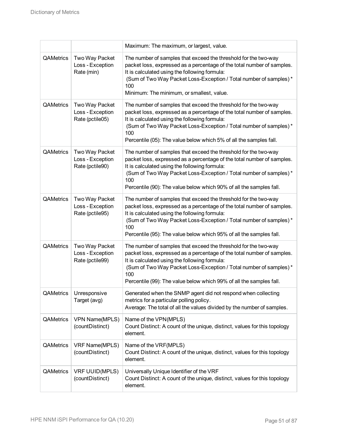|           |                                                       | Maximum: The maximum, or largest, value.                                                                                                                                                                                                                                                                                                       |
|-----------|-------------------------------------------------------|------------------------------------------------------------------------------------------------------------------------------------------------------------------------------------------------------------------------------------------------------------------------------------------------------------------------------------------------|
| QAMetrics | Two Way Packet<br>Loss - Exception<br>Rate (min)      | The number of samples that exceed the threshold for the two-way<br>packet loss, expressed as a percentage of the total number of samples.<br>It is calculated using the following formula:<br>(Sum of Two Way Packet Loss-Exception / Total number of samples) *<br>100<br>Minimum: The minimum, or smallest, value.                           |
| QAMetrics | Two Way Packet<br>Loss - Exception<br>Rate (pctile05) | The number of samples that exceed the threshold for the two-way<br>packet loss, expressed as a percentage of the total number of samples.<br>It is calculated using the following formula:<br>(Sum of Two Way Packet Loss-Exception / Total number of samples) *<br>100<br>Percentile (05): The value below which 5% of all the samples fall.  |
| QAMetrics | Two Way Packet<br>Loss - Exception<br>Rate (pctile90) | The number of samples that exceed the threshold for the two-way<br>packet loss, expressed as a percentage of the total number of samples.<br>It is calculated using the following formula:<br>(Sum of Two Way Packet Loss-Exception / Total number of samples) *<br>100<br>Percentile (90): The value below which 90% of all the samples fall. |
| QAMetrics | Two Way Packet<br>Loss - Exception<br>Rate (pctile95) | The number of samples that exceed the threshold for the two-way<br>packet loss, expressed as a percentage of the total number of samples.<br>It is calculated using the following formula:<br>(Sum of Two Way Packet Loss-Exception / Total number of samples) *<br>100<br>Percentile (95): The value below which 95% of all the samples fall. |
| QAMetrics | Two Way Packet<br>Loss - Exception<br>Rate (pctile99) | The number of samples that exceed the threshold for the two-way<br>packet loss, expressed as a percentage of the total number of samples.<br>It is calculated using the following formula:<br>(Sum of Two Way Packet Loss-Exception / Total number of samples) *<br>100<br>Percentile (99): The value below which 99% of all the samples fall. |
| QAMetrics | Unresponsive<br>Target (avg)                          | Generated when the SNMP agent did not respond when collecting<br>metrics for a particular polling policy.<br>Average: The total of all the values divided by the number of samples.                                                                                                                                                            |
| QAMetrics | VPN Name(MPLS)<br>(countDistinct)                     | Name of the VPN(MPLS)<br>Count Distinct: A count of the unique, distinct, values for this topology<br>element.                                                                                                                                                                                                                                 |
| QAMetrics | VRF Name(MPLS)<br>(countDistinct)                     | Name of the VRF(MPLS)<br>Count Distinct: A count of the unique, distinct, values for this topology<br>element.                                                                                                                                                                                                                                 |
| QAMetrics | VRF UUID(MPLS)<br>(countDistinct)                     | Universally Unique Identifier of the VRF<br>Count Distinct: A count of the unique, distinct, values for this topology<br>element.                                                                                                                                                                                                              |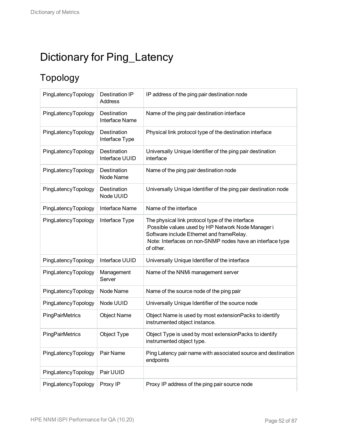# Dictionary for Ping\_Latency

## Topology

| PingLatencyTopology | <b>Destination IP</b><br>Address     | IP address of the ping pair destination node                                                                                                                                                                                 |
|---------------------|--------------------------------------|------------------------------------------------------------------------------------------------------------------------------------------------------------------------------------------------------------------------------|
| PingLatencyTopology | Destination<br><b>Interface Name</b> | Name of the ping pair destination interface                                                                                                                                                                                  |
| PingLatencyTopology | Destination<br>Interface Type        | Physical link protocol type of the destination interface                                                                                                                                                                     |
| PingLatencyTopology | <b>Destination</b><br>Interface UUID | Universally Unique Identifier of the ping pair destination<br>interface                                                                                                                                                      |
| PingLatencyTopology | Destination<br>Node Name             | Name of the ping pair destination node                                                                                                                                                                                       |
| PingLatencyTopology | Destination<br>Node UUID             | Universally Unique Identifier of the ping pair destination node                                                                                                                                                              |
| PingLatencyTopology | <b>Interface Name</b>                | Name of the interface                                                                                                                                                                                                        |
| PingLatencyTopology | Interface Type                       | The physical link protocol type of the interface<br>Possible values used by HP Network Node Manager i<br>Software include Ethernet and frameRelay.<br>Note: Interfaces on non-SNMP nodes have an interface type<br>of other. |
| PingLatencyTopology | Interface UUID                       | Universally Unique Identifier of the interface                                                                                                                                                                               |
| PingLatencyTopology | Management<br>Server                 | Name of the NNMi management server                                                                                                                                                                                           |
| PingLatencyTopology | Node Name                            | Name of the source node of the ping pair                                                                                                                                                                                     |
| PingLatencyTopology | Node UUID                            | Universally Unique Identifier of the source node                                                                                                                                                                             |
| PingPairMetrics     | <b>Object Name</b>                   | Object Name is used by most extensionPacks to identify<br>instrumented object instance.                                                                                                                                      |
| PingPairMetrics     | Object Type                          | Object Type is used by most extensionPacks to identify<br>instrumented object type.                                                                                                                                          |
| PingLatencyTopology | Pair Name                            | Ping Latency pair name with associated source and destination<br>endpoints                                                                                                                                                   |
| PingLatencyTopology | Pair UUID                            |                                                                                                                                                                                                                              |
| PingLatencyTopology | Proxy IP                             | Proxy IP address of the ping pair source node                                                                                                                                                                                |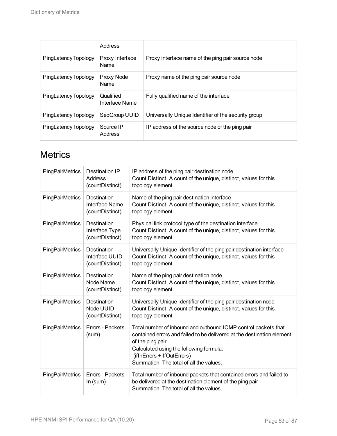|                     | Address                     |                                                     |
|---------------------|-----------------------------|-----------------------------------------------------|
| PingLatencyTopology | Proxy Interface<br>Name     | Proxy interface name of the ping pair source node   |
| PingLatencyTopology | Proxy Node<br>Name          | Proxy name of the ping pair source node             |
| PingLatencyTopology | Qualified<br>Interface Name | Fully qualified name of the interface               |
| PingLatencyTopology | SecGroup UUID               | Universally Unique Identifier of the security group |
| PingLatencyTopology | Source IP<br>Address        | IP address of the source node of the ping pair      |

#### **Metrics**

| PingPairMetrics        | Destination IP<br>Address<br>(countDistinct)     | IP address of the ping pair destination node<br>Count Distinct: A count of the unique, distinct, values for this<br>topology element.                                                                                                                                             |
|------------------------|--------------------------------------------------|-----------------------------------------------------------------------------------------------------------------------------------------------------------------------------------------------------------------------------------------------------------------------------------|
| PingPairMetrics        | Destination<br>Interface Name<br>(countDistinct) | Name of the ping pair destination interface<br>Count Distinct: A count of the unique, distinct, values for this<br>topology element.                                                                                                                                              |
| PingPairMetrics        | Destination<br>Interface Type<br>(countDistinct) | Physical link protocol type of the destination interface<br>Count Distinct: A count of the unique, distinct, values for this<br>topology element.                                                                                                                                 |
| PingPairMetrics        | Destination<br>Interface UUID<br>(countDistinct) | Universally Unique Identifier of the ping pair destination interface<br>Count Distinct: A count of the unique, distinct, values for this<br>topology element.                                                                                                                     |
| PingPairMetrics        | Destination<br>Node Name<br>(countDistinct)      | Name of the ping pair destination node<br>Count Distinct: A count of the unique, distinct, values for this<br>topology element.                                                                                                                                                   |
| PingPairMetrics        | Destination<br>Node UUID<br>(countDistinct)      | Universally Unique Identifier of the ping pair destination node<br>Count Distinct: A count of the unique, distinct, values for this<br>topology element.                                                                                                                          |
| PingPairMetrics        | Errors - Packets<br>(sum)                        | Total number of inbound and outbound ICMP control packets that<br>contained errors and failed to be delivered at the destination element<br>of the ping pair.<br>Calculated using the following formula:<br>(ifInErrors + IfOutErrors)<br>Summation: The total of all the values. |
| <b>PingPairMetrics</b> | Errors - Packets<br>In (sum)                     | Total number of inbound packets that contained errors and failed to<br>be delivered at the destination element of the ping pair<br>Summation: The total of all the values.                                                                                                        |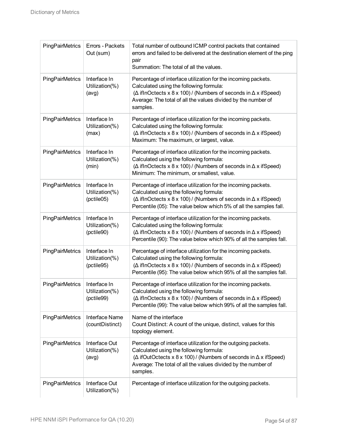| PingPairMetrics | Errors - Packets<br>Out (sum)                | Total number of outbound ICMP control packets that contained<br>errors and failed to be delivered at the destination element of the ping<br>pair<br>Summation: The total of all the values.                                                                              |
|-----------------|----------------------------------------------|--------------------------------------------------------------------------------------------------------------------------------------------------------------------------------------------------------------------------------------------------------------------------|
| PingPairMetrics | Interface In<br>Utilization(%)<br>(avg)      | Percentage of interface utilization for the incoming packets.<br>Calculated using the following formula:<br>$(\Delta$ if InOctects x 8 x 100) / (Numbers of seconds in $\Delta$ x if Speed)<br>Average: The total of all the values divided by the number of<br>samples. |
| PingPairMetrics | Interface In<br>Utilization(%)<br>(max)      | Percentage of interface utilization for the incoming packets.<br>Calculated using the following formula:<br>$(\Delta$ if InOctects x 8 x 100) / (Numbers of seconds in $\Delta$ x if Speed)<br>Maximum: The maximum, or largest, value.                                  |
| PingPairMetrics | Interface In<br>Utilization(%)<br>(min)      | Percentage of interface utilization for the incoming packets.<br>Calculated using the following formula:<br>$(\Delta$ if InOctects x 8 x 100) / (Numbers of seconds in $\Delta$ x if Speed)<br>Minimum: The minimum, or smallest, value.                                 |
| PingPairMetrics | Interface In<br>Utilization(%)<br>(pctile05) | Percentage of interface utilization for the incoming packets.<br>Calculated using the following formula:<br>$(\Delta$ if InOctects x 8 x 100) / (Numbers of seconds in $\Delta$ x if Speed)<br>Percentile (05): The value below which 5% of all the samples fall.        |
| PingPairMetrics | Interface In<br>Utilization(%)<br>(pctile90) | Percentage of interface utilization for the incoming packets.<br>Calculated using the following formula:<br>$(\Delta$ if InOctects x 8 x 100) / (Numbers of seconds in $\Delta$ x if Speed)<br>Percentile (90): The value below which 90% of all the samples fall.       |
| PingPairMetrics | Interface In<br>Utilization(%)<br>(pctile95) | Percentage of interface utilization for the incoming packets.<br>Calculated using the following formula:<br>$(\Delta$ if InOctects x 8 x 100) / (Numbers of seconds in $\Delta$ x if Speed)<br>Percentile (95): The value below which 95% of all the samples fall.       |
| PingPairMetrics | Interface In<br>Utilization(%)<br>(pctile99) | Percentage of interface utilization for the incoming packets.<br>Calculated using the following formula:<br>$(\Delta$ if InOctects x 8 x 100) / (Numbers of seconds in $\Delta$ x if Speed)<br>Percentile (99): The value below which 99% of all the samples fall.       |
| PingPairMetrics | <b>Interface Name</b><br>(countDistinct)     | Name of the interface<br>Count Distinct: A count of the unique, distinct, values for this<br>topology element.                                                                                                                                                           |
| PingPairMetrics | Interface Out<br>Utilization(%)<br>(avg)     | Percentage of interface utilization for the outgoing packets.<br>Calculated using the following formula:<br>$(\Delta$ ifOutOctects x 8 x 100) / (Numbers of seconds in $\Delta$ x ifSpeed)<br>Average: The total of all the values divided by the number of<br>samples.  |
| PingPairMetrics | Interface Out<br>Utilization(%)              | Percentage of interface utilization for the outgoing packets.                                                                                                                                                                                                            |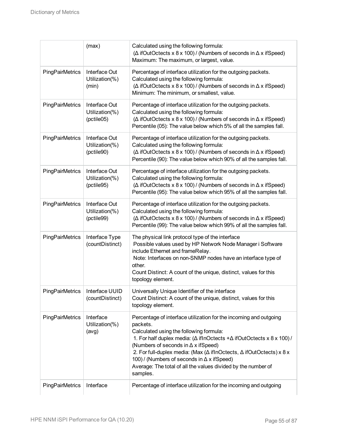|                        | (max)                                         | Calculated using the following formula:<br>( $\Delta$ ifOutOctects x 8 x 100) / (Numbers of seconds in $\Delta$ x ifSpeed)<br>Maximum: The maximum, or largest, value.                                                                                                                                                                                                                                                                                                                              |
|------------------------|-----------------------------------------------|-----------------------------------------------------------------------------------------------------------------------------------------------------------------------------------------------------------------------------------------------------------------------------------------------------------------------------------------------------------------------------------------------------------------------------------------------------------------------------------------------------|
| PingPairMetrics        | Interface Out<br>Utilization(%)<br>(min)      | Percentage of interface utilization for the outgoing packets.<br>Calculated using the following formula:<br>( $\Delta$ ifOutOctects x 8 x 100) / (Numbers of seconds in $\Delta$ x ifSpeed)<br>Minimum: The minimum, or smallest, value.                                                                                                                                                                                                                                                            |
| PingPairMetrics        | Interface Out<br>Utilization(%)<br>(pctile05) | Percentage of interface utilization for the outgoing packets.<br>Calculated using the following formula:<br>( $\Delta$ ifOutOctects x 8 x 100) / (Numbers of seconds in $\Delta$ x ifSpeed)<br>Percentile (05): The value below which 5% of all the samples fall.                                                                                                                                                                                                                                   |
| PingPairMetrics        | Interface Out<br>Utilization(%)<br>(pctile90) | Percentage of interface utilization for the outgoing packets.<br>Calculated using the following formula:<br>( $\Delta$ ifOutOctects x 8 x 100) / (Numbers of seconds in $\Delta$ x ifSpeed)<br>Percentile (90): The value below which 90% of all the samples fall.                                                                                                                                                                                                                                  |
| PingPairMetrics        | Interface Out<br>Utilization(%)<br>(pctile95) | Percentage of interface utilization for the outgoing packets.<br>Calculated using the following formula:<br>( $\Delta$ ifOutOctects x 8 x 100) / (Numbers of seconds in $\Delta$ x ifSpeed)<br>Percentile (95): The value below which 95% of all the samples fall.                                                                                                                                                                                                                                  |
| PingPairMetrics        | Interface Out<br>Utilization(%)<br>(pctile99) | Percentage of interface utilization for the outgoing packets.<br>Calculated using the following formula:<br>( $\Delta$ ifOutOctects x 8 x 100) / (Numbers of seconds in $\Delta$ x ifSpeed)<br>Percentile (99): The value below which 99% of all the samples fall.                                                                                                                                                                                                                                  |
| PingPairMetrics        | Interface Type<br>(countDistinct)             | The physical link protocol type of the interface<br>Possible values used by HP Network Node Manager i Software<br>include Ethernet and frameRelay.<br>Note: Interfaces on non-SNMP nodes have an interface type of<br>other.<br>Count Distinct: A count of the unique, distinct, values for this<br>topology element.                                                                                                                                                                               |
| PingPairMetrics        | Interface UUID<br>(countDistinct)             | Universally Unique Identifier of the interface<br>Count Distinct: A count of the unique, distinct, values for this<br>topology element.                                                                                                                                                                                                                                                                                                                                                             |
| <b>PingPairMetrics</b> | Interface<br>Utilization(%)<br>(avg)          | Percentage of interface utilization for the incoming and outgoing<br>packets.<br>Calculated using the following formula:<br>1. For half duplex media: $(\Delta \text{ if InOctects} + \Delta \text{ ifOutOctects} \times 8 \times 100)$ /<br>(Numbers of seconds in $\Delta$ x if Speed)<br>2. For full-duplex media: (Max (Δ ifInOctects, Δ ifOutOctects) x 8 x<br>100) / (Numbers of seconds in $\Delta$ x if Speed)<br>Average: The total of all the values divided by the number of<br>samples. |
| <b>PingPairMetrics</b> | Interface                                     | Percentage of interface utilization for the incoming and outgoing                                                                                                                                                                                                                                                                                                                                                                                                                                   |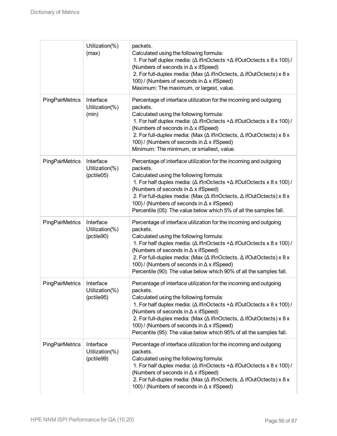|                        | Utilization(%)<br>(max)                   | packets.<br>Calculated using the following formula:<br>1. For half duplex media: $(\Delta \text{ if InOctects} + \Delta \text{ ifOutOctects} \times 8 \times 100)$ /<br>(Numbers of seconds in $\Delta$ x if Speed)<br>2. For full-duplex media: (Max ( $\Delta$ if InOctects, $\Delta$ if OutOctects) x 8 x<br>100) / (Numbers of seconds in $\Delta$ x if Speed)<br>Maximum: The maximum, or largest, value.                                                                                                |
|------------------------|-------------------------------------------|---------------------------------------------------------------------------------------------------------------------------------------------------------------------------------------------------------------------------------------------------------------------------------------------------------------------------------------------------------------------------------------------------------------------------------------------------------------------------------------------------------------|
| PingPairMetrics        | Interface<br>Utilization(%)<br>(min)      | Percentage of interface utilization for the incoming and outgoing<br>packets.<br>Calculated using the following formula:<br>1. For half duplex media: ( $\Delta$ if InOctects + $\Delta$ if OutOctects x 8 x 100) /<br>(Numbers of seconds in $\Delta$ x if Speed)<br>2. For full-duplex media: (Max ( $\Delta$ if InOctects, $\Delta$ if OutOctects) x 8 x<br>100) / (Numbers of seconds in $\Delta$ x if Speed)<br>Minimum: The minimum, or smallest, value.                                                |
| PingPairMetrics        | Interface<br>Utilization(%)<br>(pctile05) | Percentage of interface utilization for the incoming and outgoing<br>packets.<br>Calculated using the following formula:<br>1. For half duplex media: $(\Delta \text{ if InOctects} + \Delta \text{ ifOutOctects} \times 8 \times 100)$ /<br>(Numbers of seconds in $\Delta$ x if Speed)<br>2. For full-duplex media: (Max ( $\Delta$ if InOctects, $\Delta$ if OutOctects) x 8 x<br>100) / (Numbers of seconds in $\Delta$ x if Speed)<br>Percentile (05): The value below which 5% of all the samples fall. |
| PingPairMetrics        | Interface<br>Utilization(%)<br>(pctile90) | Percentage of interface utilization for the incoming and outgoing<br>packets.<br>Calculated using the following formula:<br>1. For half duplex media: $(\Delta \text{ if InOctects} + \Delta \text{ ifOutOctects} \times 8 \times 100)$ /<br>(Numbers of seconds in $\Delta$ x if Speed)<br>2. For full-duplex media: (Max (Δ ifInOctects, Δ ifOutOctects) x 8 x<br>100) / (Numbers of seconds in $\Delta$ x if Speed)<br>Percentile (90): The value below which 90% of all the samples fall.                 |
| PingPairMetrics        | Interface<br>Utilization(%)<br>(pctile95) | Percentage of interface utilization for the incoming and outgoing<br>packets.<br>Calculated using the following formula:<br>1. For half duplex media: ( $\Delta$ if InOctects + $\Delta$ if OutOctects x 8 x 100) /<br>(Numbers of seconds in $\Delta$ x if Speed)<br>2. For full-duplex media: (Max ( $\Delta$ if InOctects, $\Delta$ if OutOctects) x 8 x<br>100) / (Numbers of seconds in $\Delta$ x if Speed)<br>Percentile (95): The value below which 95% of all the samples fall.                      |
| <b>PingPairMetrics</b> | Interface<br>Utilization(%)<br>(pctile99) | Percentage of interface utilization for the incoming and outgoing<br>packets.<br>Calculated using the following formula:<br>1. For half duplex media: (Δ ifInOctects +Δ ifOutOctects x 8 x 100) /<br>(Numbers of seconds in $\Delta$ x if Speed)<br>2. For full-duplex media: (Max ( $\Delta$ if InOctects, $\Delta$ if OutOctects) x 8 x<br>100) / (Numbers of seconds in $\Delta$ x if Speed)                                                                                                               |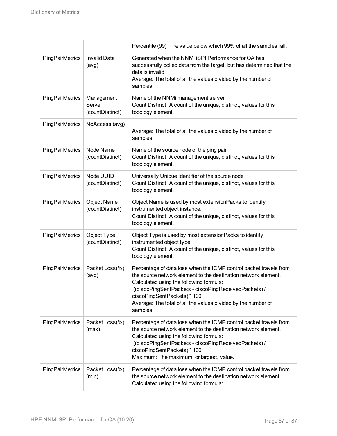|                        |                                         | Percentile (99): The value below which 99% of all the samples fall.                                                                                                                                                                                                                                                                                |
|------------------------|-----------------------------------------|----------------------------------------------------------------------------------------------------------------------------------------------------------------------------------------------------------------------------------------------------------------------------------------------------------------------------------------------------|
| PingPairMetrics        | <b>Invalid Data</b><br>(avg)            | Generated when the NNMi iSPI Performance for QA has<br>successfully polled data from the target, but has determined that the<br>data is invalid.<br>Average: The total of all the values divided by the number of<br>samples.                                                                                                                      |
| PingPairMetrics        | Management<br>Server<br>(countDistinct) | Name of the NNMi management server<br>Count Distinct: A count of the unique, distinct, values for this<br>topology element.                                                                                                                                                                                                                        |
| PingPairMetrics        | NoAccess (avg)                          | Average: The total of all the values divided by the number of<br>samples.                                                                                                                                                                                                                                                                          |
| PingPairMetrics        | Node Name<br>(countDistinct)            | Name of the source node of the ping pair<br>Count Distinct: A count of the unique, distinct, values for this<br>topology element.                                                                                                                                                                                                                  |
| PingPairMetrics        | Node UUID<br>(countDistinct)            | Universally Unique Identifier of the source node<br>Count Distinct: A count of the unique, distinct, values for this<br>topology element.                                                                                                                                                                                                          |
| PingPairMetrics        | <b>Object Name</b><br>(countDistinct)   | Object Name is used by most extensionPacks to identify<br>instrumented object instance.<br>Count Distinct: A count of the unique, distinct, values for this<br>topology element.                                                                                                                                                                   |
| PingPairMetrics        | Object Type<br>(countDistinct)          | Object Type is used by most extensionPacks to identify<br>instrumented object type.<br>Count Distinct: A count of the unique, distinct, values for this<br>topology element.                                                                                                                                                                       |
| PingPairMetrics        | Packet Loss(%)<br>(avg)                 | Percentage of data loss when the ICMP control packet travels from<br>the source network element to the destination network element.<br>Calculated using the following formula:<br>((ciscoPingSentPackets - ciscoPingReceivedPackets) /<br>ciscoPingSentPackets) * 100<br>Average: The total of all the values divided by the number of<br>samples. |
| PingPairMetrics        | Packet Loss(%)<br>(max)                 | Percentage of data loss when the ICMP control packet travels from<br>the source network element to the destination network element.<br>Calculated using the following formula:<br>((ciscoPingSentPackets - ciscoPingReceivedPackets) /<br>ciscoPingSentPackets) * 100<br>Maximum: The maximum, or largest, value.                                  |
| <b>PingPairMetrics</b> | Packet Loss(%)<br>(min)                 | Percentage of data loss when the ICMP control packet travels from<br>the source network element to the destination network element.<br>Calculated using the following formula:                                                                                                                                                                     |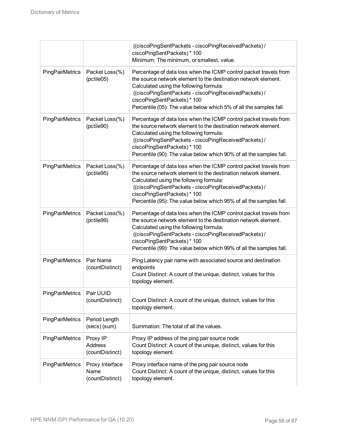|                 |                                               | ((ciscoPingSentPackets - ciscoPingReceivedPackets) /<br>ciscoPingSentPackets) * 100<br>Minimum: The minimum, or smallest, value.                                                                                                                                                                                                             |
|-----------------|-----------------------------------------------|----------------------------------------------------------------------------------------------------------------------------------------------------------------------------------------------------------------------------------------------------------------------------------------------------------------------------------------------|
| PingPairMetrics | Packet Loss(%)<br>(pctile05)                  | Percentage of data loss when the ICMP control packet travels from<br>the source network element to the destination network element.<br>Calculated using the following formula:<br>((ciscoPingSentPackets - ciscoPingReceivedPackets) /<br>ciscoPingSentPackets) * 100<br>Percentile (05): The value below which 5% of all the samples fall.  |
| PingPairMetrics | Packet Loss(%)<br>(pctile90)                  | Percentage of data loss when the ICMP control packet travels from<br>the source network element to the destination network element.<br>Calculated using the following formula:<br>((ciscoPingSentPackets - ciscoPingReceivedPackets) /<br>ciscoPingSentPackets) * 100<br>Percentile (90): The value below which 90% of all the samples fall. |
| PingPairMetrics | Packet Loss(%)<br>(pctile95)                  | Percentage of data loss when the ICMP control packet travels from<br>the source network element to the destination network element.<br>Calculated using the following formula:<br>((ciscoPingSentPackets - ciscoPingReceivedPackets) /<br>ciscoPingSentPackets) * 100<br>Percentile (95): The value below which 95% of all the samples fall. |
| PingPairMetrics | Packet Loss(%)<br>(pctile99)                  | Percentage of data loss when the ICMP control packet travels from<br>the source network element to the destination network element.<br>Calculated using the following formula:<br>((ciscoPingSentPackets - ciscoPingReceivedPackets) /<br>ciscoPingSentPackets) * 100<br>Percentile (99): The value below which 99% of all the samples fall. |
| PingPairMetrics | Pair Name<br>(countDistinct)                  | Ping Latency pair name with associated source and destination<br>endpoints<br>Count Distinct: A count of the unique, distinct, values for this<br>topology element.                                                                                                                                                                          |
| PingPairMetrics | Pair UUID<br>(countDistinct)                  | Count Distinct: A count of the unique, distinct, values for this<br>topology element.                                                                                                                                                                                                                                                        |
| PingPairMetrics | Period Length<br>(secs) (sum)                 | Summation: The total of all the values.                                                                                                                                                                                                                                                                                                      |
| PingPairMetrics | Proxy IP<br><b>Address</b><br>(countDistinct) | Proxy IP address of the ping pair source node<br>Count Distinct: A count of the unique, distinct, values for this<br>topology element.                                                                                                                                                                                                       |
| PingPairMetrics | Proxy Interface<br>Name<br>(countDistinct)    | Proxy interface name of the ping pair source node<br>Count Distinct: A count of the unique, distinct, values for this<br>topology element.                                                                                                                                                                                                   |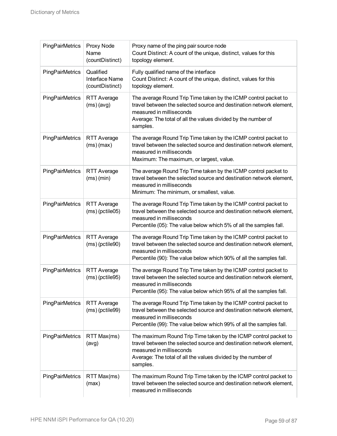| PingPairMetrics        | Proxy Node<br>Name<br>(countDistinct)                 | Proxy name of the ping pair source node<br>Count Distinct: A count of the unique, distinct, values for this<br>topology element.                                                                                                                |
|------------------------|-------------------------------------------------------|-------------------------------------------------------------------------------------------------------------------------------------------------------------------------------------------------------------------------------------------------|
| <b>PingPairMetrics</b> | Qualified<br><b>Interface Name</b><br>(countDistinct) | Fully qualified name of the interface<br>Count Distinct: A count of the unique, distinct, values for this<br>topology element.                                                                                                                  |
| PingPairMetrics        | <b>RTT Average</b><br>(ms)(avg)                       | The average Round Trip Time taken by the ICMP control packet to<br>travel between the selected source and destination network element,<br>measured in milliseconds<br>Average: The total of all the values divided by the number of<br>samples. |
| PingPairMetrics        | <b>RTT Average</b><br>$(ms)$ (max)                    | The average Round Trip Time taken by the ICMP control packet to<br>travel between the selected source and destination network element,<br>measured in milliseconds<br>Maximum: The maximum, or largest, value.                                  |
| PingPairMetrics        | RTT Average<br>$(ms)$ (min)                           | The average Round Trip Time taken by the ICMP control packet to<br>travel between the selected source and destination network element,<br>measured in milliseconds<br>Minimum: The minimum, or smallest, value.                                 |
| PingPairMetrics        | <b>RTT Average</b><br>$(ms)$ (pctile 05)              | The average Round Trip Time taken by the ICMP control packet to<br>travel between the selected source and destination network element,<br>measured in milliseconds<br>Percentile (05): The value below which 5% of all the samples fall.        |
| <b>PingPairMetrics</b> | <b>RTT Average</b><br>(ms) (pctile90)                 | The average Round Trip Time taken by the ICMP control packet to<br>travel between the selected source and destination network element,<br>measured in milliseconds<br>Percentile (90): The value below which 90% of all the samples fall.       |
| PingPairMetrics        | <b>RTT Average</b><br>(ms) (pctile95)                 | The average Round Trip Time taken by the ICMP control packet to<br>travel between the selected source and destination network element,<br>measured in milliseconds<br>Percentile (95): The value below which 95% of all the samples fall.       |
| <b>PingPairMetrics</b> | <b>RTT Average</b><br>(ms) (pctile99)                 | The average Round Trip Time taken by the ICMP control packet to<br>travel between the selected source and destination network element,<br>measured in milliseconds<br>Percentile (99): The value below which 99% of all the samples fall.       |
| <b>PingPairMetrics</b> | RTT Max(ms)<br>(avg)                                  | The maximum Round Trip Time taken by the ICMP control packet to<br>travel between the selected source and destination network element,<br>measured in milliseconds<br>Average: The total of all the values divided by the number of<br>samples. |
| <b>PingPairMetrics</b> | RTT Max(ms)<br>(max)                                  | The maximum Round Trip Time taken by the ICMP control packet to<br>travel between the selected source and destination network element,<br>measured in milliseconds                                                                              |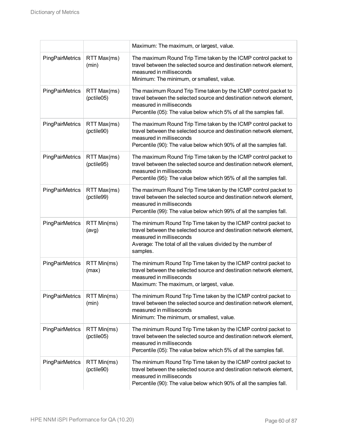|                        |                           | Maximum: The maximum, or largest, value.                                                                                                                                                                                                        |
|------------------------|---------------------------|-------------------------------------------------------------------------------------------------------------------------------------------------------------------------------------------------------------------------------------------------|
| PingPairMetrics        | RTT Max(ms)<br>(min)      | The maximum Round Trip Time taken by the ICMP control packet to<br>travel between the selected source and destination network element,<br>measured in milliseconds<br>Minimum: The minimum, or smallest, value.                                 |
| <b>PingPairMetrics</b> | RTT Max(ms)<br>(pctile05) | The maximum Round Trip Time taken by the ICMP control packet to<br>travel between the selected source and destination network element,<br>measured in milliseconds<br>Percentile (05): The value below which 5% of all the samples fall.        |
| <b>PingPairMetrics</b> | RTT Max(ms)<br>(pctile90) | The maximum Round Trip Time taken by the ICMP control packet to<br>travel between the selected source and destination network element,<br>measured in milliseconds<br>Percentile (90): The value below which 90% of all the samples fall.       |
| <b>PingPairMetrics</b> | RTT Max(ms)<br>(pctile95) | The maximum Round Trip Time taken by the ICMP control packet to<br>travel between the selected source and destination network element,<br>measured in milliseconds<br>Percentile (95): The value below which 95% of all the samples fall.       |
| <b>PingPairMetrics</b> | RTT Max(ms)<br>(pctile99) | The maximum Round Trip Time taken by the ICMP control packet to<br>travel between the selected source and destination network element,<br>measured in milliseconds<br>Percentile (99): The value below which 99% of all the samples fall.       |
| <b>PingPairMetrics</b> | RTT Min(ms)<br>(avg)      | The minimum Round Trip Time taken by the ICMP control packet to<br>travel between the selected source and destination network element,<br>measured in milliseconds<br>Average: The total of all the values divided by the number of<br>samples. |
| PingPairMetrics        | RTT Min(ms)<br>(max)      | The minimum Round Trip Time taken by the ICMP control packet to<br>travel between the selected source and destination network element,<br>measured in milliseconds<br>Maximum: The maximum, or largest, value.                                  |
| PingPairMetrics        | RTT Min(ms)<br>(min)      | The minimum Round Trip Time taken by the ICMP control packet to<br>travel between the selected source and destination network element,<br>measured in milliseconds<br>Minimum: The minimum, or smallest, value.                                 |
| PingPairMetrics        | RTT Min(ms)<br>(pctile05) | The minimum Round Trip Time taken by the ICMP control packet to<br>travel between the selected source and destination network element,<br>measured in milliseconds<br>Percentile (05): The value below which 5% of all the samples fall.        |
| PingPairMetrics        | RTT Min(ms)<br>(pctile90) | The minimum Round Trip Time taken by the ICMP control packet to<br>travel between the selected source and destination network element,<br>measured in milliseconds<br>Percentile (90): The value below which 90% of all the samples fall.       |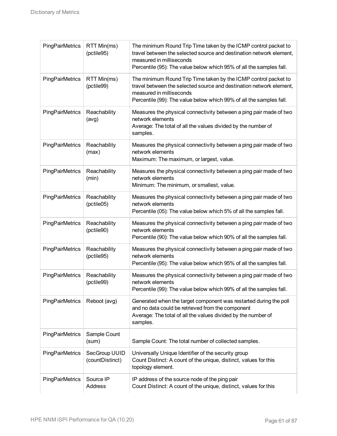| PingPairMetrics | RTT Min(ms)<br>(pctile95)        | The minimum Round Trip Time taken by the ICMP control packet to<br>travel between the selected source and destination network element,<br>measured in milliseconds<br>Percentile (95): The value below which 95% of all the samples fall. |
|-----------------|----------------------------------|-------------------------------------------------------------------------------------------------------------------------------------------------------------------------------------------------------------------------------------------|
| PingPairMetrics | RTT Min(ms)<br>(pctile99)        | The minimum Round Trip Time taken by the ICMP control packet to<br>travel between the selected source and destination network element,<br>measured in milliseconds<br>Percentile (99): The value below which 99% of all the samples fall. |
| PingPairMetrics | Reachability<br>(avg)            | Measures the physical connectivity between a ping pair made of two<br>network elements<br>Average: The total of all the values divided by the number of<br>samples.                                                                       |
| PingPairMetrics | Reachability<br>(max)            | Measures the physical connectivity between a ping pair made of two<br>network elements<br>Maximum: The maximum, or largest, value.                                                                                                        |
| PingPairMetrics | Reachability<br>(min)            | Measures the physical connectivity between a ping pair made of two<br>network elements<br>Minimum: The minimum, or smallest, value.                                                                                                       |
| PingPairMetrics | Reachability<br>(pctile05)       | Measures the physical connectivity between a ping pair made of two<br>network elements<br>Percentile (05): The value below which 5% of all the samples fall.                                                                              |
| PingPairMetrics | Reachability<br>(pctile90)       | Measures the physical connectivity between a ping pair made of two<br>network elements<br>Percentile (90): The value below which 90% of all the samples fall.                                                                             |
| PingPairMetrics | Reachability<br>(pctile95)       | Measures the physical connectivity between a ping pair made of two<br>network elements<br>Percentile (95): The value below which 95% of all the samples fall.                                                                             |
| PingPairMetrics | Reachability<br>(pctile99)       | Measures the physical connectivity between a ping pair made of two<br>network elements<br>Percentile (99): The value below which 99% of all the samples fall.                                                                             |
| PingPairMetrics | Reboot (avg)                     | Generated when the target component was restarted during the poll<br>and no data could be retrieved from the component<br>Average: The total of all the values divided by the number of<br>samples.                                       |
| PingPairMetrics | Sample Count<br>(sum)            | Sample Count: The total number of collected samples.                                                                                                                                                                                      |
| PingPairMetrics | SecGroup UUID<br>(countDistinct) | Universally Unique Identifier of the security group<br>Count Distinct: A count of the unique, distinct, values for this<br>topology element.                                                                                              |
| PingPairMetrics | Source IP<br>Address             | IP address of the source node of the ping pair<br>Count Distinct: A count of the unique, distinct, values for this                                                                                                                        |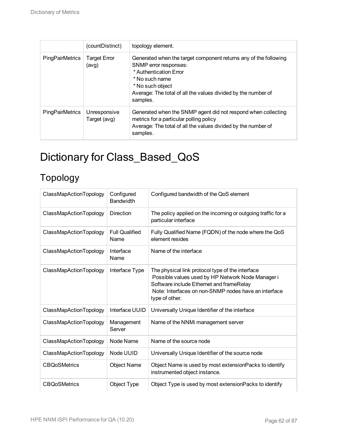|                        | (countDistinct)              | topology element.                                                                                                                                                                                                                      |
|------------------------|------------------------------|----------------------------------------------------------------------------------------------------------------------------------------------------------------------------------------------------------------------------------------|
| <b>PingPairMetrics</b> | <b>Target Error</b><br>(avg) | Generated when the target component returns any of the following<br>SNMP error responses:<br>* Authentication Error<br>* No such name<br>* No such object<br>Average: The total of all the values divided by the number of<br>samples. |
| <b>PingPairMetrics</b> | Unresponsive<br>Target (avg) | Generated when the SNMP agent did not respond when collecting<br>metrics for a particular polling policy<br>Average: The total of all the values divided by the number of<br>samples.                                                  |

# Dictionary for Class\_Based\_QoS

### Topology

| ClassMapActionTopology | Configured<br><b>Bandwidth</b> | Configured bandwidth of the QoS element                                                                                                                                                                                     |
|------------------------|--------------------------------|-----------------------------------------------------------------------------------------------------------------------------------------------------------------------------------------------------------------------------|
| ClassMapActionTopology | <b>Direction</b>               | The policy applied on the incoming or outgoing traffic for a<br>particular interface                                                                                                                                        |
| ClassMapActionTopology | <b>Full Qualified</b><br>Name  | Fully Qualified Name (FQDN) of the node where the QoS<br>element resides                                                                                                                                                    |
| ClassMapActionTopology | Interface<br>Name              | Name of the interface                                                                                                                                                                                                       |
| ClassMapActionTopology | Interface Type                 | The physical link protocol type of the interface<br>Possible values used by HP Network Node Manager i<br>Software include Ethernet and frameRelay<br>Note: Interfaces on non-SNMP nodes have an interface<br>type of other. |
| ClassMapActionTopology | Interface UUID                 | Universally Unique Identifier of the interface                                                                                                                                                                              |
| ClassMapActionTopology | Management<br>Server           | Name of the NNMi management server                                                                                                                                                                                          |
| ClassMapActionTopology | Node Name                      | Name of the source node                                                                                                                                                                                                     |
| ClassMapActionTopology | Node UUID                      | Universally Unique Identifier of the source node                                                                                                                                                                            |
| <b>CBQoSMetrics</b>    | <b>Object Name</b>             | Object Name is used by most extension Packs to identify<br>instrumented object instance.                                                                                                                                    |
| <b>CBQoSMetrics</b>    | Object Type                    | Object Type is used by most extension Packs to identify                                                                                                                                                                     |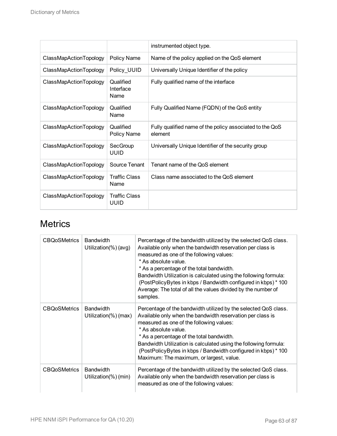|                        |                                | instrumented object type.                                           |
|------------------------|--------------------------------|---------------------------------------------------------------------|
| ClassMapActionTopology | Policy Name                    | Name of the policy applied on the QoS element                       |
| ClassMapActionTopology | Policy_UUID                    | Universally Unique Identifier of the policy                         |
| ClassMapActionTopology | Qualified<br>Interface<br>Name | Fully qualified name of the interface                               |
| ClassMapActionTopology | Qualified<br>Name              | Fully Qualified Name (FQDN) of the QoS entity                       |
| ClassMapActionTopology | Qualified<br>Policy Name       | Fully qualified name of the policy associated to the QoS<br>element |
| ClassMapActionTopology | SecGroup<br>UUID               | Universally Unique Identifier of the security group                 |
| ClassMapActionTopology | Source Tenant                  | Tenant name of the QoS element                                      |
| ClassMapActionTopology | <b>Traffic Class</b><br>Name   | Class name associated to the QoS element                            |
| ClassMapActionTopology | <b>Traffic Class</b><br>UUID   |                                                                     |

#### **Metrics**

| <b>CBQoSMetrics</b> | <b>Bandwidth</b><br>Utilization(%) (avg) | Percentage of the bandwidth utilized by the selected QoS class.<br>Available only when the bandwidth reservation per class is<br>measured as one of the following values:<br>* As absolute value.<br>* As a percentage of the total bandwidth.<br>Bandwidth Utilization is calculated using the following formula:<br>(PostPolicyBytes in kbps / Bandwidth configured in kbps) * 100<br>Average: The total of all the values divided by the number of<br>samples. |
|---------------------|------------------------------------------|-------------------------------------------------------------------------------------------------------------------------------------------------------------------------------------------------------------------------------------------------------------------------------------------------------------------------------------------------------------------------------------------------------------------------------------------------------------------|
| <b>CBQoSMetrics</b> | <b>Bandwidth</b><br>Utilization(%) (max) | Percentage of the bandwidth utilized by the selected QoS class.<br>Available only when the bandwidth reservation per class is<br>measured as one of the following values:<br>* As absolute value.<br>* As a percentage of the total bandwidth.<br>Bandwidth Utilization is calculated using the following formula:<br>(PostPolicyBytes in kbps / Bandwidth configured in kbps) * 100<br>Maximum: The maximum, or largest, value.                                  |
| <b>CBQoSMetrics</b> | <b>Bandwidth</b><br>Utilization(%) (min) | Percentage of the bandwidth utilized by the selected QoS class.<br>Available only when the bandwidth reservation per class is<br>measured as one of the following values:                                                                                                                                                                                                                                                                                         |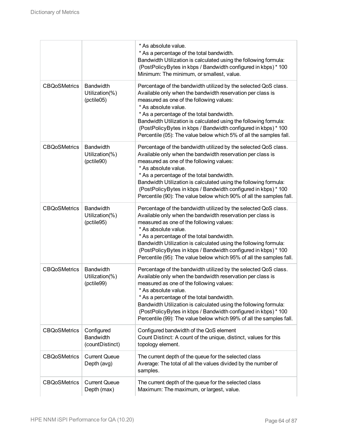|                     |                                                   | * As absolute value.<br>* As a percentage of the total bandwidth.<br>Bandwidth Utilization is calculated using the following formula:<br>(PostPolicyBytes in kbps / Bandwidth configured in kbps) * 100<br>Minimum: The minimum, or smallest, value.                                                                                                                                                                                                        |
|---------------------|---------------------------------------------------|-------------------------------------------------------------------------------------------------------------------------------------------------------------------------------------------------------------------------------------------------------------------------------------------------------------------------------------------------------------------------------------------------------------------------------------------------------------|
| <b>CBQoSMetrics</b> | <b>Bandwidth</b><br>Utilization(%)<br>(pctile05)  | Percentage of the bandwidth utilized by the selected QoS class.<br>Available only when the bandwidth reservation per class is<br>measured as one of the following values:<br>* As absolute value.<br>* As a percentage of the total bandwidth.<br>Bandwidth Utilization is calculated using the following formula:<br>(PostPolicyBytes in kbps / Bandwidth configured in kbps) * 100<br>Percentile (05): The value below which 5% of all the samples fall.  |
| <b>CBQoSMetrics</b> | <b>Bandwidth</b><br>Utilization(%)<br>(pctile90)  | Percentage of the bandwidth utilized by the selected QoS class.<br>Available only when the bandwidth reservation per class is<br>measured as one of the following values:<br>* As absolute value.<br>* As a percentage of the total bandwidth.<br>Bandwidth Utilization is calculated using the following formula:<br>(PostPolicyBytes in kbps / Bandwidth configured in kbps) * 100<br>Percentile (90): The value below which 90% of all the samples fall. |
| <b>CBQoSMetrics</b> | Bandwidth<br>Utilization(%)<br>(pctile95)         | Percentage of the bandwidth utilized by the selected QoS class.<br>Available only when the bandwidth reservation per class is<br>measured as one of the following values:<br>* As absolute value.<br>* As a percentage of the total bandwidth.<br>Bandwidth Utilization is calculated using the following formula:<br>(PostPolicyBytes in kbps / Bandwidth configured in kbps) * 100<br>Percentile (95): The value below which 95% of all the samples fall. |
| <b>CBQoSMetrics</b> | <b>Bandwidth</b><br>Utilization(%)<br>(pctile99)  | Percentage of the bandwidth utilized by the selected QoS class.<br>Available only when the bandwidth reservation per class is<br>measured as one of the following values:<br>* As absolute value.<br>* As a percentage of the total bandwidth.<br>Bandwidth Utilization is calculated using the following formula:<br>(PostPolicyBytes in kbps / Bandwidth configured in kbps) * 100<br>Percentile (99): The value below which 99% of all the samples fall. |
| <b>CBQoSMetrics</b> | Configured<br><b>Bandwidth</b><br>(countDistinct) | Configured bandwidth of the QoS element<br>Count Distinct: A count of the unique, distinct, values for this<br>topology element.                                                                                                                                                                                                                                                                                                                            |
| <b>CBQoSMetrics</b> | <b>Current Queue</b><br>Depth (avg)               | The current depth of the queue for the selected class<br>Average: The total of all the values divided by the number of<br>samples.                                                                                                                                                                                                                                                                                                                          |
| <b>CBQoSMetrics</b> | <b>Current Queue</b><br>Depth (max)               | The current depth of the queue for the selected class<br>Maximum: The maximum, or largest, value.                                                                                                                                                                                                                                                                                                                                                           |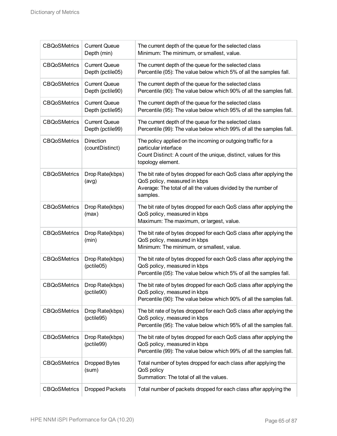| <b>CBQoSMetrics</b> | <b>Current Queue</b><br>Depth (min)      | The current depth of the queue for the selected class<br>Minimum: The minimum, or smallest, value.                                                                               |
|---------------------|------------------------------------------|----------------------------------------------------------------------------------------------------------------------------------------------------------------------------------|
| <b>CBQoSMetrics</b> | <b>Current Queue</b><br>Depth (pctile05) | The current depth of the queue for the selected class<br>Percentile (05): The value below which 5% of all the samples fall.                                                      |
| <b>CBQoSMetrics</b> | <b>Current Queue</b><br>Depth (pctile90) | The current depth of the queue for the selected class<br>Percentile (90): The value below which 90% of all the samples fall.                                                     |
| <b>CBQoSMetrics</b> | <b>Current Queue</b><br>Depth (pctile95) | The current depth of the queue for the selected class<br>Percentile (95): The value below which 95% of all the samples fall.                                                     |
| <b>CBQoSMetrics</b> | <b>Current Queue</b><br>Depth (pctile99) | The current depth of the queue for the selected class<br>Percentile (99): The value below which 99% of all the samples fall.                                                     |
| <b>CBQoSMetrics</b> | <b>Direction</b><br>(countDistinct)      | The policy applied on the incoming or outgoing traffic for a<br>particular interface<br>Count Distinct: A count of the unique, distinct, values for this<br>topology element.    |
| <b>CBQoSMetrics</b> | Drop Rate(kbps)<br>(avg)                 | The bit rate of bytes dropped for each QoS class after applying the<br>QoS policy, measured in kbps<br>Average: The total of all the values divided by the number of<br>samples. |
| <b>CBQoSMetrics</b> | Drop Rate(kbps)<br>(max)                 | The bit rate of bytes dropped for each QoS class after applying the<br>QoS policy, measured in kbps<br>Maximum: The maximum, or largest, value.                                  |
| <b>CBQoSMetrics</b> | Drop Rate(kbps)<br>(min)                 | The bit rate of bytes dropped for each QoS class after applying the<br>QoS policy, measured in kbps<br>Minimum: The minimum, or smallest, value.                                 |
| <b>CBQoSMetrics</b> | Drop Rate(kbps)<br>(pctile05)            | The bit rate of bytes dropped for each QoS class after applying the<br>QoS policy, measured in kbps<br>Percentile (05): The value below which 5% of all the samples fall.        |
| <b>CBQoSMetrics</b> | Drop Rate(kbps)<br>(pctile90)            | The bit rate of bytes dropped for each QoS class after applying the<br>QoS policy, measured in kbps<br>Percentile (90): The value below which 90% of all the samples fall.       |
| <b>CBQoSMetrics</b> | Drop Rate(kbps)<br>(pctile95)            | The bit rate of bytes dropped for each QoS class after applying the<br>QoS policy, measured in kbps<br>Percentile (95): The value below which 95% of all the samples fall.       |
| <b>CBQoSMetrics</b> | Drop Rate(kbps)<br>(pctile99)            | The bit rate of bytes dropped for each QoS class after applying the<br>QoS policy, measured in kbps<br>Percentile (99): The value below which 99% of all the samples fall.       |
| <b>CBQoSMetrics</b> | <b>Dropped Bytes</b><br>(sum)            | Total number of bytes dropped for each class after applying the<br>QoS policy<br>Summation: The total of all the values.                                                         |
| <b>CBQoSMetrics</b> | <b>Dropped Packets</b>                   | Total number of packets dropped for each class after applying the                                                                                                                |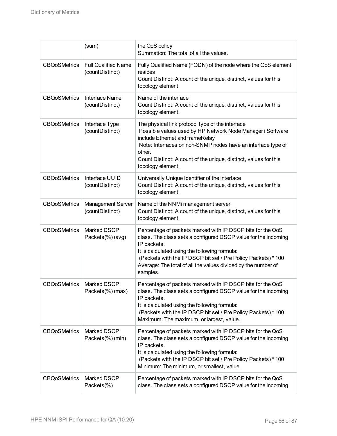|                     | (sum)                                         | the QoS policy<br>Summation: The total of all the values.                                                                                                                                                                                                                                                                                  |
|---------------------|-----------------------------------------------|--------------------------------------------------------------------------------------------------------------------------------------------------------------------------------------------------------------------------------------------------------------------------------------------------------------------------------------------|
| <b>CBQoSMetrics</b> | <b>Full Qualified Name</b><br>(countDistinct) | Fully Qualified Name (FQDN) of the node where the QoS element<br>resides<br>Count Distinct: A count of the unique, distinct, values for this<br>topology element.                                                                                                                                                                          |
| <b>CBQoSMetrics</b> | <b>Interface Name</b><br>(countDistinct)      | Name of the interface<br>Count Distinct: A count of the unique, distinct, values for this<br>topology element.                                                                                                                                                                                                                             |
| <b>CBQoSMetrics</b> | Interface Type<br>(countDistinct)             | The physical link protocol type of the interface<br>Possible values used by HP Network Node Manager i Software<br>include Ethernet and frameRelay<br>Note: Interfaces on non-SNMP nodes have an interface type of<br>other.<br>Count Distinct: A count of the unique, distinct, values for this<br>topology element.                       |
| <b>CBQoSMetrics</b> | Interface UUID<br>(countDistinct)             | Universally Unique Identifier of the interface<br>Count Distinct: A count of the unique, distinct, values for this<br>topology element.                                                                                                                                                                                                    |
| <b>CBQoSMetrics</b> | Management Server<br>(countDistinct)          | Name of the NNMi management server<br>Count Distinct: A count of the unique, distinct, values for this<br>topology element.                                                                                                                                                                                                                |
| <b>CBQoSMetrics</b> | Marked DSCP<br>Packets(%) (avg)               | Percentage of packets marked with IP DSCP bits for the QoS<br>class. The class sets a configured DSCP value for the incoming<br>IP packets.<br>It is calculated using the following formula:<br>(Packets with the IP DSCP bit set / Pre Policy Packets) * 100<br>Average: The total of all the values divided by the number of<br>samples. |
| <b>CBQoSMetrics</b> | Marked DSCP<br>Packets(%) (max)               | Percentage of packets marked with IP DSCP bits for the QoS<br>class. The class sets a configured DSCP value for the incoming<br>IP packets.<br>It is calculated using the following formula:<br>(Packets with the IP DSCP bit set / Pre Policy Packets) * 100<br>Maximum: The maximum, or largest, value.                                  |
| <b>CBQoSMetrics</b> | Marked DSCP<br>Packets(%) (min)               | Percentage of packets marked with IP DSCP bits for the QoS<br>class. The class sets a configured DSCP value for the incoming<br>IP packets.<br>It is calculated using the following formula:<br>(Packets with the IP DSCP bit set / Pre Policy Packets) * 100<br>Minimum: The minimum, or smallest, value.                                 |
| <b>CBQoSMetrics</b> | Marked DSCP<br>Packets(%)                     | Percentage of packets marked with IP DSCP bits for the QoS<br>class. The class sets a configured DSCP value for the incoming                                                                                                                                                                                                               |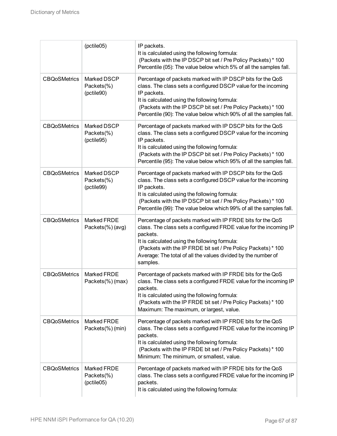|                     | (pctile05)                              | IP packets.<br>It is calculated using the following formula:<br>(Packets with the IP DSCP bit set / Pre Policy Packets) * 100<br>Percentile (05): The value below which 5% of all the samples fall.                                                                                                                                        |
|---------------------|-----------------------------------------|--------------------------------------------------------------------------------------------------------------------------------------------------------------------------------------------------------------------------------------------------------------------------------------------------------------------------------------------|
| <b>CBQoSMetrics</b> | Marked DSCP<br>Packets(%)<br>(pctile90) | Percentage of packets marked with IP DSCP bits for the QoS<br>class. The class sets a configured DSCP value for the incoming<br>IP packets.<br>It is calculated using the following formula:<br>(Packets with the IP DSCP bit set / Pre Policy Packets) * 100<br>Percentile (90): The value below which 90% of all the samples fall.       |
| <b>CBQoSMetrics</b> | Marked DSCP<br>Packets(%)<br>(pctile95) | Percentage of packets marked with IP DSCP bits for the QoS<br>class. The class sets a configured DSCP value for the incoming<br>IP packets.<br>It is calculated using the following formula:<br>(Packets with the IP DSCP bit set / Pre Policy Packets) * 100<br>Percentile (95): The value below which 95% of all the samples fall.       |
| <b>CBQoSMetrics</b> | Marked DSCP<br>Packets(%)<br>(pctile99) | Percentage of packets marked with IP DSCP bits for the QoS<br>class. The class sets a configured DSCP value for the incoming<br>IP packets.<br>It is calculated using the following formula:<br>(Packets with the IP DSCP bit set / Pre Policy Packets) * 100<br>Percentile (99): The value below which 99% of all the samples fall.       |
| <b>CBQoSMetrics</b> | Marked FRDE<br>Packets(%) (avg)         | Percentage of packets marked with IP FRDE bits for the QoS<br>class. The class sets a configured FRDE value for the incoming IP<br>packets.<br>It is calculated using the following formula:<br>(Packets with the IP FRDE bit set / Pre Policy Packets) * 100<br>Average: The total of all the values divided by the number of<br>samples. |
| <b>CBQoSMetrics</b> | Marked FRDE<br>Packets(%) (max)         | Percentage of packets marked with IP FRDE bits for the QoS<br>class. The class sets a configured FRDE value for the incoming IP<br>packets.<br>It is calculated using the following formula:<br>(Packets with the IP FRDE bit set / Pre Policy Packets) * 100<br>Maximum: The maximum, or largest, value.                                  |
| <b>CBQoSMetrics</b> | Marked FRDE<br>Packets(%) (min)         | Percentage of packets marked with IP FRDE bits for the QoS<br>class. The class sets a configured FRDE value for the incoming IP<br>packets.<br>It is calculated using the following formula:<br>(Packets with the IP FRDE bit set / Pre Policy Packets) * 100<br>Minimum: The minimum, or smallest, value.                                 |
| <b>CBQoSMetrics</b> | Marked FRDE<br>Packets(%)<br>(pctile05) | Percentage of packets marked with IP FRDE bits for the QoS<br>class. The class sets a configured FRDE value for the incoming IP<br>packets.<br>It is calculated using the following formula:                                                                                                                                               |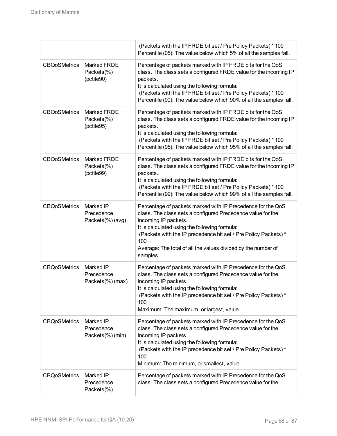|                     |                                             | (Packets with the IP FRDE bit set / Pre Policy Packets) * 100<br>Percentile (05): The value below which 5% of all the samples fall.                                                                                                                                                                                                                       |
|---------------------|---------------------------------------------|-----------------------------------------------------------------------------------------------------------------------------------------------------------------------------------------------------------------------------------------------------------------------------------------------------------------------------------------------------------|
| <b>CBQoSMetrics</b> | Marked FRDE<br>Packets(%)<br>(pctile90)     | Percentage of packets marked with IP FRDE bits for the QoS<br>class. The class sets a configured FRDE value for the incoming IP<br>packets.<br>It is calculated using the following formula:<br>(Packets with the IP FRDE bit set / Pre Policy Packets) * 100<br>Percentile (90): The value below which 90% of all the samples fall.                      |
| <b>CBQoSMetrics</b> | Marked FRDE<br>Packets(%)<br>(pctile95)     | Percentage of packets marked with IP FRDE bits for the QoS<br>class. The class sets a configured FRDE value for the incoming IP<br>packets.<br>It is calculated using the following formula:<br>(Packets with the IP FRDE bit set / Pre Policy Packets) * 100<br>Percentile (95): The value below which 95% of all the samples fall.                      |
| <b>CBQoSMetrics</b> | Marked FRDE<br>Packets(%)<br>(pctile99)     | Percentage of packets marked with IP FRDE bits for the QoS<br>class. The class sets a configured FRDE value for the incoming IP<br>packets.<br>It is calculated using the following formula:<br>(Packets with the IP FRDE bit set / Pre Policy Packets) * 100<br>Percentile (99): The value below which 99% of all the samples fall.                      |
| <b>CBQoSMetrics</b> | Marked IP<br>Precedence<br>Packets(%) (avg) | Percentage of packets marked with IP Precedence for the QoS<br>class. The class sets a configured Precedence value for the<br>incoming IP packets.<br>It is calculated using the following formula:<br>(Packets with the IP precedence bit set / Pre Policy Packets)*<br>100<br>Average: The total of all the values divided by the number of<br>samples. |
| <b>CBQoSMetrics</b> | Marked IP<br>Precedence<br>Packets(%) (max) | Percentage of packets marked with IP Precedence for the QoS<br>class. The class sets a configured Precedence value for the<br>incoming IP packets.<br>It is calculated using the following formula:<br>(Packets with the IP precedence bit set / Pre Policy Packets)*<br>100<br>Maximum: The maximum, or largest, value.                                  |
| <b>CBQoSMetrics</b> | Marked IP<br>Precedence<br>Packets(%) (min) | Percentage of packets marked with IP Precedence for the QoS<br>class. The class sets a configured Precedence value for the<br>incoming IP packets.<br>It is calculated using the following formula:<br>(Packets with the IP precedence bit set / Pre Policy Packets)*<br>100<br>Minimum: The minimum, or smallest, value.                                 |
| <b>CBQoSMetrics</b> | Marked IP<br>Precedence<br>Packets(%)       | Percentage of packets marked with IP Precedence for the QoS<br>class. The class sets a configured Precedence value for the                                                                                                                                                                                                                                |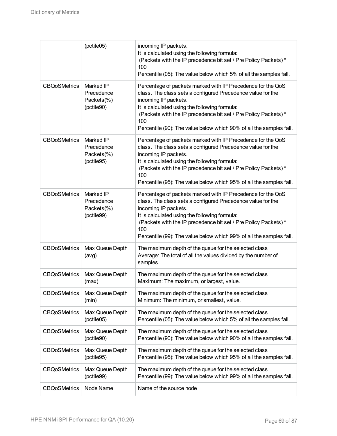|                     | (pctile05)                                          | incoming IP packets.<br>It is calculated using the following formula:<br>(Packets with the IP precedence bit set / Pre Policy Packets)*<br>100<br>Percentile (05): The value below which 5% of all the samples fall.                                                                                                                                |
|---------------------|-----------------------------------------------------|-----------------------------------------------------------------------------------------------------------------------------------------------------------------------------------------------------------------------------------------------------------------------------------------------------------------------------------------------------|
| <b>CBQoSMetrics</b> | Marked IP<br>Precedence<br>Packets(%)<br>(pctile90) | Percentage of packets marked with IP Precedence for the QoS<br>class. The class sets a configured Precedence value for the<br>incoming IP packets.<br>It is calculated using the following formula:<br>(Packets with the IP precedence bit set / Pre Policy Packets)*<br>100<br>Percentile (90): The value below which 90% of all the samples fall. |
| <b>CBQoSMetrics</b> | Marked IP<br>Precedence<br>Packets(%)<br>(pctile95) | Percentage of packets marked with IP Precedence for the QoS<br>class. The class sets a configured Precedence value for the<br>incoming IP packets.<br>It is calculated using the following formula:<br>(Packets with the IP precedence bit set / Pre Policy Packets)*<br>100<br>Percentile (95): The value below which 95% of all the samples fall. |
| <b>CBQoSMetrics</b> | Marked IP<br>Precedence<br>Packets(%)<br>(pctile99) | Percentage of packets marked with IP Precedence for the QoS<br>class. The class sets a configured Precedence value for the<br>incoming IP packets.<br>It is calculated using the following formula:<br>(Packets with the IP precedence bit set / Pre Policy Packets)*<br>100<br>Percentile (99): The value below which 99% of all the samples fall. |
| <b>CBQoSMetrics</b> | Max Queue Depth<br>(avg)                            | The maximum depth of the queue for the selected class<br>Average: The total of all the values divided by the number of<br>samples.                                                                                                                                                                                                                  |
| <b>CBQoSMetrics</b> | Max Queue Depth<br>(max)                            | The maximum depth of the queue for the selected class<br>Maximum: The maximum, or largest, value.                                                                                                                                                                                                                                                   |
| <b>CBQoSMetrics</b> | Max Queue Depth<br>(min)                            | The maximum depth of the queue for the selected class<br>Minimum: The minimum, or smallest, value.                                                                                                                                                                                                                                                  |
| <b>CBQoSMetrics</b> | Max Queue Depth<br>(pctile05)                       | The maximum depth of the queue for the selected class<br>Percentile (05): The value below which 5% of all the samples fall.                                                                                                                                                                                                                         |
| <b>CBQoSMetrics</b> | Max Queue Depth<br>(pctile90)                       | The maximum depth of the queue for the selected class<br>Percentile (90): The value below which 90% of all the samples fall.                                                                                                                                                                                                                        |
| <b>CBQoSMetrics</b> | Max Queue Depth<br>(pctile95)                       | The maximum depth of the queue for the selected class<br>Percentile (95): The value below which 95% of all the samples fall.                                                                                                                                                                                                                        |
| <b>CBQoSMetrics</b> | Max Queue Depth<br>(pctile99)                       | The maximum depth of the queue for the selected class<br>Percentile (99): The value below which 99% of all the samples fall.                                                                                                                                                                                                                        |
| <b>CBQoSMetrics</b> | Node Name                                           | Name of the source node                                                                                                                                                                                                                                                                                                                             |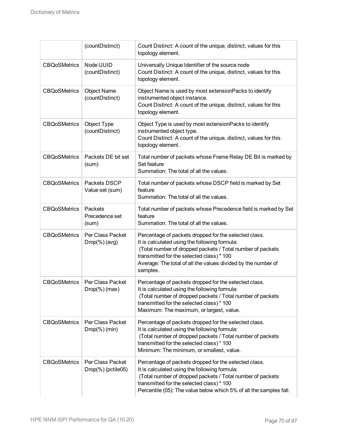|                     | (countDistinct)                           | Count Distinct: A count of the unique, distinct, values for this                                                                                                                                                                                                                               |
|---------------------|-------------------------------------------|------------------------------------------------------------------------------------------------------------------------------------------------------------------------------------------------------------------------------------------------------------------------------------------------|
| <b>CBQoSMetrics</b> |                                           | topology element.                                                                                                                                                                                                                                                                              |
|                     | Node UUID<br>(countDistinct)              | Universally Unique Identifier of the source node<br>Count Distinct: A count of the unique, distinct, values for this<br>topology element.                                                                                                                                                      |
| <b>CBQoSMetrics</b> | <b>Object Name</b><br>(countDistinct)     | Object Name is used by most extension Packs to identify<br>instrumented object instance.<br>Count Distinct: A count of the unique, distinct, values for this<br>topology element.                                                                                                              |
| <b>CBQoSMetrics</b> | Object Type<br>(countDistinct)            | Object Type is used by most extensionPacks to identify<br>instrumented object type.<br>Count Distinct: A count of the unique, distinct, values for this<br>topology element.                                                                                                                   |
| <b>CBQoSMetrics</b> | Packets DE bit set<br>(sum)               | Total number of packets whose Frame Relay DE Bit is marked by<br>Set feature<br>Summation: The total of all the values.                                                                                                                                                                        |
| <b>CBQoSMetrics</b> | Packets DSCP<br>Value set (sum)           | Total number of packets whose DSCP field is marked by Set<br>feature<br>Summation: The total of all the values.                                                                                                                                                                                |
| <b>CBQoSMetrics</b> | Packets<br>Precedence set<br>(sum)        | Total number of packets whose Precedence field is marked by Set<br>feature<br>Summation: The total of all the values.                                                                                                                                                                          |
| <b>CBQoSMetrics</b> | Per Class Packet<br>$Drop(\%)(avg)$       | Percentage of packets dropped for the selected class.<br>It is calculated using the following formula:<br>(Total number of dropped packets / Total number of packets<br>transmitted for the selected class) * 100<br>Average: The total of all the values divided by the number of<br>samples. |
| <b>CBQoSMetrics</b> | Per Class Packet<br>$Drop(\%)(max)$       | Percentage of packets dropped for the selected class.<br>It is calculated using the following formula:<br>(Total number of dropped packets / Total number of packets<br>transmitted for the selected class) * 100<br>Maximum: The maximum, or largest, value.                                  |
| <b>CBQoSMetrics</b> | Per Class Packet<br>$Drop(\%)(min)$       | Percentage of packets dropped for the selected class.<br>It is calculated using the following formula:<br>(Total number of dropped packets / Total number of packets<br>transmitted for the selected class) * 100<br>Minimum: The minimum, or smallest, value.                                 |
| <b>CBQoSMetrics</b> | Per Class Packet<br>$Drop(\%)(picture05)$ | Percentage of packets dropped for the selected class.<br>It is calculated using the following formula:<br>(Total number of dropped packets / Total number of packets<br>transmitted for the selected class) * 100<br>Percentile (05): The value below which 5% of all the samples fall.        |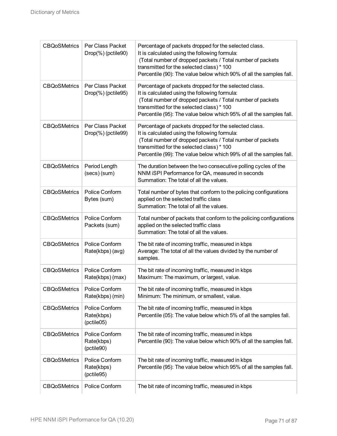| <b>CBQoSMetrics</b> | Per Class Packet<br>$Drop(\%)(octile90)$   | Percentage of packets dropped for the selected class.<br>It is calculated using the following formula:<br>(Total number of dropped packets / Total number of packets<br>transmitted for the selected class) * 100<br>Percentile (90): The value below which 90% of all the samples fall. |
|---------------------|--------------------------------------------|------------------------------------------------------------------------------------------------------------------------------------------------------------------------------------------------------------------------------------------------------------------------------------------|
| <b>CBQoSMetrics</b> | Per Class Packet<br>$Drop(\%)(octile95)$   | Percentage of packets dropped for the selected class.<br>It is calculated using the following formula:<br>(Total number of dropped packets / Total number of packets<br>transmitted for the selected class) * 100<br>Percentile (95): The value below which 95% of all the samples fall. |
| <b>CBQoSMetrics</b> | Per Class Packet<br>Drop(%) (pctile99)     | Percentage of packets dropped for the selected class.<br>It is calculated using the following formula:<br>(Total number of dropped packets / Total number of packets<br>transmitted for the selected class) * 100<br>Percentile (99): The value below which 99% of all the samples fall. |
| <b>CBQoSMetrics</b> | Period Length<br>(secs) (sum)              | The duration between the two consecutive polling cycles of the<br>NNM iSPI Performance for QA, measured in seconds<br>Summation: The total of all the values.                                                                                                                            |
| <b>CBQoSMetrics</b> | Police Conform<br>Bytes (sum)              | Total number of bytes that conform to the policing configurations<br>applied on the selected traffic class<br>Summation: The total of all the values.                                                                                                                                    |
| <b>CBQoSMetrics</b> | Police Conform<br>Packets (sum)            | Total number of packets that conform to the policing configurations<br>applied on the selected traffic class<br>Summation: The total of all the values.                                                                                                                                  |
| <b>CBQoSMetrics</b> | Police Conform<br>Rate(kbps) (avg)         | The bit rate of incoming traffic, measured in kbps<br>Average: The total of all the values divided by the number of<br>samples.                                                                                                                                                          |
| <b>CBQoSMetrics</b> | Police Conform<br>Rate(kbps) (max)         | The bit rate of incoming traffic, measured in kbps<br>Maximum: The maximum, or largest, value.                                                                                                                                                                                           |
| <b>CBQoSMetrics</b> | Police Conform<br>Rate(kbps) (min)         | The bit rate of incoming traffic, measured in kbps<br>Minimum: The minimum, or smallest, value.                                                                                                                                                                                          |
| <b>CBQoSMetrics</b> | Police Conform<br>Rate(kbps)<br>(pctile05) | The bit rate of incoming traffic, measured in kbps<br>Percentile (05): The value below which 5% of all the samples fall.                                                                                                                                                                 |
| <b>CBQoSMetrics</b> | Police Conform<br>Rate(kbps)<br>(pctile90) | The bit rate of incoming traffic, measured in kbps<br>Percentile (90): The value below which 90% of all the samples fall.                                                                                                                                                                |
| <b>CBQoSMetrics</b> | Police Conform<br>Rate(kbps)<br>(pctile95) | The bit rate of incoming traffic, measured in kbps<br>Percentile (95): The value below which 95% of all the samples fall.                                                                                                                                                                |
| <b>CBQoSMetrics</b> | Police Conform                             | The bit rate of incoming traffic, measured in kbps                                                                                                                                                                                                                                       |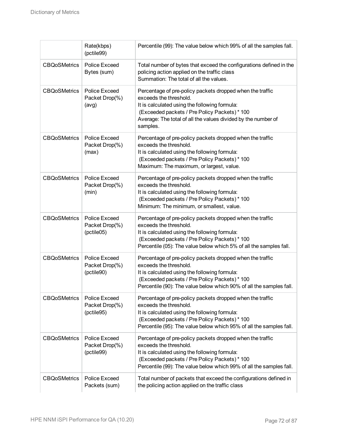|                     | Rate(kbps)<br>(pctile99)                      | Percentile (99): The value below which 99% of all the samples fall.                                                                                                                                                                                                |
|---------------------|-----------------------------------------------|--------------------------------------------------------------------------------------------------------------------------------------------------------------------------------------------------------------------------------------------------------------------|
| <b>CBQoSMetrics</b> | <b>Police Exceed</b><br>Bytes (sum)           | Total number of bytes that exceed the configurations defined in the<br>policing action applied on the traffic class<br>Summation: The total of all the values.                                                                                                     |
| <b>CBQoSMetrics</b> | Police Exceed<br>Packet Drop(%)<br>(avg)      | Percentage of pre-policy packets dropped when the traffic<br>exceeds the threshold.<br>It is calculated using the following formula:<br>(Exceeded packets / Pre Policy Packets) * 100<br>Average: The total of all the values divided by the number of<br>samples. |
| <b>CBQoSMetrics</b> | Police Exceed<br>Packet Drop(%)<br>(max)      | Percentage of pre-policy packets dropped when the traffic<br>exceeds the threshold.<br>It is calculated using the following formula:<br>(Exceeded packets / Pre Policy Packets) * 100<br>Maximum: The maximum, or largest, value.                                  |
| <b>CBQoSMetrics</b> | Police Exceed<br>Packet Drop(%)<br>(min)      | Percentage of pre-policy packets dropped when the traffic<br>exceeds the threshold.<br>It is calculated using the following formula:<br>(Exceeded packets / Pre Policy Packets) * 100<br>Minimum: The minimum, or smallest, value.                                 |
| <b>CBQoSMetrics</b> | Police Exceed<br>Packet Drop(%)<br>(pctile05) | Percentage of pre-policy packets dropped when the traffic<br>exceeds the threshold.<br>It is calculated using the following formula:<br>(Exceeded packets / Pre Policy Packets) * 100<br>Percentile (05): The value below which 5% of all the samples fall.        |
| <b>CBQoSMetrics</b> | Police Exceed<br>Packet Drop(%)<br>(pctile90) | Percentage of pre-policy packets dropped when the traffic<br>exceeds the threshold.<br>It is calculated using the following formula:<br>(Exceeded packets / Pre Policy Packets) * 100<br>Percentile (90): The value below which 90% of all the samples fall.       |
| <b>CBQoSMetrics</b> | Police Exceed<br>Packet Drop(%)<br>(pctile95) | Percentage of pre-policy packets dropped when the traffic<br>exceeds the threshold.<br>It is calculated using the following formula:<br>(Exceeded packets / Pre Policy Packets) * 100<br>Percentile (95): The value below which 95% of all the samples fall.       |
| <b>CBQoSMetrics</b> | Police Exceed<br>Packet Drop(%)<br>(pctile99) | Percentage of pre-policy packets dropped when the traffic<br>exceeds the threshold.<br>It is calculated using the following formula:<br>(Exceeded packets / Pre Policy Packets) * 100<br>Percentile (99): The value below which 99% of all the samples fall.       |
| <b>CBQoSMetrics</b> | Police Exceed<br>Packets (sum)                | Total number of packets that exceed the configurations defined in<br>the policing action applied on the traffic class                                                                                                                                              |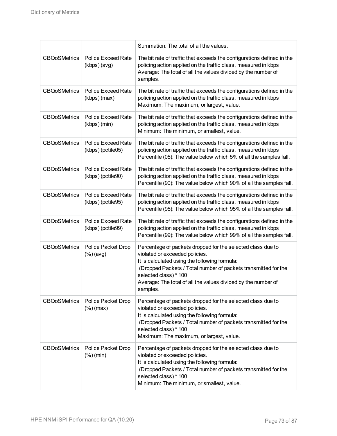|                     |                                                | Summation: The total of all the values.                                                                                                                                                                                                                                                                                |
|---------------------|------------------------------------------------|------------------------------------------------------------------------------------------------------------------------------------------------------------------------------------------------------------------------------------------------------------------------------------------------------------------------|
| <b>CBQoSMetrics</b> | <b>Police Exceed Rate</b><br>(kbps) (avg)      | The bit rate of traffic that exceeds the configurations defined in the<br>policing action applied on the traffic class, measured in kbps<br>Average: The total of all the values divided by the number of<br>samples.                                                                                                  |
| <b>CBQoSMetrics</b> | <b>Police Exceed Rate</b><br>(kbps) (max)      | The bit rate of traffic that exceeds the configurations defined in the<br>policing action applied on the traffic class, measured in kbps<br>Maximum: The maximum, or largest, value.                                                                                                                                   |
| <b>CBQoSMetrics</b> | <b>Police Exceed Rate</b><br>(kbps) (min)      | The bit rate of traffic that exceeds the configurations defined in the<br>policing action applied on the traffic class, measured in kbps<br>Minimum: The minimum, or smallest, value.                                                                                                                                  |
| <b>CBQoSMetrics</b> | <b>Police Exceed Rate</b><br>(kbps) (pctile05) | The bit rate of traffic that exceeds the configurations defined in the<br>policing action applied on the traffic class, measured in kbps<br>Percentile (05): The value below which 5% of all the samples fall.                                                                                                         |
| <b>CBQoSMetrics</b> | <b>Police Exceed Rate</b><br>(kbps) (pctile90) | The bit rate of traffic that exceeds the configurations defined in the<br>policing action applied on the traffic class, measured in kbps<br>Percentile (90): The value below which 90% of all the samples fall.                                                                                                        |
| <b>CBQoSMetrics</b> | <b>Police Exceed Rate</b><br>(kbps) (pctile95) | The bit rate of traffic that exceeds the configurations defined in the<br>policing action applied on the traffic class, measured in kbps<br>Percentile (95): The value below which 95% of all the samples fall.                                                                                                        |
| <b>CBQoSMetrics</b> | <b>Police Exceed Rate</b><br>(kbps) (pctile99) | The bit rate of traffic that exceeds the configurations defined in the<br>policing action applied on the traffic class, measured in kbps<br>Percentile (99): The value below which 99% of all the samples fall.                                                                                                        |
| <b>CBQoSMetrics</b> | Police Packet Drop<br>$(\%)$ (avg)             | Percentage of packets dropped for the selected class due to<br>violated or exceeded policies.<br>It is calculated using the following formula:<br>(Dropped Packets / Total number of packets transmitted for the<br>selected class) * 100<br>Average: The total of all the values divided by the number of<br>samples. |
| <b>CBQoSMetrics</b> | Police Packet Drop<br>$(\%)$ (max)             | Percentage of packets dropped for the selected class due to<br>violated or exceeded policies.<br>It is calculated using the following formula:<br>(Dropped Packets / Total number of packets transmitted for the<br>selected class) * 100<br>Maximum: The maximum, or largest, value.                                  |
| <b>CBQoSMetrics</b> | Police Packet Drop<br>$(\%)$ (min)             | Percentage of packets dropped for the selected class due to<br>violated or exceeded policies.<br>It is calculated using the following formula:<br>(Dropped Packets / Total number of packets transmitted for the<br>selected class) * 100<br>Minimum: The minimum, or smallest, value.                                 |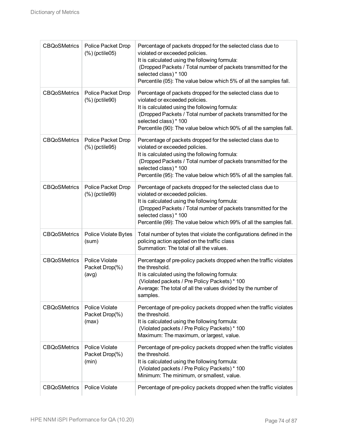| <b>CBQoSMetrics</b> | Police Packet Drop<br>$(\%)$ (pctile 05)         | Percentage of packets dropped for the selected class due to<br>violated or exceeded policies.<br>It is calculated using the following formula:<br>(Dropped Packets / Total number of packets transmitted for the<br>selected class) * 100<br>Percentile (05): The value below which 5% of all the samples fall.  |
|---------------------|--------------------------------------------------|------------------------------------------------------------------------------------------------------------------------------------------------------------------------------------------------------------------------------------------------------------------------------------------------------------------|
| <b>CBQoSMetrics</b> | Police Packet Drop<br>(%) (pctile90)             | Percentage of packets dropped for the selected class due to<br>violated or exceeded policies.<br>It is calculated using the following formula:<br>(Dropped Packets / Total number of packets transmitted for the<br>selected class) * 100<br>Percentile (90): The value below which 90% of all the samples fall. |
| <b>CBQoSMetrics</b> | Police Packet Drop<br>(%) (pctile95)             | Percentage of packets dropped for the selected class due to<br>violated or exceeded policies.<br>It is calculated using the following formula:<br>(Dropped Packets / Total number of packets transmitted for the<br>selected class) * 100<br>Percentile (95): The value below which 95% of all the samples fall. |
| <b>CBQoSMetrics</b> | Police Packet Drop<br>(%) (pctile99)             | Percentage of packets dropped for the selected class due to<br>violated or exceeded policies.<br>It is calculated using the following formula:<br>(Dropped Packets / Total number of packets transmitted for the<br>selected class) * 100<br>Percentile (99): The value below which 99% of all the samples fall. |
| <b>CBQoSMetrics</b> | Police Violate Bytes<br>(sum)                    | Total number of bytes that violate the configurations defined in the<br>policing action applied on the traffic class<br>Summation: The total of all the values.                                                                                                                                                  |
| <b>CBQoSMetrics</b> | <b>Police Violate</b><br>Packet Drop(%)<br>(avg) | Percentage of pre-policy packets dropped when the traffic violates<br>the threshold.<br>It is calculated using the following formula:<br>(Violated packets / Pre Policy Packets) * 100<br>Average: The total of all the values divided by the number of<br>samples.                                              |
| <b>CBQoSMetrics</b> | Police Violate<br>Packet Drop(%)<br>(max)        | Percentage of pre-policy packets dropped when the traffic violates<br>the threshold.<br>It is calculated using the following formula:<br>(Violated packets / Pre Policy Packets) * 100<br>Maximum: The maximum, or largest, value.                                                                               |
| <b>CBQoSMetrics</b> | Police Violate<br>Packet Drop(%)<br>(min)        | Percentage of pre-policy packets dropped when the traffic violates<br>the threshold.<br>It is calculated using the following formula:<br>(Violated packets / Pre Policy Packets) * 100<br>Minimum: The minimum, or smallest, value.                                                                              |
| <b>CBQoSMetrics</b> | Police Violate                                   | Percentage of pre-policy packets dropped when the traffic violates                                                                                                                                                                                                                                               |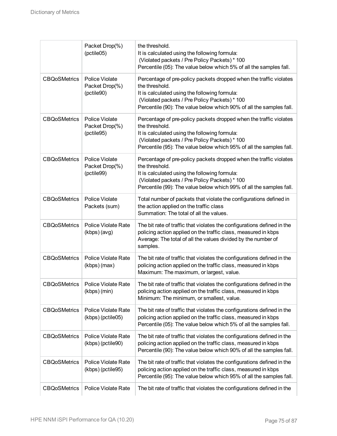|                     | Packet Drop(%)<br>(pctile05)                          | the threshold.<br>It is calculated using the following formula:<br>(Violated packets / Pre Policy Packets) * 100<br>Percentile (05): The value below which 5% of all the samples fall.                                                                        |
|---------------------|-------------------------------------------------------|---------------------------------------------------------------------------------------------------------------------------------------------------------------------------------------------------------------------------------------------------------------|
| <b>CBQoSMetrics</b> | Police Violate<br>Packet Drop(%)<br>(pctile90)        | Percentage of pre-policy packets dropped when the traffic violates<br>the threshold.<br>It is calculated using the following formula:<br>(Violated packets / Pre Policy Packets) * 100<br>Percentile (90): The value below which 90% of all the samples fall. |
| <b>CBQoSMetrics</b> | <b>Police Violate</b><br>Packet Drop(%)<br>(pctile95) | Percentage of pre-policy packets dropped when the traffic violates<br>the threshold.<br>It is calculated using the following formula:<br>(Violated packets / Pre Policy Packets) * 100<br>Percentile (95): The value below which 95% of all the samples fall. |
| <b>CBQoSMetrics</b> | Police Violate<br>Packet Drop(%)<br>(pctile99)        | Percentage of pre-policy packets dropped when the traffic violates<br>the threshold.<br>It is calculated using the following formula:<br>(Violated packets / Pre Policy Packets) * 100<br>Percentile (99): The value below which 99% of all the samples fall. |
| <b>CBQoSMetrics</b> | Police Violate<br>Packets (sum)                       | Total number of packets that violate the configurations defined in<br>the action applied on the traffic class<br>Summation: The total of all the values.                                                                                                      |
| <b>CBQoSMetrics</b> | <b>Police Violate Rate</b><br>(kbps) (avg)            | The bit rate of traffic that violates the configurations defined in the<br>policing action applied on the traffic class, measured in kbps<br>Average: The total of all the values divided by the number of<br>samples.                                        |
| <b>CBQoSMetrics</b> | <b>Police Violate Rate</b><br>(kbps) (max)            | The bit rate of traffic that violates the configurations defined in the<br>policing action applied on the traffic class, measured in kbps<br>Maximum: The maximum, or largest, value.                                                                         |
| <b>CBQoSMetrics</b> | Police Violate Rate<br>(kbps) (min)                   | The bit rate of traffic that violates the configurations defined in the<br>policing action applied on the traffic class, measured in kbps<br>Minimum: The minimum, or smallest, value.                                                                        |
| <b>CBQoSMetrics</b> | <b>Police Violate Rate</b><br>(kbps) (pctile05)       | The bit rate of traffic that violates the configurations defined in the<br>policing action applied on the traffic class, measured in kbps<br>Percentile (05): The value below which 5% of all the samples fall.                                               |
| <b>CBQoSMetrics</b> | <b>Police Violate Rate</b><br>(kbps) (pctile90)       | The bit rate of traffic that violates the configurations defined in the<br>policing action applied on the traffic class, measured in kbps<br>Percentile (90): The value below which 90% of all the samples fall.                                              |
| <b>CBQoSMetrics</b> | <b>Police Violate Rate</b><br>(kbps) (pctile95)       | The bit rate of traffic that violates the configurations defined in the<br>policing action applied on the traffic class, measured in kbps<br>Percentile (95): The value below which 95% of all the samples fall.                                              |
| <b>CBQoSMetrics</b> | <b>Police Violate Rate</b>                            | The bit rate of traffic that violates the configurations defined in the                                                                                                                                                                                       |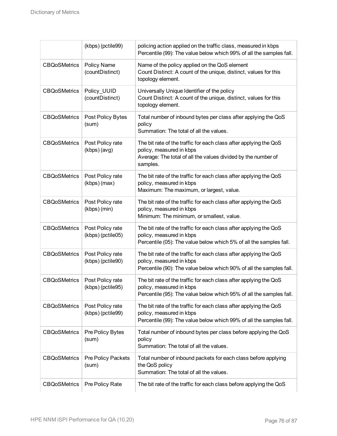|                     | (kbps) (pctile99)                     | policing action applied on the traffic class, measured in kbps<br>Percentile (99): The value below which 99% of all the samples fall.                                      |
|---------------------|---------------------------------------|----------------------------------------------------------------------------------------------------------------------------------------------------------------------------|
| <b>CBQoSMetrics</b> | <b>Policy Name</b><br>(countDistinct) | Name of the policy applied on the QoS element<br>Count Distinct: A count of the unique, distinct, values for this<br>topology element.                                     |
| <b>CBQoSMetrics</b> | Policy_UUID<br>(countDistinct)        | Universally Unique Identifier of the policy<br>Count Distinct: A count of the unique, distinct, values for this<br>topology element.                                       |
| <b>CBQoSMetrics</b> | Post Policy Bytes<br>(sum)            | Total number of inbound bytes per class after applying the QoS<br>policy<br>Summation: The total of all the values.                                                        |
| <b>CBQoSMetrics</b> | Post Policy rate<br>(kbps) (avg)      | The bit rate of the traffic for each class after applying the QoS<br>policy, measured in kbps<br>Average: The total of all the values divided by the number of<br>samples. |
| <b>CBQoSMetrics</b> | Post Policy rate<br>(kbps) (max)      | The bit rate of the traffic for each class after applying the QoS<br>policy, measured in kbps<br>Maximum: The maximum, or largest, value.                                  |
| <b>CBQoSMetrics</b> | Post Policy rate<br>(kbps) (min)      | The bit rate of the traffic for each class after applying the QoS<br>policy, measured in kbps<br>Minimum: The minimum, or smallest, value.                                 |
| <b>CBQoSMetrics</b> | Post Policy rate<br>(kbps) (pctile05) | The bit rate of the traffic for each class after applying the QoS<br>policy, measured in kbps<br>Percentile (05): The value below which 5% of all the samples fall.        |
| <b>CBQoSMetrics</b> | Post Policy rate<br>(kbps) (pctile90) | The bit rate of the traffic for each class after applying the QoS<br>policy, measured in kbps<br>Percentile (90): The value below which 90% of all the samples fall.       |
| <b>CBQoSMetrics</b> | Post Policy rate<br>(kbps) (pctile95) | The bit rate of the traffic for each class after applying the QoS<br>policy, measured in kbps<br>Percentile (95): The value below which 95% of all the samples fall.       |
| <b>CBQoSMetrics</b> | Post Policy rate<br>(kbps) (pctile99) | The bit rate of the traffic for each class after applying the QoS<br>policy, measured in kbps<br>Percentile (99): The value below which 99% of all the samples fall.       |
| <b>CBQoSMetrics</b> | Pre Policy Bytes<br>(sum)             | Total number of inbound bytes per class before applying the QoS<br>policy<br>Summation: The total of all the values.                                                       |
| <b>CBQoSMetrics</b> | Pre Policy Packets<br>(sum)           | Total number of inbound packets for each class before applying<br>the QoS policy<br>Summation: The total of all the values.                                                |
| <b>CBQoSMetrics</b> | Pre Policy Rate                       | The bit rate of the traffic for each class before applying the QoS                                                                                                         |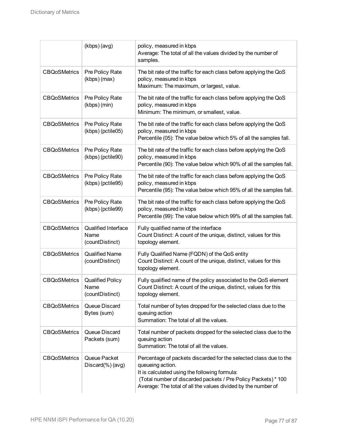|                     | (kbps) (avg)                                          | policy, measured in kbps<br>Average: The total of all the values divided by the number of<br>samples.                                                                                                                                                                     |
|---------------------|-------------------------------------------------------|---------------------------------------------------------------------------------------------------------------------------------------------------------------------------------------------------------------------------------------------------------------------------|
| <b>CBQoSMetrics</b> | Pre Policy Rate<br>(kbps) (max)                       | The bit rate of the traffic for each class before applying the QoS<br>policy, measured in kbps<br>Maximum: The maximum, or largest, value.                                                                                                                                |
| <b>CBQoSMetrics</b> | Pre Policy Rate<br>(kbps) (min)                       | The bit rate of the traffic for each class before applying the QoS<br>policy, measured in kbps<br>Minimum: The minimum, or smallest, value.                                                                                                                               |
| <b>CBQoSMetrics</b> | Pre Policy Rate<br>(kbps) (pctile05)                  | The bit rate of the traffic for each class before applying the QoS<br>policy, measured in kbps<br>Percentile (05): The value below which 5% of all the samples fall.                                                                                                      |
| <b>CBQoSMetrics</b> | Pre Policy Rate<br>(kbps) (pctile90)                  | The bit rate of the traffic for each class before applying the QoS<br>policy, measured in kbps<br>Percentile (90): The value below which 90% of all the samples fall.                                                                                                     |
| <b>CBQoSMetrics</b> | Pre Policy Rate<br>(kbps) (pctile95)                  | The bit rate of the traffic for each class before applying the QoS<br>policy, measured in kbps<br>Percentile (95): The value below which 95% of all the samples fall.                                                                                                     |
| <b>CBQoSMetrics</b> | Pre Policy Rate<br>(kbps) (pctile99)                  | The bit rate of the traffic for each class before applying the QoS<br>policy, measured in kbps<br>Percentile (99): The value below which 99% of all the samples fall.                                                                                                     |
| <b>CBQoSMetrics</b> | <b>Qualified Interface</b><br>Name<br>(countDistinct) | Fully qualified name of the interface<br>Count Distinct: A count of the unique, distinct, values for this<br>topology element.                                                                                                                                            |
| <b>CBQoSMetrics</b> | <b>Qualified Name</b><br>(countDistinct)              | Fully Qualified Name (FQDN) of the QoS entity<br>Count Distinct: A count of the unique, distinct, values for this<br>topology element.                                                                                                                                    |
| <b>CBQoSMetrics</b> | <b>Qualified Policy</b><br>Name<br>(countDistinct)    | Fully qualified name of the policy associated to the QoS element<br>Count Distinct: A count of the unique, distinct, values for this<br>topology element.                                                                                                                 |
| <b>CBQoSMetrics</b> | Queue Discard<br>Bytes (sum)                          | Total number of bytes dropped for the selected class due to the<br>queuing action<br>Summation: The total of all the values.                                                                                                                                              |
| <b>CBQoSMetrics</b> | Queue Discard<br>Packets (sum)                        | Total number of packets dropped for the selected class due to the<br>queuing action<br>Summation: The total of all the values.                                                                                                                                            |
| <b>CBQoSMetrics</b> | Queue Packet<br>Discard(%) (avg)                      | Percentage of packets discarded for the selected class due to the<br>queueing action.<br>It is calculated using the following formula:<br>(Total number of discarded packets / Pre Policy Packets) * 100<br>Average: The total of all the values divided by the number of |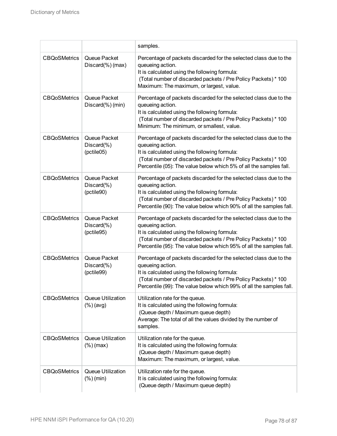|                     |                                             | samples.                                                                                                                                                                                                                                                                        |
|---------------------|---------------------------------------------|---------------------------------------------------------------------------------------------------------------------------------------------------------------------------------------------------------------------------------------------------------------------------------|
| <b>CBQoSMetrics</b> | Queue Packet<br>Discard(%) (max)            | Percentage of packets discarded for the selected class due to the<br>queueing action.<br>It is calculated using the following formula:<br>(Total number of discarded packets / Pre Policy Packets) * 100<br>Maximum: The maximum, or largest, value.                            |
| <b>CBQoSMetrics</b> | Queue Packet<br>Discard(%) (min)            | Percentage of packets discarded for the selected class due to the<br>queueing action.<br>It is calculated using the following formula:<br>(Total number of discarded packets / Pre Policy Packets) * 100<br>Minimum: The minimum, or smallest, value.                           |
| <b>CBQoSMetrics</b> | Queue Packet<br>$Discard(\%)$<br>(pctile05) | Percentage of packets discarded for the selected class due to the<br>queueing action.<br>It is calculated using the following formula:<br>(Total number of discarded packets / Pre Policy Packets) * 100<br>Percentile (05): The value below which 5% of all the samples fall.  |
| <b>CBQoSMetrics</b> | Queue Packet<br>$Discard(\%)$<br>(pctile90) | Percentage of packets discarded for the selected class due to the<br>queueing action.<br>It is calculated using the following formula:<br>(Total number of discarded packets / Pre Policy Packets) * 100<br>Percentile (90): The value below which 90% of all the samples fall. |
| <b>CBQoSMetrics</b> | Queue Packet<br>$Discard(\%)$<br>(pctile95) | Percentage of packets discarded for the selected class due to the<br>queueing action.<br>It is calculated using the following formula:<br>(Total number of discarded packets / Pre Policy Packets) * 100<br>Percentile (95): The value below which 95% of all the samples fall. |
| <b>CBQoSMetrics</b> | Queue Packet<br>Discard(%)<br>(pctile99)    | Percentage of packets discarded for the selected class due to the<br>queueing action.<br>It is calculated using the following formula:<br>(Total number of discarded packets / Pre Policy Packets) * 100<br>Percentile (99): The value below which 99% of all the samples fall. |
| <b>CBQoSMetrics</b> | Queue Utilization<br>$(\%)$ (avg)           | Utilization rate for the queue.<br>It is calculated using the following formula:<br>(Queue depth / Maximum queue depth)<br>Average: The total of all the values divided by the number of<br>samples.                                                                            |
| <b>CBQoSMetrics</b> | Queue Utilization<br>$(\%)$ (max)           | Utilization rate for the queue.<br>It is calculated using the following formula:<br>(Queue depth / Maximum queue depth)<br>Maximum: The maximum, or largest, value.                                                                                                             |
| <b>CBQoSMetrics</b> | Queue Utilization<br>$(\%)$ (min)           | Utilization rate for the queue.<br>It is calculated using the following formula:<br>(Queue depth / Maximum queue depth)                                                                                                                                                         |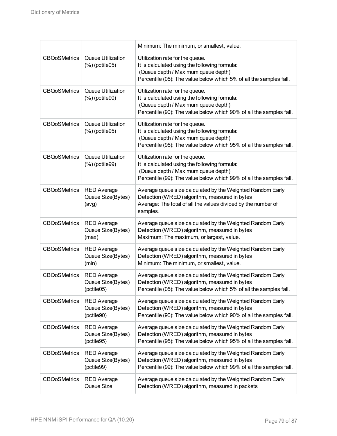|                     |                                                       | Minimum: The minimum, or smallest, value.                                                                                                                                                      |
|---------------------|-------------------------------------------------------|------------------------------------------------------------------------------------------------------------------------------------------------------------------------------------------------|
| <b>CBQoSMetrics</b> | Queue Utilization<br>(%) (pctile05)                   | Utilization rate for the queue.<br>It is calculated using the following formula:<br>(Queue depth / Maximum queue depth)<br>Percentile (05): The value below which 5% of all the samples fall.  |
| <b>CBQoSMetrics</b> | Queue Utilization<br>(%) (pctile90)                   | Utilization rate for the queue.<br>It is calculated using the following formula:<br>(Queue depth / Maximum queue depth)<br>Percentile (90): The value below which 90% of all the samples fall. |
| <b>CBQoSMetrics</b> | Queue Utilization<br>(%) (pctile95)                   | Utilization rate for the queue.<br>It is calculated using the following formula:<br>(Queue depth / Maximum queue depth)<br>Percentile (95): The value below which 95% of all the samples fall. |
| <b>CBQoSMetrics</b> | Queue Utilization<br>(%) (pctile99)                   | Utilization rate for the queue.<br>It is calculated using the following formula:<br>(Queue depth / Maximum queue depth)<br>Percentile (99): The value below which 99% of all the samples fall. |
| <b>CBQoSMetrics</b> | <b>RED Average</b><br>Queue Size(Bytes)<br>(avg)      | Average queue size calculated by the Weighted Random Early<br>Detection (WRED) algorithm, measured in bytes<br>Average: The total of all the values divided by the number of<br>samples.       |
| <b>CBQoSMetrics</b> | <b>RED Average</b><br>Queue Size(Bytes)<br>(max)      | Average queue size calculated by the Weighted Random Early<br>Detection (WRED) algorithm, measured in bytes<br>Maximum: The maximum, or largest, value.                                        |
| <b>CBQoSMetrics</b> | <b>RED Average</b><br>Queue Size(Bytes)<br>(min)      | Average queue size calculated by the Weighted Random Early<br>Detection (WRED) algorithm, measured in bytes<br>Minimum: The minimum, or smallest, value.                                       |
| <b>CBQoSMetrics</b> | <b>RED Average</b><br>Queue Size(Bytes)<br>(pctile05) | Average queue size calculated by the Weighted Random Early<br>Detection (WRED) algorithm, measured in bytes<br>Percentile (05): The value below which 5% of all the samples fall.              |
| <b>CBQoSMetrics</b> | <b>RED Average</b><br>Queue Size(Bytes)<br>(pctile90) | Average queue size calculated by the Weighted Random Early<br>Detection (WRED) algorithm, measured in bytes<br>Percentile (90): The value below which 90% of all the samples fall.             |
| <b>CBQoSMetrics</b> | <b>RED Average</b><br>Queue Size(Bytes)<br>(pctile95) | Average queue size calculated by the Weighted Random Early<br>Detection (WRED) algorithm, measured in bytes<br>Percentile (95): The value below which 95% of all the samples fall.             |
| <b>CBQoSMetrics</b> | <b>RED Average</b><br>Queue Size(Bytes)<br>(pctile99) | Average queue size calculated by the Weighted Random Early<br>Detection (WRED) algorithm, measured in bytes<br>Percentile (99): The value below which 99% of all the samples fall.             |
| <b>CBQoSMetrics</b> | <b>RED Average</b><br>Queue Size                      | Average queue size calculated by the Weighted Random Early<br>Detection (WRED) algorithm, measured in packets                                                                                  |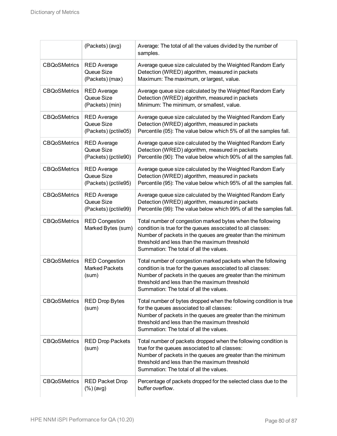|                     | (Packets) (avg)                                          | Average: The total of all the values divided by the number of<br>samples.                                                                                                                                                                                                               |
|---------------------|----------------------------------------------------------|-----------------------------------------------------------------------------------------------------------------------------------------------------------------------------------------------------------------------------------------------------------------------------------------|
| <b>CBQoSMetrics</b> | <b>RED Average</b><br>Queue Size<br>(Packets) (max)      | Average queue size calculated by the Weighted Random Early<br>Detection (WRED) algorithm, measured in packets<br>Maximum: The maximum, or largest, value.                                                                                                                               |
| <b>CBQoSMetrics</b> | <b>RED Average</b><br>Queue Size<br>(Packets) (min)      | Average queue size calculated by the Weighted Random Early<br>Detection (WRED) algorithm, measured in packets<br>Minimum: The minimum, or smallest, value.                                                                                                                              |
| <b>CBQoSMetrics</b> | <b>RED Average</b><br>Queue Size<br>(Packets) (pctile05) | Average queue size calculated by the Weighted Random Early<br>Detection (WRED) algorithm, measured in packets<br>Percentile (05): The value below which 5% of all the samples fall.                                                                                                     |
| <b>CBQoSMetrics</b> | <b>RED Average</b><br>Queue Size<br>(Packets) (pctile90) | Average queue size calculated by the Weighted Random Early<br>Detection (WRED) algorithm, measured in packets<br>Percentile (90): The value below which 90% of all the samples fall.                                                                                                    |
| <b>CBQoSMetrics</b> | <b>RED Average</b><br>Queue Size<br>(Packets) (pctile95) | Average queue size calculated by the Weighted Random Early<br>Detection (WRED) algorithm, measured in packets<br>Percentile (95): The value below which 95% of all the samples fall.                                                                                                    |
| <b>CBQoSMetrics</b> | <b>RED Average</b><br>Queue Size<br>(Packets) (pctile99) | Average queue size calculated by the Weighted Random Early<br>Detection (WRED) algorithm, measured in packets<br>Percentile (99): The value below which 99% of all the samples fall.                                                                                                    |
| <b>CBQoSMetrics</b> | <b>RED Congestion</b><br>Marked Bytes (sum)              | Total number of congestion marked bytes when the following<br>condition is true for the queues associated to all classes:<br>Number of packets in the queues are greater than the minimum<br>threshold and less than the maximum threshold<br>Summation: The total of all the values.   |
| <b>CBQoSMetrics</b> | <b>RED Congestion</b><br><b>Marked Packets</b><br>(sum)  | Total number of congestion marked packets when the following<br>condition is true for the queues associated to all classes:<br>Number of packets in the queues are greater than the minimum<br>threshold and less than the maximum threshold<br>Summation: The total of all the values. |
| <b>CBQoSMetrics</b> | <b>RED Drop Bytes</b><br>(sum)                           | Total number of bytes dropped when the following condition is true<br>for the queues associated to all classes:<br>Number of packets in the queues are greater than the minimum<br>threshold and less than the maximum threshold<br>Summation: The total of all the values.             |
| <b>CBQoSMetrics</b> | <b>RED Drop Packets</b><br>(sum)                         | Total number of packets dropped when the following condition is<br>true for the queues associated to all classes:<br>Number of packets in the queues are greater than the minimum<br>threshold and less than the maximum threshold<br>Summation: The total of all the values.           |
| <b>CBQoSMetrics</b> | <b>RED Packet Drop</b><br>$(\%)$ (avg)                   | Percentage of packets dropped for the selected class due to the<br>buffer overflow.                                                                                                                                                                                                     |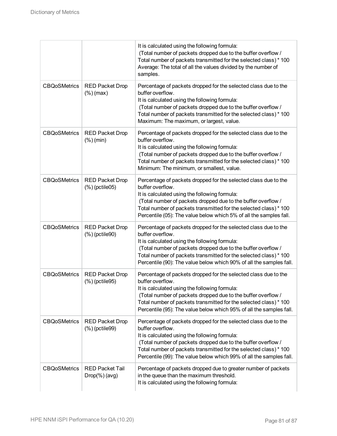|                     |                                              | It is calculated using the following formula:<br>(Total number of packets dropped due to the buffer overflow /<br>Total number of packets transmitted for the selected class) * 100<br>Average: The total of all the values divided by the number of<br>samples.                                                                                  |
|---------------------|----------------------------------------------|---------------------------------------------------------------------------------------------------------------------------------------------------------------------------------------------------------------------------------------------------------------------------------------------------------------------------------------------------|
| <b>CBQoSMetrics</b> | <b>RED Packet Drop</b><br>$(\%)$ (max)       | Percentage of packets dropped for the selected class due to the<br>buffer overflow.<br>It is calculated using the following formula:<br>(Total number of packets dropped due to the buffer overflow /<br>Total number of packets transmitted for the selected class) * 100<br>Maximum: The maximum, or largest, value.                            |
| <b>CBQoSMetrics</b> | <b>RED Packet Drop</b><br>$(\%)$ (min)       | Percentage of packets dropped for the selected class due to the<br>buffer overflow.<br>It is calculated using the following formula:<br>(Total number of packets dropped due to the buffer overflow /<br>Total number of packets transmitted for the selected class) * 100<br>Minimum: The minimum, or smallest, value.                           |
| <b>CBQoSMetrics</b> | <b>RED Packet Drop</b><br>$(\%)$ (pctile 05) | Percentage of packets dropped for the selected class due to the<br>buffer overflow.<br>It is calculated using the following formula:<br>(Total number of packets dropped due to the buffer overflow /<br>Total number of packets transmitted for the selected class) * 100<br>Percentile (05): The value below which 5% of all the samples fall.  |
| <b>CBQoSMetrics</b> | <b>RED Packet Drop</b><br>(%) (pctile90)     | Percentage of packets dropped for the selected class due to the<br>buffer overflow.<br>It is calculated using the following formula:<br>(Total number of packets dropped due to the buffer overflow /<br>Total number of packets transmitted for the selected class) * 100<br>Percentile (90): The value below which 90% of all the samples fall. |
| <b>CBQoSMetrics</b> | <b>RED Packet Drop</b><br>(%) (pctile95)     | Percentage of packets dropped for the selected class due to the<br>buffer overflow.<br>It is calculated using the following formula:<br>(Total number of packets dropped due to the buffer overflow /<br>Total number of packets transmitted for the selected class) * 100<br>Percentile (95): The value below which 95% of all the samples fall. |
| <b>CBQoSMetrics</b> | <b>RED Packet Drop</b><br>(%) (pctile99)     | Percentage of packets dropped for the selected class due to the<br>buffer overflow.<br>It is calculated using the following formula:<br>(Total number of packets dropped due to the buffer overflow /<br>Total number of packets transmitted for the selected class) * 100<br>Percentile (99): The value below which 99% of all the samples fall. |
| <b>CBQoSMetrics</b> | <b>RED Packet Tail</b><br>$Drop(\%)(avg)$    | Percentage of packets dropped due to greater number of packets<br>in the queue than the maximum threshold.<br>It is calculated using the following formula:                                                                                                                                                                                       |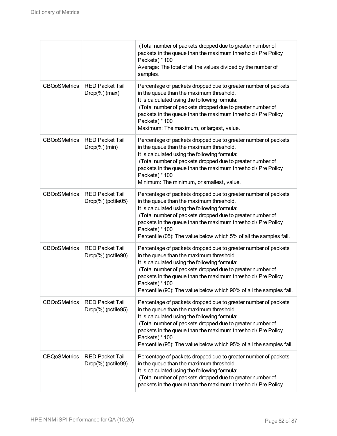|                     |                                                 | (Total number of packets dropped due to greater number of<br>packets in the queue than the maximum threshold / Pre Policy<br>Packets) * 100<br>Average: The total of all the values divided by the number of<br>samples.                                                                                                                                                          |
|---------------------|-------------------------------------------------|-----------------------------------------------------------------------------------------------------------------------------------------------------------------------------------------------------------------------------------------------------------------------------------------------------------------------------------------------------------------------------------|
| <b>CBQoSMetrics</b> | <b>RED Packet Tail</b><br>$Drop(\%)(max)$       | Percentage of packets dropped due to greater number of packets<br>in the queue than the maximum threshold.<br>It is calculated using the following formula:<br>(Total number of packets dropped due to greater number of<br>packets in the queue than the maximum threshold / Pre Policy<br>Packets) * 100<br>Maximum: The maximum, or largest, value.                            |
| <b>CBQoSMetrics</b> | <b>RED Packet Tail</b><br>$Drop(\%)(min)$       | Percentage of packets dropped due to greater number of packets<br>in the queue than the maximum threshold.<br>It is calculated using the following formula:<br>(Total number of packets dropped due to greater number of<br>packets in the queue than the maximum threshold / Pre Policy<br>Packets) * 100<br>Minimum: The minimum, or smallest, value.                           |
| <b>CBQoSMetrics</b> | <b>RED Packet Tail</b><br>$Drop(\%)(picture05)$ | Percentage of packets dropped due to greater number of packets<br>in the queue than the maximum threshold.<br>It is calculated using the following formula:<br>(Total number of packets dropped due to greater number of<br>packets in the queue than the maximum threshold / Pre Policy<br>Packets) * 100<br>Percentile (05): The value below which 5% of all the samples fall.  |
| <b>CBQoSMetrics</b> | <b>RED Packet Tail</b><br>$Drop(\%)(potile90)$  | Percentage of packets dropped due to greater number of packets<br>in the queue than the maximum threshold.<br>It is calculated using the following formula:<br>(Total number of packets dropped due to greater number of<br>packets in the queue than the maximum threshold / Pre Policy<br>Packets) * 100<br>Percentile (90): The value below which 90% of all the samples fall. |
| <b>CBQoSMetrics</b> | <b>RED Packet Tail</b><br>Drop(%) (pctile95)    | Percentage of packets dropped due to greater number of packets<br>in the queue than the maximum threshold.<br>It is calculated using the following formula:<br>(Total number of packets dropped due to greater number of<br>packets in the queue than the maximum threshold / Pre Policy<br>Packets) * 100<br>Percentile (95): The value below which 95% of all the samples fall. |
| <b>CBQoSMetrics</b> | <b>RED Packet Tail</b><br>Drop(%) (pctile99)    | Percentage of packets dropped due to greater number of packets<br>in the queue than the maximum threshold.<br>It is calculated using the following formula:<br>(Total number of packets dropped due to greater number of<br>packets in the queue than the maximum threshold / Pre Policy                                                                                          |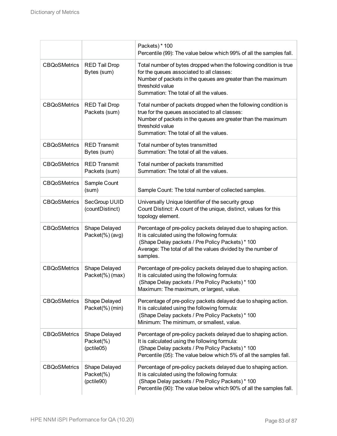|                     |                                          | Packets) * 100<br>Percentile (99): The value below which 99% of all the samples fall.                                                                                                                                                             |
|---------------------|------------------------------------------|---------------------------------------------------------------------------------------------------------------------------------------------------------------------------------------------------------------------------------------------------|
| <b>CBQoSMetrics</b> | <b>RED Tail Drop</b><br>Bytes (sum)      | Total number of bytes dropped when the following condition is true<br>for the queues associated to all classes:<br>Number of packets in the queues are greater than the maximum<br>threshold value<br>Summation: The total of all the values.     |
| <b>CBQoSMetrics</b> | <b>RED Tail Drop</b><br>Packets (sum)    | Total number of packets dropped when the following condition is<br>true for the queues associated to all classes:<br>Number of packets in the queues are greater than the maximum<br>threshold value<br>Summation: The total of all the values.   |
| <b>CBQoSMetrics</b> | <b>RED Transmit</b><br>Bytes (sum)       | Total number of bytes transmitted<br>Summation: The total of all the values.                                                                                                                                                                      |
| <b>CBQoSMetrics</b> | <b>RED Transmit</b><br>Packets (sum)     | Total number of packets transmitted<br>Summation: The total of all the values.                                                                                                                                                                    |
| <b>CBQoSMetrics</b> | Sample Count<br>(sum)                    | Sample Count: The total number of collected samples.                                                                                                                                                                                              |
| <b>CBQoSMetrics</b> | SecGroup UUID<br>(countDistinct)         | Universally Unique Identifier of the security group<br>Count Distinct: A count of the unique, distinct, values for this<br>topology element.                                                                                                      |
| <b>CBQoSMetrics</b> | Shape Delayed<br>Packet(%) (avg)         | Percentage of pre-policy packets delayed due to shaping action.<br>It is calculated using the following formula:<br>(Shape Delay packets / Pre Policy Packets) * 100<br>Average: The total of all the values divided by the number of<br>samples. |
| <b>CBQoSMetrics</b> | Shape Delayed<br>Packet(%) (max)         | Percentage of pre-policy packets delayed due to shaping action.<br>It is calculated using the following formula:<br>(Shape Delay packets / Pre Policy Packets) * 100<br>Maximum: The maximum, or largest, value.                                  |
| <b>CBQoSMetrics</b> | Shape Delayed<br>Packet(%) (min)         | Percentage of pre-policy packets delayed due to shaping action.<br>It is calculated using the following formula:<br>(Shape Delay packets / Pre Policy Packets) * 100<br>Minimum: The minimum, or smallest, value.                                 |
| <b>CBQoSMetrics</b> | Shape Delayed<br>Packet(%)<br>(pctile05) | Percentage of pre-policy packets delayed due to shaping action.<br>It is calculated using the following formula:<br>(Shape Delay packets / Pre Policy Packets) * 100<br>Percentile (05): The value below which 5% of all the samples fall.        |
| <b>CBQoSMetrics</b> | Shape Delayed<br>Packet(%)<br>(pctile90) | Percentage of pre-policy packets delayed due to shaping action.<br>It is calculated using the following formula:<br>(Shape Delay packets / Pre Policy Packets) * 100<br>Percentile (90): The value below which 90% of all the samples fall.       |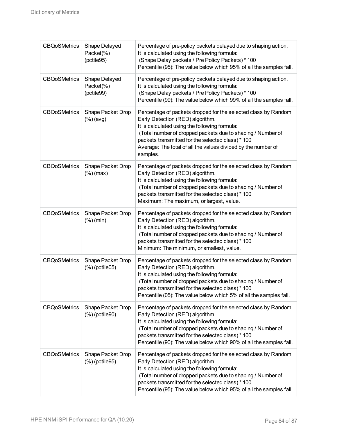| <b>CBQoSMetrics</b> | Shape Delayed<br>Packet(%)<br>(pctile95) | Percentage of pre-policy packets delayed due to shaping action.<br>It is calculated using the following formula:<br>(Shape Delay packets / Pre Policy Packets) * 100<br>Percentile (95): The value below which 95% of all the samples fall.                                                                                                          |
|---------------------|------------------------------------------|------------------------------------------------------------------------------------------------------------------------------------------------------------------------------------------------------------------------------------------------------------------------------------------------------------------------------------------------------|
| <b>CBQoSMetrics</b> | Shape Delayed<br>Packet(%)<br>(pctile99) | Percentage of pre-policy packets delayed due to shaping action.<br>It is calculated using the following formula:<br>(Shape Delay packets / Pre Policy Packets) * 100<br>Percentile (99): The value below which 99% of all the samples fall.                                                                                                          |
| <b>CBQoSMetrics</b> | Shape Packet Drop<br>$(\%)$ (avg)        | Percentage of packets dropped for the selected class by Random<br>Early Detection (RED) algorithm.<br>It is calculated using the following formula:<br>(Total number of dropped packets due to shaping / Number of<br>packets transmitted for the selected class) * 100<br>Average: The total of all the values divided by the number of<br>samples. |
| <b>CBQoSMetrics</b> | Shape Packet Drop<br>$(\%)$ (max)        | Percentage of packets dropped for the selected class by Random<br>Early Detection (RED) algorithm.<br>It is calculated using the following formula:<br>(Total number of dropped packets due to shaping / Number of<br>packets transmitted for the selected class) * 100<br>Maximum: The maximum, or largest, value.                                  |
| <b>CBQoSMetrics</b> | Shape Packet Drop<br>$(\%)$ (min)        | Percentage of packets dropped for the selected class by Random<br>Early Detection (RED) algorithm.<br>It is calculated using the following formula:<br>(Total number of dropped packets due to shaping / Number of<br>packets transmitted for the selected class) * 100<br>Minimum: The minimum, or smallest, value.                                 |
| <b>CBQoSMetrics</b> | Shape Packet Drop<br>(%) (pctile05)      | Percentage of packets dropped for the selected class by Random<br>Early Detection (RED) algorithm.<br>It is calculated using the following formula:<br>(Total number of dropped packets due to shaping / Number of<br>packets transmitted for the selected class) * 100<br>Percentile (05): The value below which 5% of all the samples fall.        |
| <b>CBQoSMetrics</b> | Shape Packet Drop<br>(%) (pctile90)      | Percentage of packets dropped for the selected class by Random<br>Early Detection (RED) algorithm.<br>It is calculated using the following formula:<br>(Total number of dropped packets due to shaping / Number of<br>packets transmitted for the selected class) * 100<br>Percentile (90): The value below which 90% of all the samples fall.       |
| <b>CBQoSMetrics</b> | Shape Packet Drop<br>(%) (pctile95)      | Percentage of packets dropped for the selected class by Random<br>Early Detection (RED) algorithm.<br>It is calculated using the following formula:<br>(Total number of dropped packets due to shaping / Number of<br>packets transmitted for the selected class) * 100<br>Percentile (95): The value below which 95% of all the samples fall.       |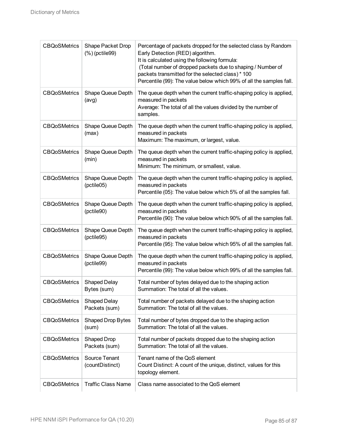| <b>CBQoSMetrics</b> | Shape Packet Drop<br>(%) (pctile99)  | Percentage of packets dropped for the selected class by Random<br>Early Detection (RED) algorithm.<br>It is calculated using the following formula:<br>(Total number of dropped packets due to shaping / Number of<br>packets transmitted for the selected class) * 100<br>Percentile (99): The value below which 99% of all the samples fall. |
|---------------------|--------------------------------------|------------------------------------------------------------------------------------------------------------------------------------------------------------------------------------------------------------------------------------------------------------------------------------------------------------------------------------------------|
| <b>CBQoSMetrics</b> | Shape Queue Depth<br>(avg)           | The queue depth when the current traffic-shaping policy is applied,<br>measured in packets<br>Average: The total of all the values divided by the number of<br>samples.                                                                                                                                                                        |
| <b>CBQoSMetrics</b> | Shape Queue Depth<br>(max)           | The queue depth when the current traffic-shaping policy is applied,<br>measured in packets<br>Maximum: The maximum, or largest, value.                                                                                                                                                                                                         |
| <b>CBQoSMetrics</b> | Shape Queue Depth<br>(min)           | The queue depth when the current traffic-shaping policy is applied,<br>measured in packets<br>Minimum: The minimum, or smallest, value.                                                                                                                                                                                                        |
| <b>CBQoSMetrics</b> | Shape Queue Depth<br>(pctile05)      | The queue depth when the current traffic-shaping policy is applied,<br>measured in packets<br>Percentile (05): The value below which 5% of all the samples fall.                                                                                                                                                                               |
| <b>CBQoSMetrics</b> | Shape Queue Depth<br>(pctile90)      | The queue depth when the current traffic-shaping policy is applied,<br>measured in packets<br>Percentile (90): The value below which 90% of all the samples fall.                                                                                                                                                                              |
| <b>CBQoSMetrics</b> | Shape Queue Depth<br>(pctile95)      | The queue depth when the current traffic-shaping policy is applied,<br>measured in packets<br>Percentile (95): The value below which 95% of all the samples fall.                                                                                                                                                                              |
| <b>CBQoSMetrics</b> | Shape Queue Depth<br>(pctile99)      | The queue depth when the current traffic-shaping policy is applied,<br>measured in packets<br>Percentile (99): The value below which 99% of all the samples fall.                                                                                                                                                                              |
| <b>CBQoSMetrics</b> | <b>Shaped Delay</b><br>Bytes (sum)   | Total number of bytes delayed due to the shaping action<br>Summation: The total of all the values.                                                                                                                                                                                                                                             |
| <b>CBQoSMetrics</b> | <b>Shaped Delay</b><br>Packets (sum) | Total number of packets delayed due to the shaping action<br>Summation: The total of all the values.                                                                                                                                                                                                                                           |
| <b>CBQoSMetrics</b> | Shaped Drop Bytes<br>(sum)           | Total number of bytes dropped due to the shaping action<br>Summation: The total of all the values.                                                                                                                                                                                                                                             |
| <b>CBQoSMetrics</b> | Shaped Drop<br>Packets (sum)         | Total number of packets dropped due to the shaping action<br>Summation: The total of all the values.                                                                                                                                                                                                                                           |
| <b>CBQoSMetrics</b> | Source Tenant<br>(countDistinct)     | Tenant name of the QoS element<br>Count Distinct: A count of the unique, distinct, values for this<br>topology element.                                                                                                                                                                                                                        |
| <b>CBQoSMetrics</b> | <b>Traffic Class Name</b>            | Class name associated to the QoS element                                                                                                                                                                                                                                                                                                       |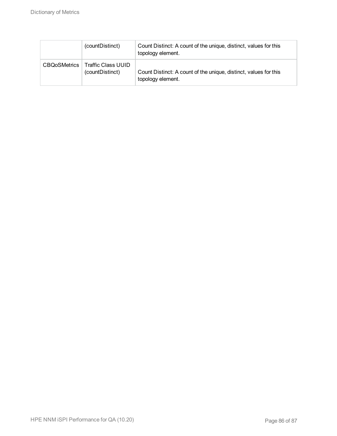|                     | (countDistinct)                       | Count Distinct: A count of the unique, distinct, values for this<br>topology element. |
|---------------------|---------------------------------------|---------------------------------------------------------------------------------------|
| <b>CBQoSMetrics</b> | Traffic Class UUID<br>(countDistinct) | Count Distinct: A count of the unique, distinct, values for this<br>topology element. |